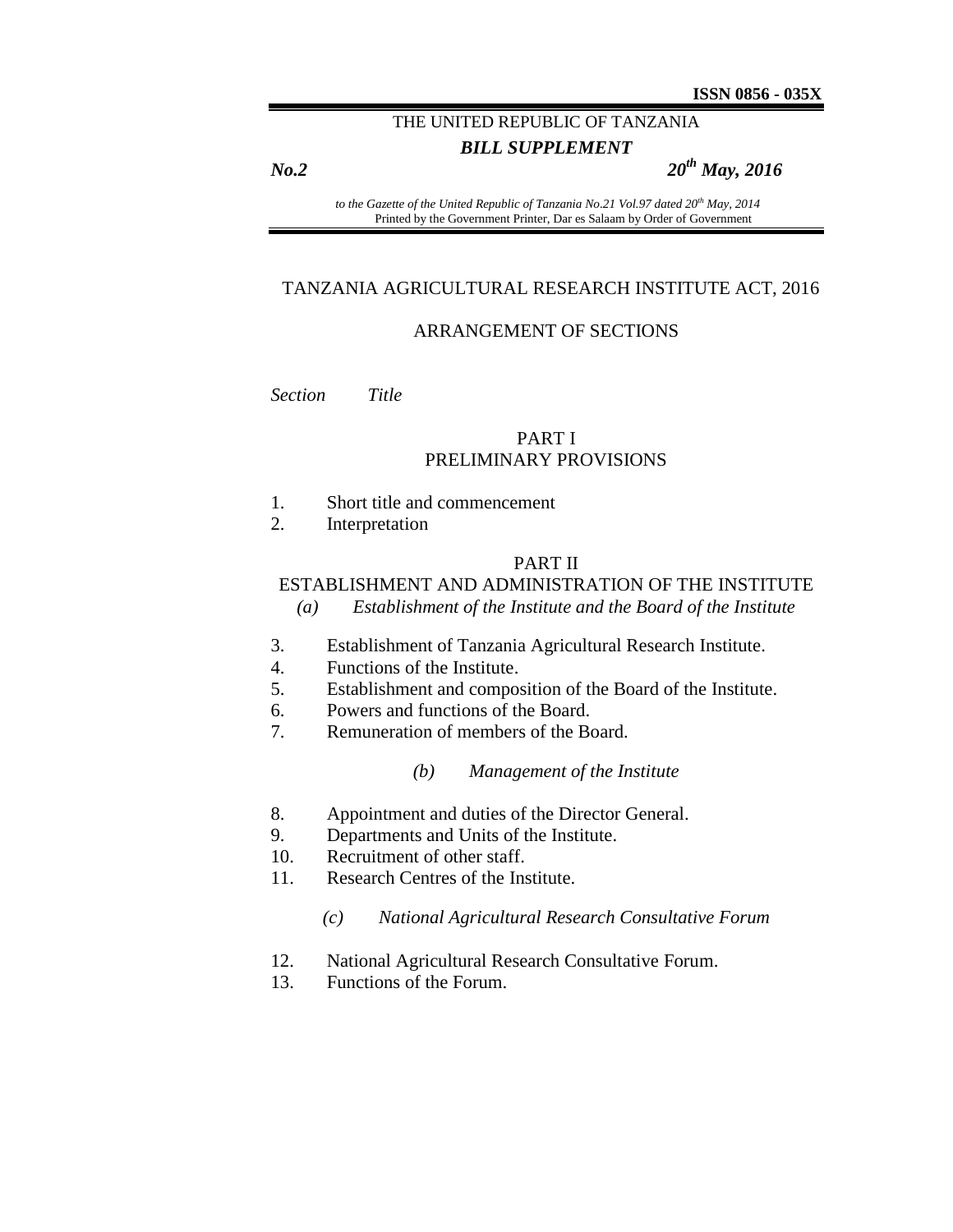# THE UNITED REPUBLIC OF TANZANIA

# *BILL SUPPLEMENT*

*No.2 20th May, 2016*

*to the Gazette of the United Republic of Tanzania No.21 Vol.97 dated 20th May, 2014* Printed by the Government Printer, Dar es Salaam by Order of Government

#### TANZANIA AGRICULTURAL RESEARCH INSTITUTE ACT, 2016

## ARRANGEMENT OF SECTIONS

*Section Title*

#### PART I PRELIMINARY PROVISIONS

- 1. Short title and commencement
- 2. Interpretation

#### PART II

# ESTABLISHMENT AND ADMINISTRATION OF THE INSTITUTE

- *(a) Establishment of the Institute and the Board of the Institute*
- 3. Establishment of Tanzania Agricultural Research Institute.
- 4. Functions of the Institute.
- 5. Establishment and composition of the Board of the Institute.
- 6. Powers and functions of the Board.
- 7. Remuneration of members of the Board.

#### *(b) Management of the Institute*

- 8. Appointment and duties of the Director General.
- 9. Departments and Units of the Institute.
- 10. Recruitment of other staff.
- 11. Research Centres of the Institute.
	- *(c) National Agricultural Research Consultative Forum*
- 12. National Agricultural Research Consultative Forum.
- 13. Functions of the Forum.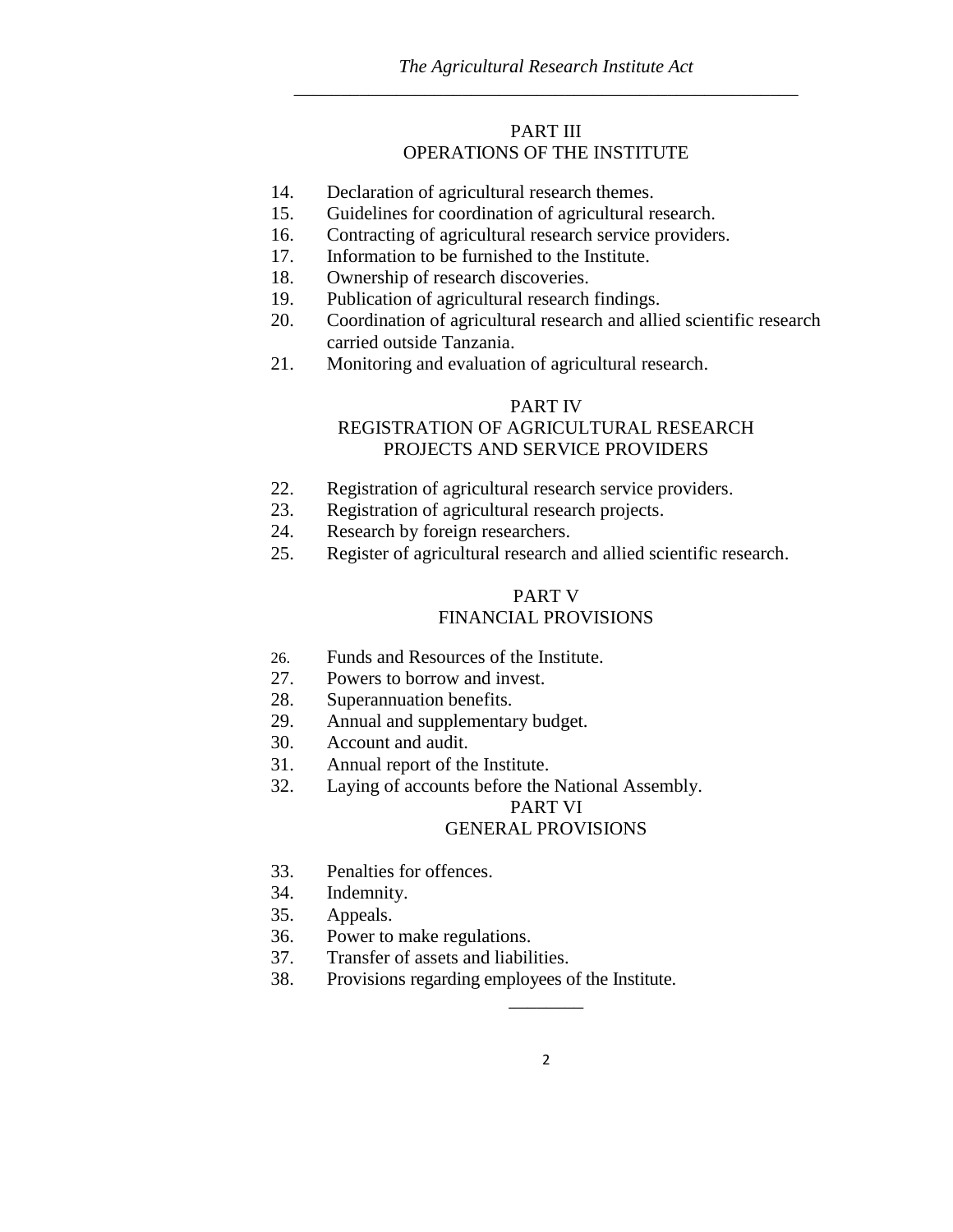## PART III OPERATIONS OF THE INSTITUTE

- 14. Declaration of agricultural research themes.
- 15. Guidelines for coordination of agricultural research.
- 16. Contracting of agricultural research service providers.
- 17. Information to be furnished to the Institute.
- 18. Ownership of research discoveries.
- 19. Publication of agricultural research findings.
- 20. Coordination of agricultural research and allied scientific research carried outside Tanzania.
- 21. Monitoring and evaluation of agricultural research.

#### PART IV

# REGISTRATION OF AGRICULTURAL RESEARCH PROJECTS AND SERVICE PROVIDERS

- 22. Registration of agricultural research service providers.
- 23. Registration of agricultural research projects.
- 24. Research by foreign researchers.
- 25. Register of agricultural research and allied scientific research.

# PART V

# FINANCIAL PROVISIONS

- 26. Funds and Resources of the Institute.
- 27. Powers to borrow and invest.
- 28. Superannuation benefits.
- 29. Annual and supplementary budget.
- 30. Account and audit.
- 31. Annual report of the Institute.
- 32. Laying of accounts before the National Assembly.

# PART VI

#### GENERAL PROVISIONS

- 33. Penalties for offences.
- 34. Indemnity.
- 35. Appeals.
- 36. Power to make regulations.
- 37. Transfer of assets and liabilities.
- 38. Provisions regarding employees of the Institute.

 $\overline{\phantom{a}}$  . The set of the set of the set of the set of the set of the set of the set of the set of the set of the set of the set of the set of the set of the set of the set of the set of the set of the set of the set o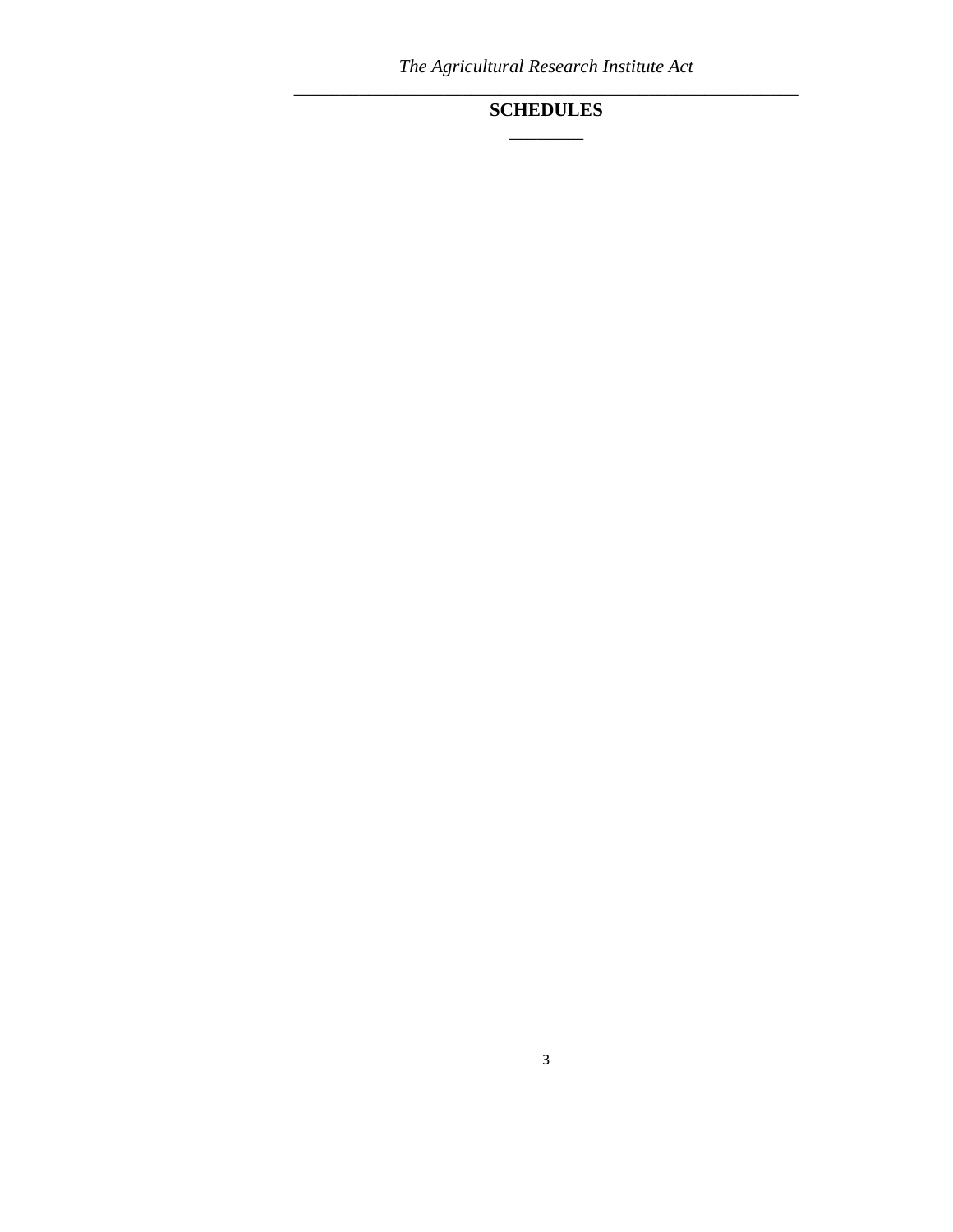*The Agricultural Research Institute Act \_\_\_\_\_\_\_\_\_\_\_\_\_\_\_\_\_\_\_\_\_\_\_\_\_\_\_\_\_\_\_\_\_\_\_\_\_\_\_\_\_\_\_\_\_\_\_\_\_\_\_\_\_\_*

# **SCHEDULES** \_\_\_\_\_\_\_\_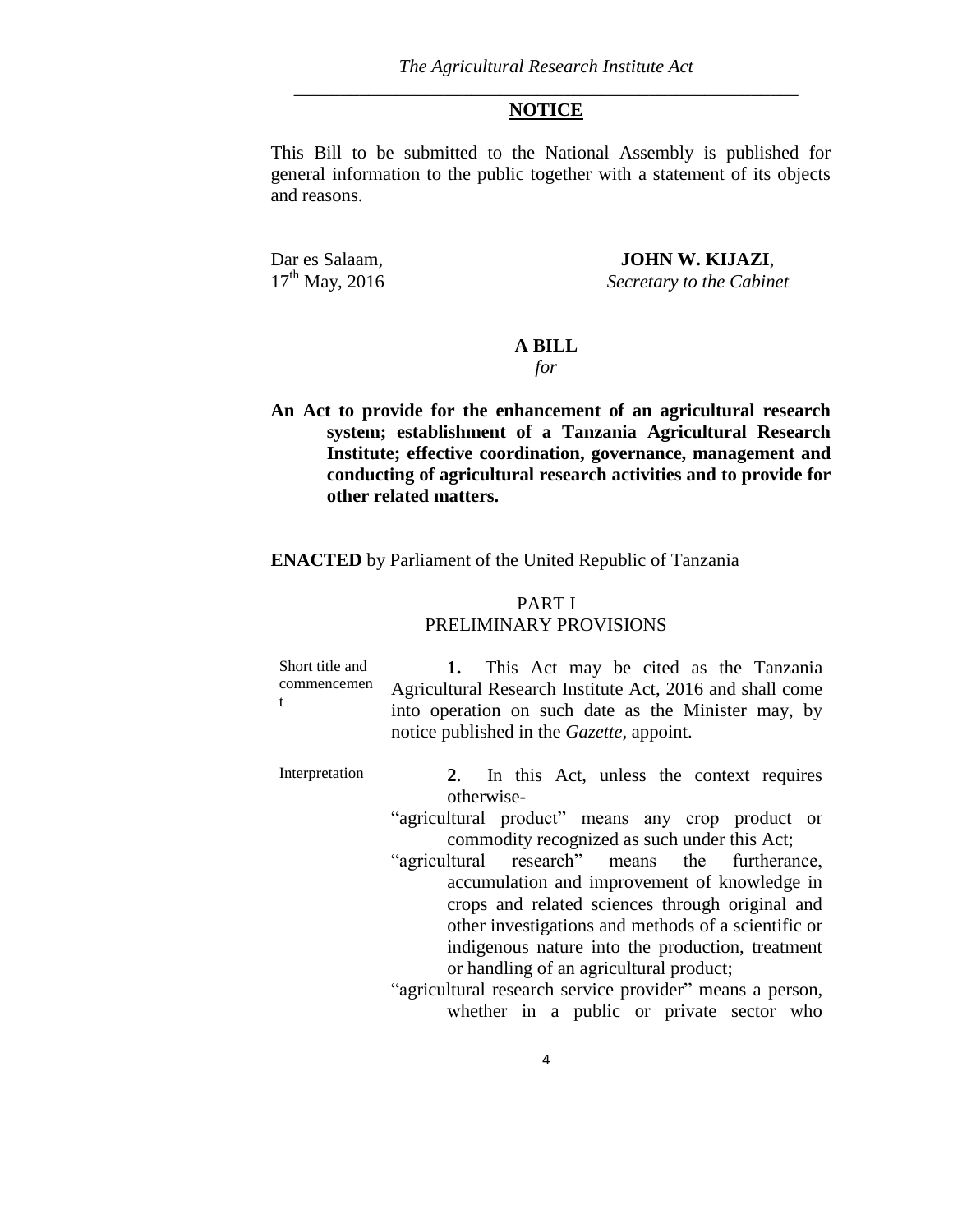#### **NOTICE**

This Bill to be submitted to the National Assembly is published for general information to the public together with a statement of its objects and reasons.

Dar es Salaam, **JOHN W. KIJAZI**,<br>17<sup>th</sup> May, 2016 Secretary to the Cabine **Secretary to the Cabinet** 

# **A BILL**

*for*

**An Act to provide for the enhancement of an agricultural research system; establishment of a Tanzania Agricultural Research Institute; effective coordination, governance, management and conducting of agricultural research activities and to provide for other related matters.** 

**ENACTED** by Parliament of the United Republic of Tanzania

## PART I PRELIMINARY PROVISIONS

| Short title and<br>commencemen | 1. This Act may be cited as the Tanzania<br>Agricultural Research Institute Act, 2016 and shall come<br>into operation on such date as the Minister may, by<br>notice published in the <i>Gazette</i> , appoint. |
|--------------------------------|------------------------------------------------------------------------------------------------------------------------------------------------------------------------------------------------------------------|
| Interpretation                 | In this Act, unless the context requires<br>2.                                                                                                                                                                   |

otherwise-

"agricultural product" means any crop product or commodity recognized as such under this Act;

"agricultural research" means the furtherance, accumulation and improvement of knowledge in crops and related sciences through original and other investigations and methods of a scientific or indigenous nature into the production, treatment or handling of an agricultural product;

"agricultural research service provider" means a person, whether in a public or private sector who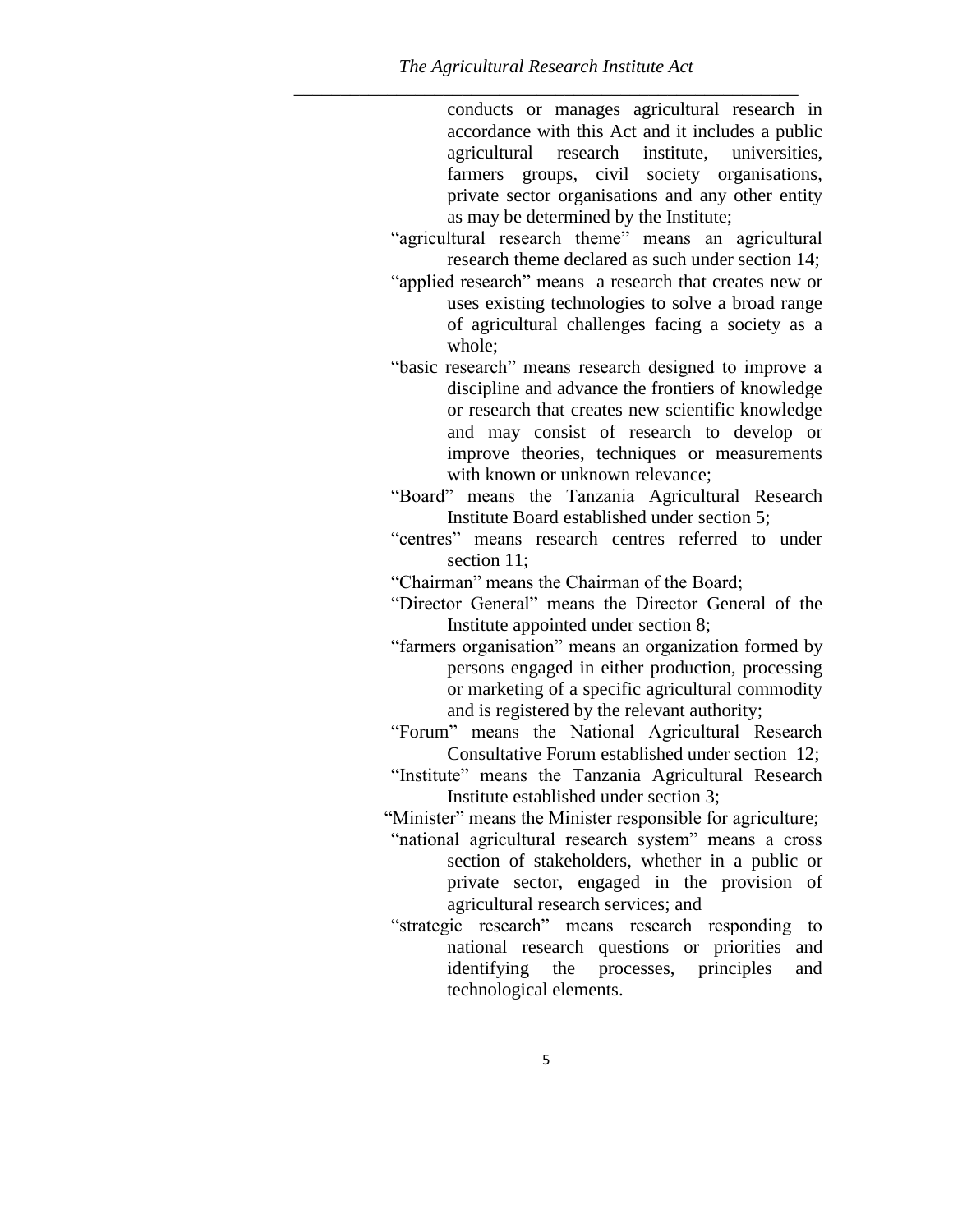conducts or manages agricultural research in accordance with this Act and it includes a public agricultural research institute, universities, farmers groups, civil society organisations, private sector organisations and any other entity as may be determined by the Institute;

"agricultural research theme" means an agricultural research theme declared as such under section 14;

"applied research" means a research that creates new or uses existing technologies to solve a broad range of agricultural challenges facing a society as a whole;

"basic research" means research designed to improve a discipline and advance the frontiers of knowledge or research that creates new scientific knowledge and may consist of research to develop or improve theories, techniques or measurements with known or unknown relevance;

"Board" means the Tanzania Agricultural Research Institute Board established under section 5;

"centres" means research centres referred to under section 11;

"Chairman" means the Chairman of the Board;

- "Director General" means the Director General of the Institute appointed under section 8;
- "farmers organisation" means an organization formed by persons engaged in either production, processing or marketing of a specific agricultural commodity and is registered by the relevant authority;

"Forum" means the National Agricultural Research Consultative Forum established under section 12;

"Institute" means the Tanzania Agricultural Research Institute established under section 3;

"Minister" means the Minister responsible for agriculture;

"national agricultural research system" means a cross section of stakeholders, whether in a public or private sector, engaged in the provision of agricultural research services; and

"strategic research" means research responding to national research questions or priorities and identifying the processes, principles and technological elements.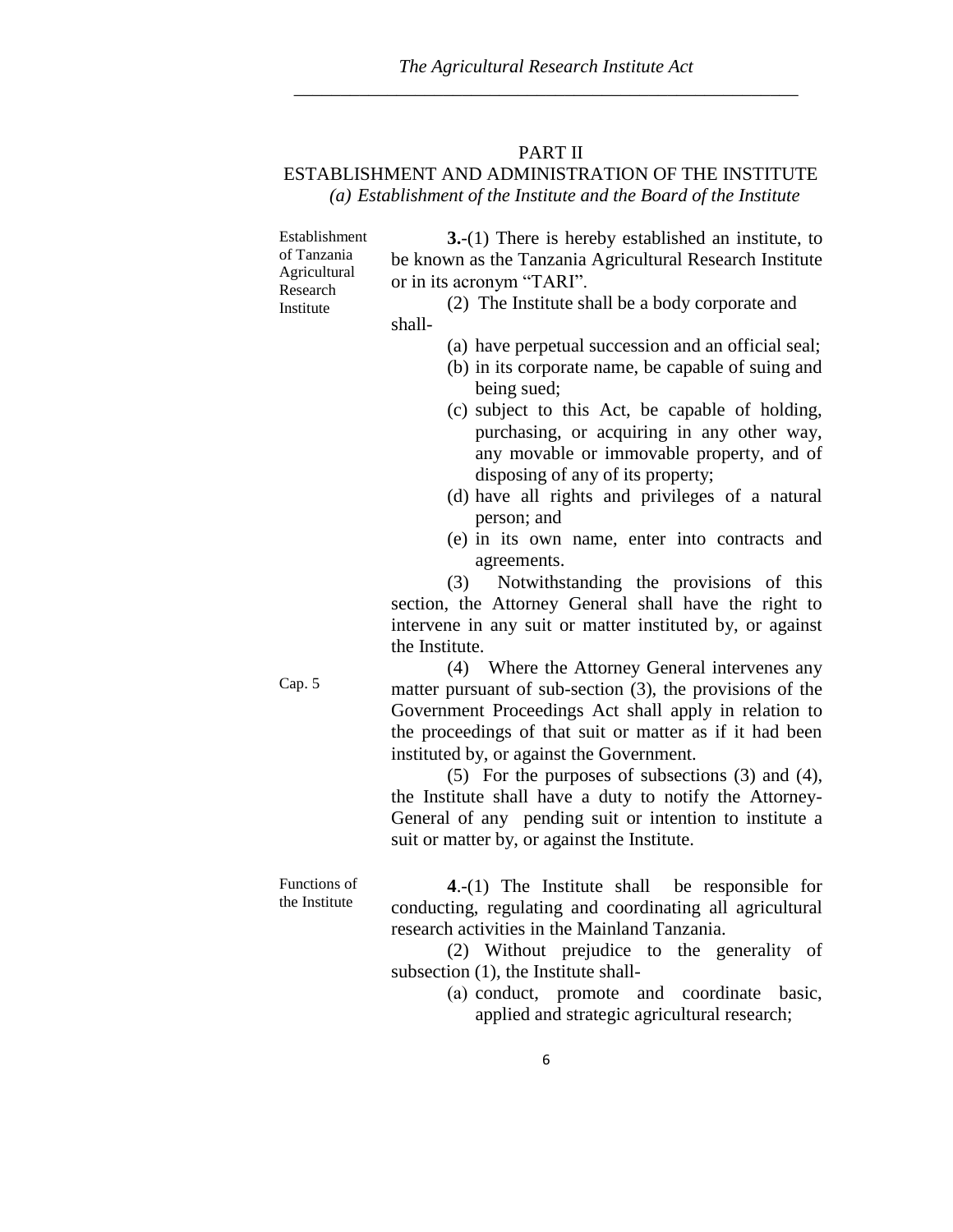## PART II

# ESTABLISHMENT AND ADMINISTRATION OF THE INSTITUTE *(a) Establishment of the Institute and the Board of the Institute*

Establishment of Tanzania Agricultural Research Institute

**3.**-(1) There is hereby established an institute, to be known as the Tanzania Agricultural Research Institute or in its acronym "TARI".

(2) The Institute shall be a body corporate and shall-

- (a) have perpetual succession and an official seal;
- (b) in its corporate name, be capable of suing and being sued;
- (c) subject to this Act, be capable of holding, purchasing, or acquiring in any other way, any movable or immovable property, and of disposing of any of its property;
- (d) have all rights and privileges of a natural person; and
- (e) in its own name, enter into contracts and agreements.

(3) Notwithstanding the provisions of this section, the Attorney General shall have the right to intervene in any suit or matter instituted by, or against the Institute.

(4) Where the Attorney General intervenes any matter pursuant of sub-section (3), the provisions of the Government Proceedings Act shall apply in relation to the proceedings of that suit or matter as if it had been instituted by, or against the Government.

(5) For the purposes of subsections (3) and (4), the Institute shall have a duty to notify the Attorney-General of any pending suit or intention to institute a suit or matter by, or against the Institute.

**4**.-(1) The Institute shall be responsible for conducting, regulating and coordinating all agricultural research activities in the Mainland Tanzania.

> (2) Without prejudice to the generality of subsection (1), the Institute shall-

> > (a) conduct, promote and coordinate basic, applied and strategic agricultural research;

Functions of the Institute

Cap. 5

6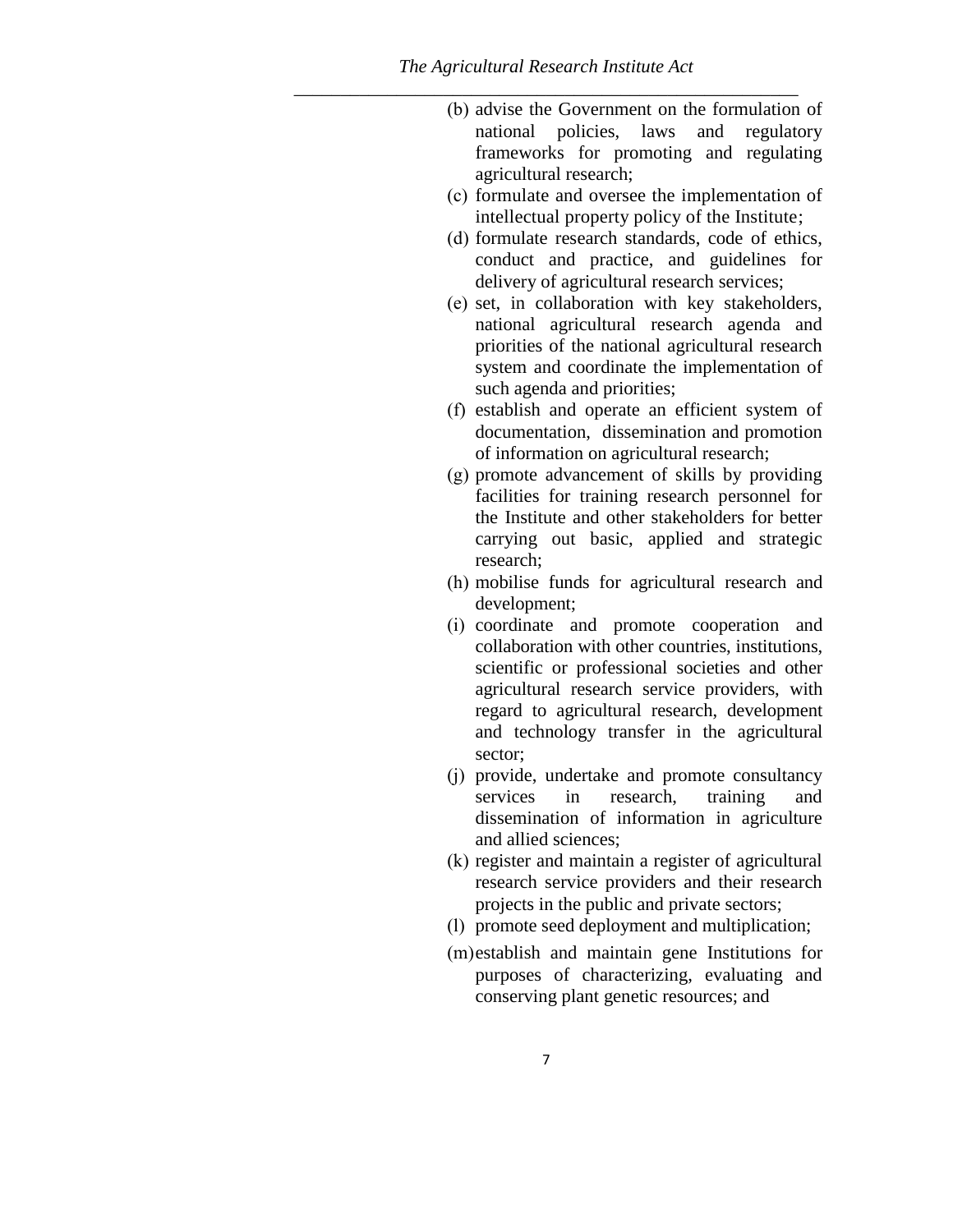- (b) advise the Government on the formulation of national policies, laws and regulatory frameworks for promoting and regulating agricultural research;
- (c) formulate and oversee the implementation of intellectual property policy of the Institute;
- (d) formulate research standards, code of ethics, conduct and practice, and guidelines for delivery of agricultural research services;
- (e) set, in collaboration with key stakeholders, national agricultural research agenda and priorities of the national agricultural research system and coordinate the implementation of such agenda and priorities;
- (f) establish and operate an efficient system of documentation, dissemination and promotion of information on agricultural research;
- (g) promote advancement of skills by providing facilities for training research personnel for the Institute and other stakeholders for better carrying out basic, applied and strategic research;
- (h) mobilise funds for agricultural research and development;
- (i) coordinate and promote cooperation and collaboration with other countries, institutions, scientific or professional societies and other agricultural research service providers, with regard to agricultural research, development and technology transfer in the agricultural sector;
- (j) provide, undertake and promote consultancy services in research, training and dissemination of information in agriculture and allied sciences;
- (k) register and maintain a register of agricultural research service providers and their research projects in the public and private sectors;
- (l) promote seed deployment and multiplication;
- (m)establish and maintain gene Institutions for purposes of characterizing, evaluating and conserving plant genetic resources; and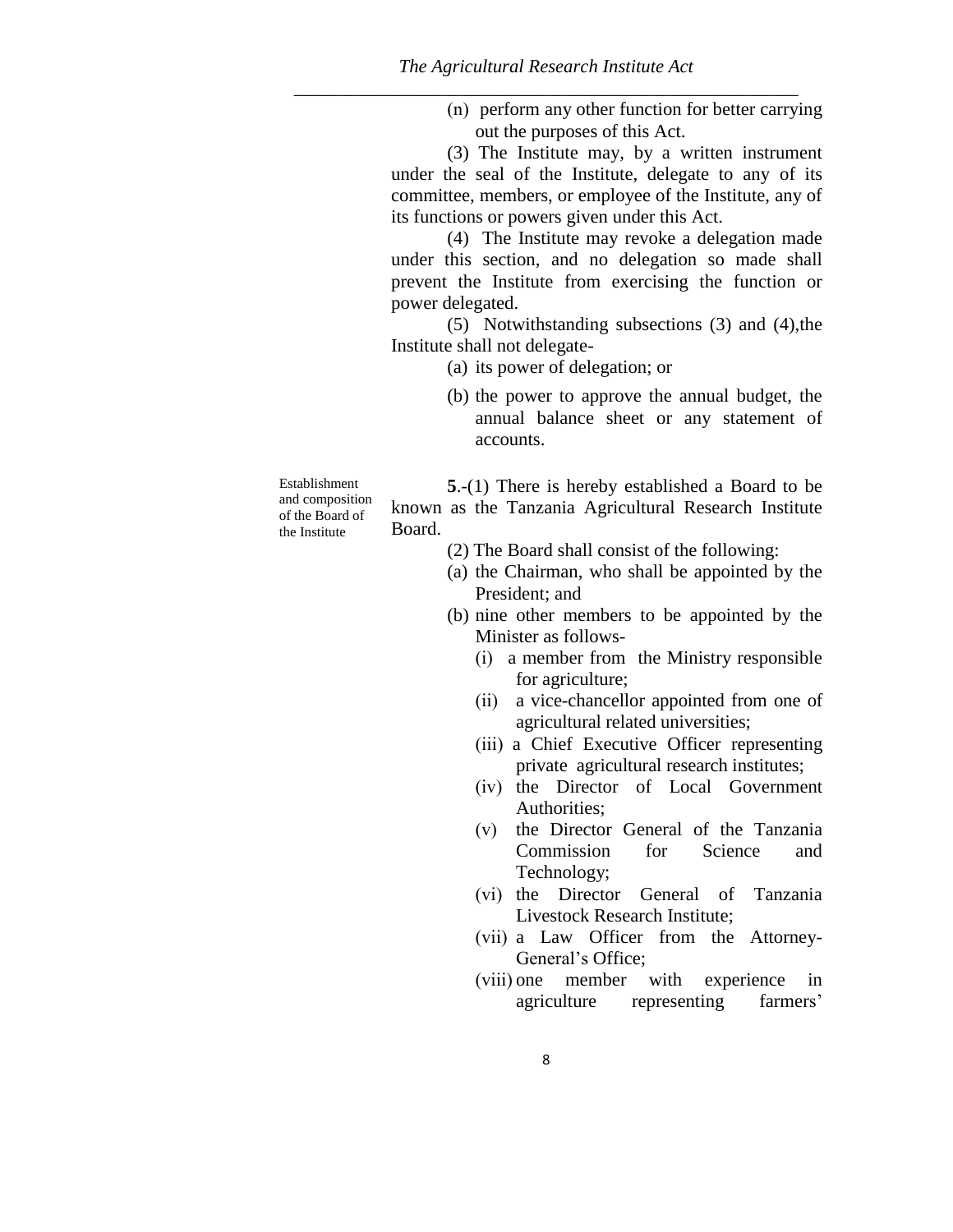(n) perform any other function for better carrying out the purposes of this Act.

(3) The Institute may, by a written instrument under the seal of the Institute, delegate to any of its committee, members, or employee of the Institute, any of its functions or powers given under this Act.

(4) The Institute may revoke a delegation made under this section, and no delegation so made shall prevent the Institute from exercising the function or power delegated.

(5) Notwithstanding subsections (3) and (4),the Institute shall not delegate-

(a) its power of delegation; or

(b) the power to approve the annual budget, the annual balance sheet or any statement of accounts.

Establishment and composition of the Board of the Institute

**5**.-(1) There is hereby established a Board to be known as the Tanzania Agricultural Research Institute Board.

- (2) The Board shall consist of the following:
- (a) the Chairman, who shall be appointed by the President; and
- (b) nine other members to be appointed by the Minister as follows-
	- (i) a member from the Ministry responsible for agriculture;
	- (ii) a vice-chancellor appointed from one of agricultural related universities;
	- (iii) a Chief Executive Officer representing private agricultural research institutes;
	- (iv) the Director of Local Government Authorities;
	- (v) the Director General of the Tanzania Commission for Science and Technology;
	- (vi) the Director General of Tanzania Livestock Research Institute;
	- (vii) a Law Officer from the Attorney-General's Office;
	- (viii) one member with experience in agriculture representing farmers'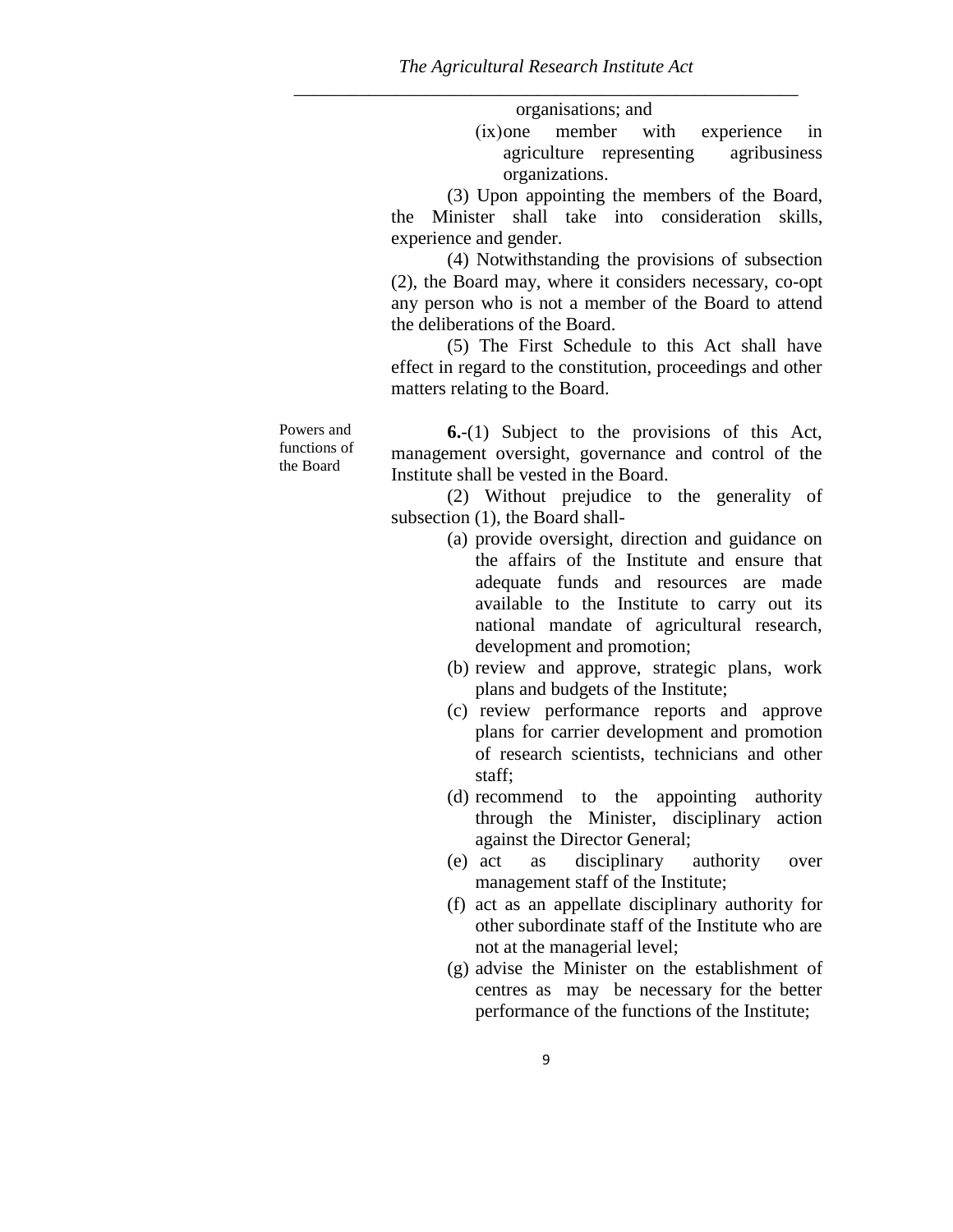organisations; and

(ix)one member with experience in agriculture representing agribusiness organizations.

(3) Upon appointing the members of the Board, the Minister shall take into consideration skills, experience and gender.

(4) Notwithstanding the provisions of subsection (2), the Board may, where it considers necessary, co-opt any person who is not a member of the Board to attend the deliberations of the Board.

(5) The First Schedule to this Act shall have effect in regard to the constitution, proceedings and other matters relating to the Board.

Powers and functions of the Board

**6.**-(1) Subject to the provisions of this Act, management oversight, governance and control of the Institute shall be vested in the Board.

(2) Without prejudice to the generality of subsection (1), the Board shall-

- (a) provide oversight, direction and guidance on the affairs of the Institute and ensure that adequate funds and resources are made available to the Institute to carry out its national mandate of agricultural research, development and promotion;
- (b) review and approve, strategic plans, work plans and budgets of the Institute;
- (c) review performance reports and approve plans for carrier development and promotion of research scientists, technicians and other staff;
- (d) recommend to the appointing authority through the Minister, disciplinary action against the Director General;
- (e) act as disciplinary authority over management staff of the Institute;
- (f) act as an appellate disciplinary authority for other subordinate staff of the Institute who are not at the managerial level;
- (g) advise the Minister on the establishment of centres as may be necessary for the better performance of the functions of the Institute;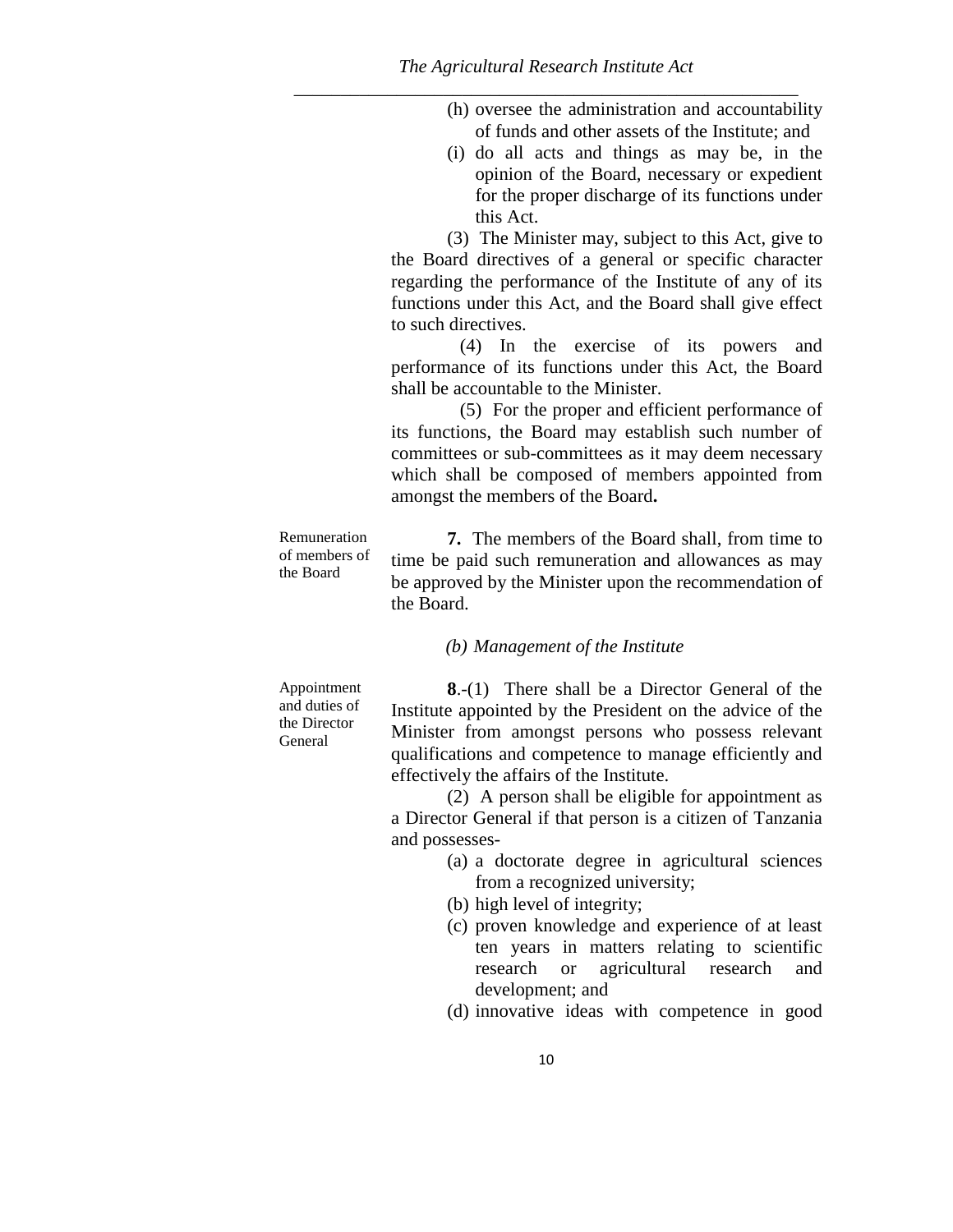- (h) oversee the administration and accountability of funds and other assets of the Institute; and
- (i) do all acts and things as may be, in the opinion of the Board, necessary or expedient for the proper discharge of its functions under this Act.

(3) The Minister may, subject to this Act, give to the Board directives of a general or specific character regarding the performance of the Institute of any of its functions under this Act, and the Board shall give effect to such directives.

(4) In the exercise of its powers and performance of its functions under this Act, the Board shall be accountable to the Minister.

(5) For the proper and efficient performance of its functions, the Board may establish such number of committees or sub-committees as it may deem necessary which shall be composed of members appointed from amongst the members of the Board**.**

Remuneration of members of the Board **7.** The members of the Board shall, from time to time be paid such remuneration and allowances as may be approved by the Minister upon the recommendation of the Board.

## *(b) Management of the Institute*

Appointment and duties of the Director General

**8**.-(1) There shall be a Director General of the Institute appointed by the President on the advice of the Minister from amongst persons who possess relevant qualifications and competence to manage efficiently and effectively the affairs of the Institute.

(2) A person shall be eligible for appointment as a Director General if that person is a citizen of Tanzania and possesses-

- (a) a doctorate degree in agricultural sciences from a recognized university;
- (b) high level of integrity;
- (c) proven knowledge and experience of at least ten years in matters relating to scientific research or agricultural research and development; and
- (d) innovative ideas with competence in good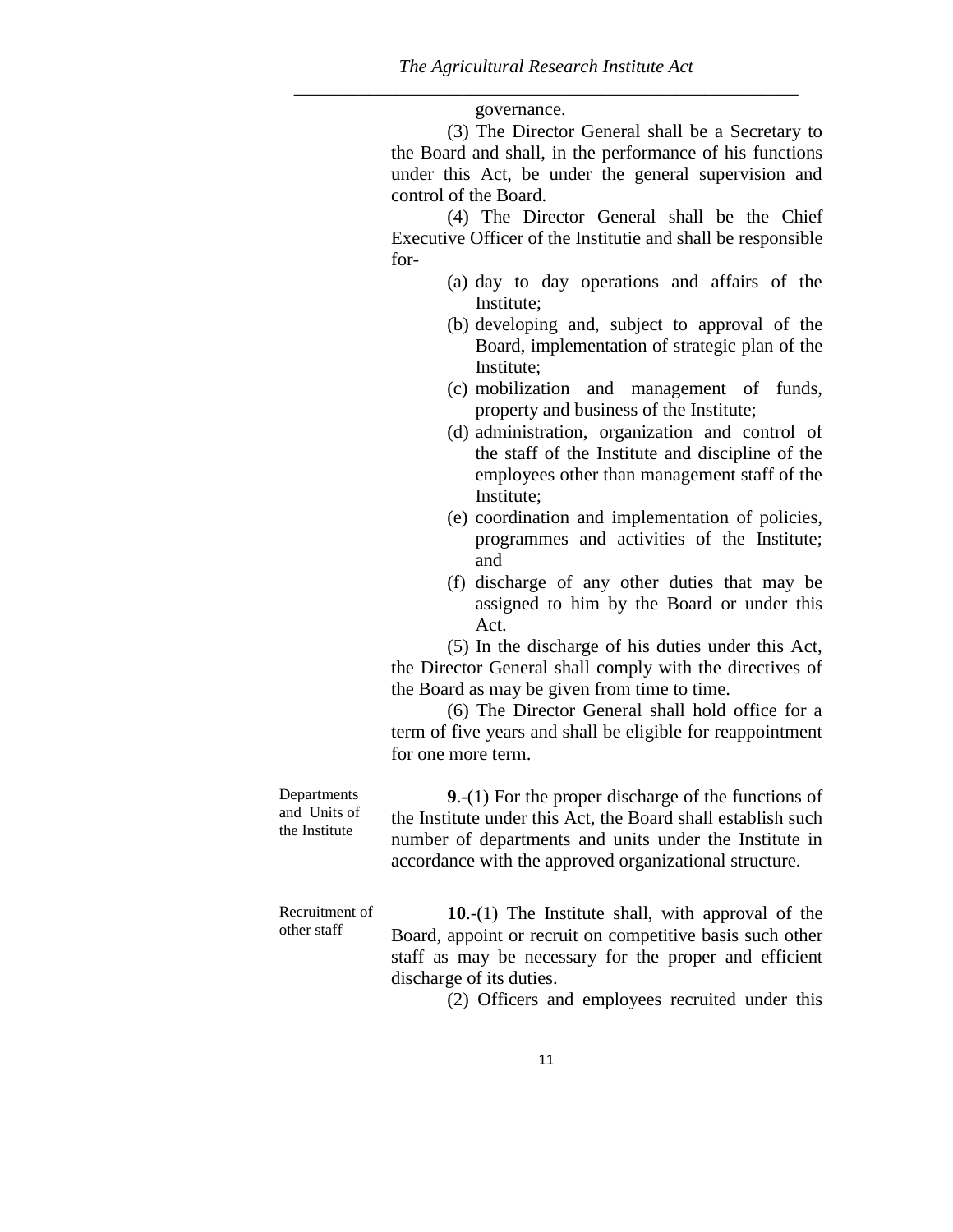governance.

(3) The Director General shall be a Secretary to the Board and shall, in the performance of his functions under this Act, be under the general supervision and control of the Board.

(4) The Director General shall be the Chief Executive Officer of the Institutie and shall be responsible for-

- (a) day to day operations and affairs of the Institute;
- (b) developing and, subject to approval of the Board, implementation of strategic plan of the Institute;
- (c) mobilization and management of funds, property and business of the Institute;
- (d) administration, organization and control of the staff of the Institute and discipline of the employees other than management staff of the Institute;
- (e) coordination and implementation of policies, programmes and activities of the Institute; and
- (f) discharge of any other duties that may be assigned to him by the Board or under this Act.

(5) In the discharge of his duties under this Act, the Director General shall comply with the directives of the Board as may be given from time to time.

(6) The Director General shall hold office for a term of five years and shall be eligible for reappointment for one more term.

Departments and Units of the Institute **9**.-(1) For the proper discharge of the functions of the Institute under this Act, the Board shall establish such number of departments and units under the Institute in accordance with the approved organizational structure.

Recruitment of other staff **10**.-(1) The Institute shall, with approval of the Board, appoint or recruit on competitive basis such other staff as may be necessary for the proper and efficient discharge of its duties.

(2) Officers and employees recruited under this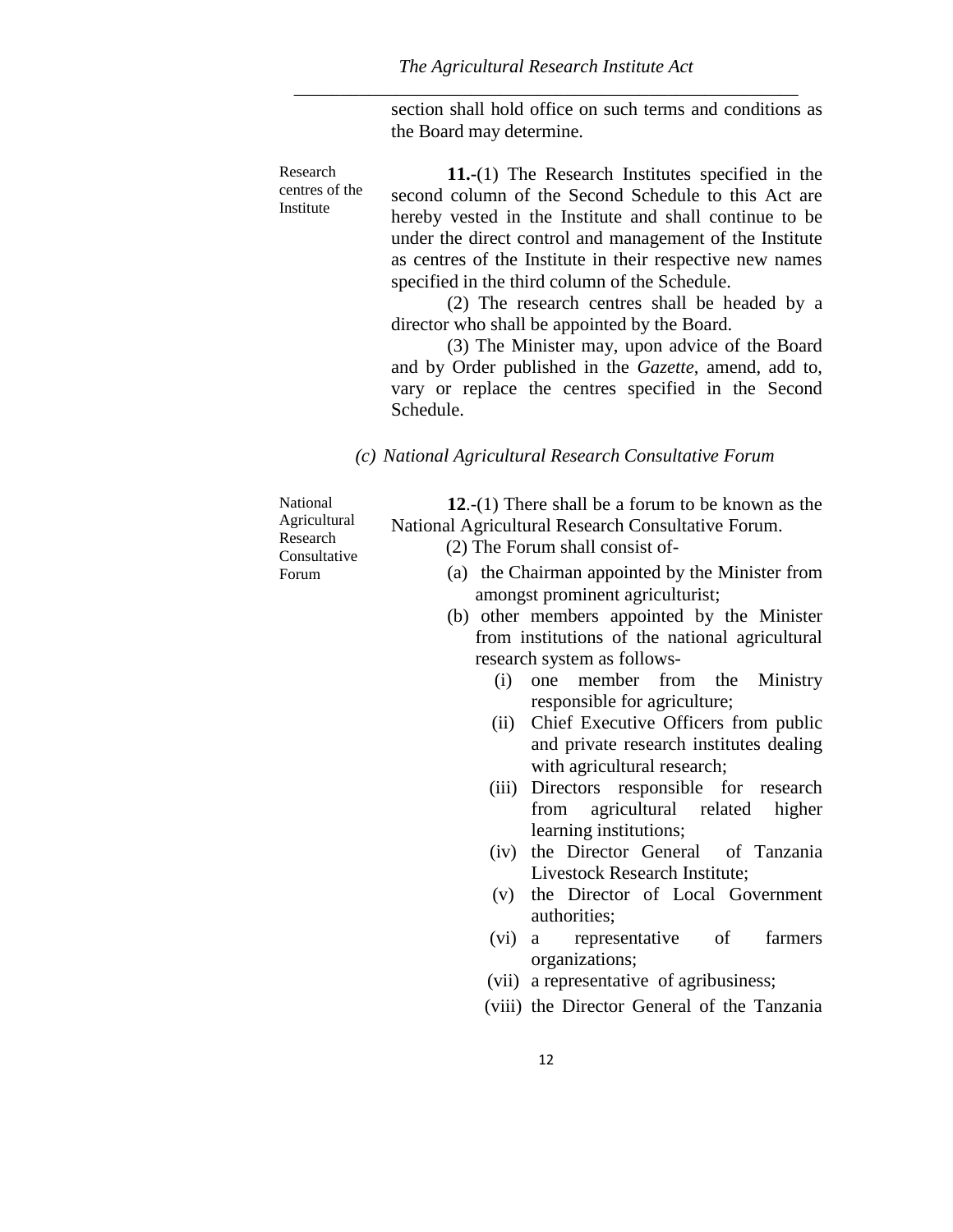section shall hold office on such terms and conditions as the Board may determine.

Research centres of the Institute **11.-**(1) The Research Institutes specified in the second column of the Second Schedule to this Act are hereby vested in the Institute and shall continue to be under the direct control and management of the Institute as centres of the Institute in their respective new names specified in the third column of the Schedule.

> (2) The research centres shall be headed by a director who shall be appointed by the Board.

> (3) The Minister may, upon advice of the Board and by Order published in the *Gazette*, amend, add to, vary or replace the centres specified in the Second Schedule.

## *(c) National Agricultural Research Consultative Forum*

National Agricultural Research Consultative Forum

(2) The Forum shall consist of-

National Agricultural Research Consultative Forum.

(a) the Chairman appointed by the Minister from amongst prominent agriculturist;

**12**.-(1) There shall be a forum to be known as the

- (b) other members appointed by the Minister from institutions of the national agricultural research system as follows-
	- (i) one member from the Ministry responsible for agriculture;
	- (ii) Chief Executive Officers from public and private research institutes dealing with agricultural research;
	- (iii) Directors responsible for research from agricultural related higher learning institutions;
	- (iv) the Director General of Tanzania Livestock Research Institute;
	- (v) the Director of Local Government authorities;
	- (vi) a representative of farmers organizations;
	- (vii) a representative of agribusiness;
	- (viii) the Director General of the Tanzania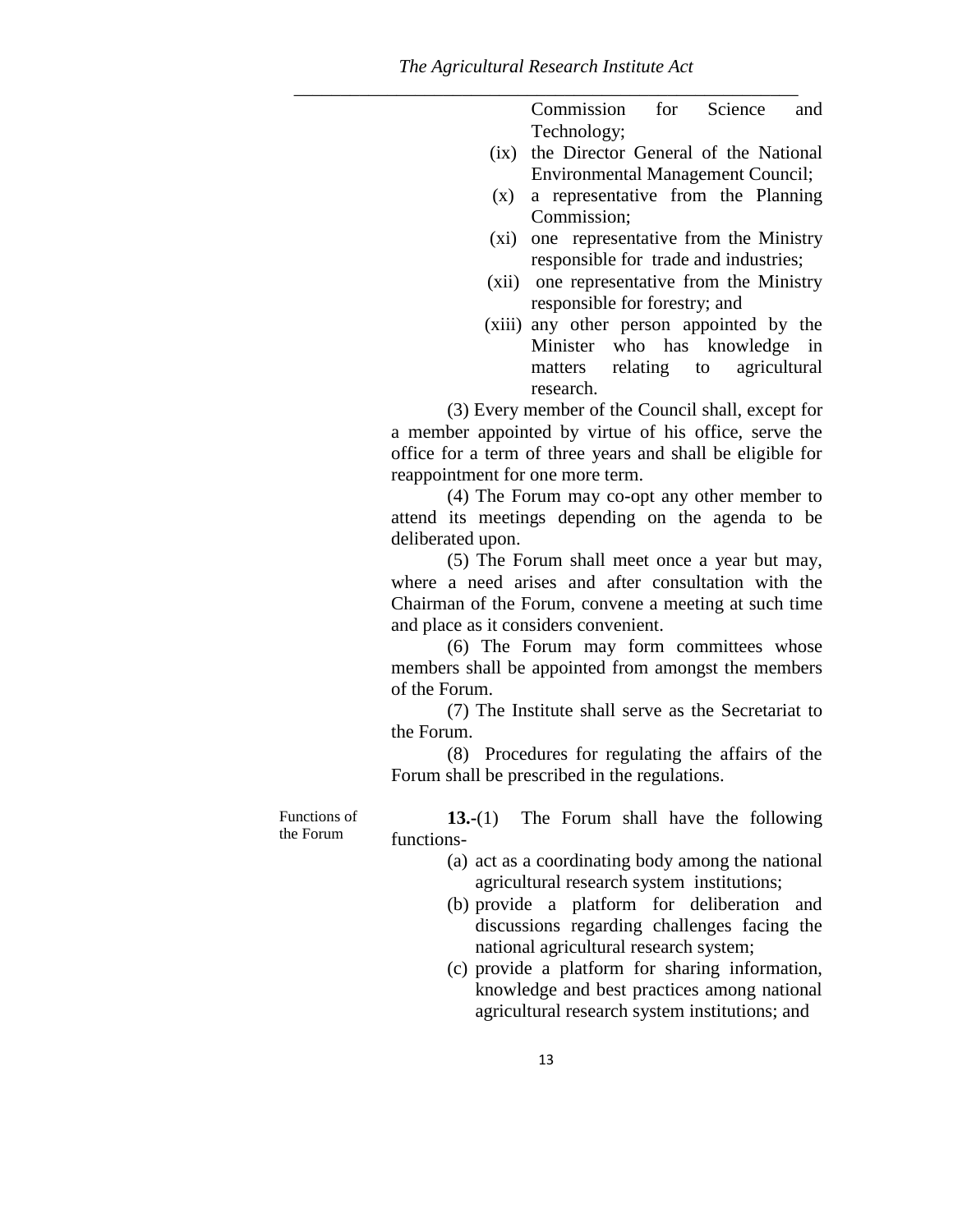Commission for Science and Technology;

- (ix) the Director General of the National Environmental Management Council;
- (x) a representative from the Planning Commission;
- (xi) one representative from the Ministry responsible for trade and industries;
- (xii) one representative from the Ministry responsible for forestry; and
- (xiii) any other person appointed by the Minister who has knowledge in matters relating to agricultural research.

(3) Every member of the Council shall, except for a member appointed by virtue of his office, serve the office for a term of three years and shall be eligible for reappointment for one more term.

(4) The Forum may co-opt any other member to attend its meetings depending on the agenda to be deliberated upon.

(5) The Forum shall meet once a year but may, where a need arises and after consultation with the Chairman of the Forum, convene a meeting at such time and place as it considers convenient.

(6) The Forum may form committees whose members shall be appointed from amongst the members of the Forum.

(7) The Institute shall serve as the Secretariat to the Forum.

(8) Procedures for regulating the affairs of the Forum shall be prescribed in the regulations.

Functions of the Forum

**13.-**(1) The Forum shall have the following functions-

- (a) act as a coordinating body among the national agricultural research system institutions;
- (b) provide a platform for deliberation and discussions regarding challenges facing the national agricultural research system;
- (c) provide a platform for sharing information, knowledge and best practices among national agricultural research system institutions; and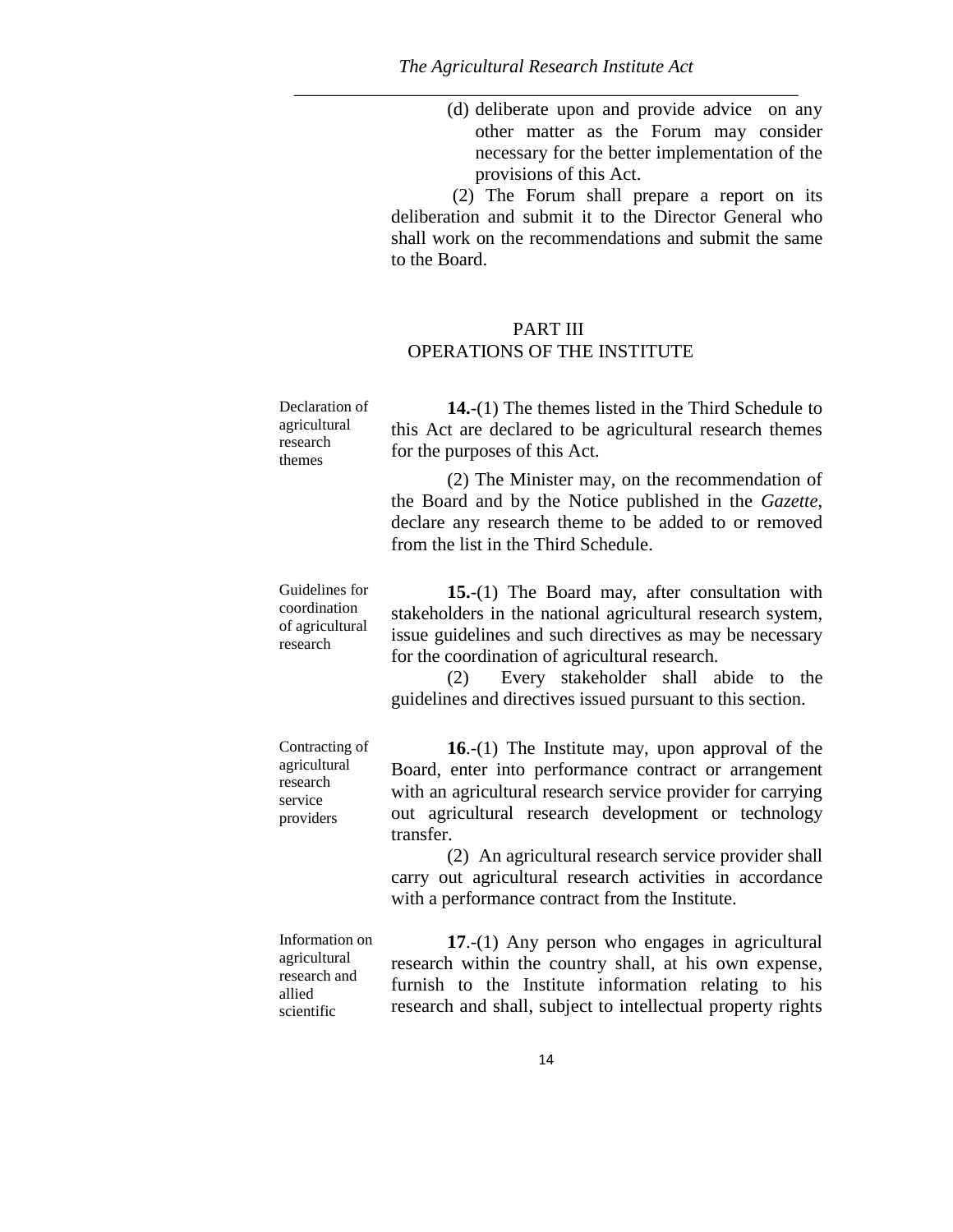(d) deliberate upon and provide advice on any other matter as the Forum may consider necessary for the better implementation of the provisions of this Act.

(2) The Forum shall prepare a report on its deliberation and submit it to the Director General who shall work on the recommendations and submit the same to the Board.

## PART III OPERATIONS OF THE INSTITUTE

| Declaration of<br>agricultural | <b>14.</b> - $(1)$ The themes listed in the Third Schedule to<br>this Act are declared to be agricultural research themes |
|--------------------------------|---------------------------------------------------------------------------------------------------------------------------|
| research<br>themes             | for the purposes of this Act.                                                                                             |
|                                | (2) The Minister may, on the recommendation of                                                                            |

the Board and by the Notice published in the *Gazette*, declare any research theme to be added to or removed from the list in the Third Schedule.

Guidelines for coordination of agricultural research **15.**-(1) The Board may, after consultation with stakeholders in the national agricultural research system, issue guidelines and such directives as may be necessary for the coordination of agricultural research.

> (2) Every stakeholder shall abide to the guidelines and directives issued pursuant to this section.

Contracting of agricultural research service providers **16**.-(1) The Institute may, upon approval of the Board, enter into performance contract or arrangement with an agricultural research service provider for carrying out agricultural research development or technology transfer.

> (2) An agricultural research service provider shall carry out agricultural research activities in accordance with a performance contract from the Institute.

Information on agricultural research and allied scientific **17**.-(1) Any person who engages in agricultural research within the country shall, at his own expense, furnish to the Institute information relating to his research and shall, subject to intellectual property rights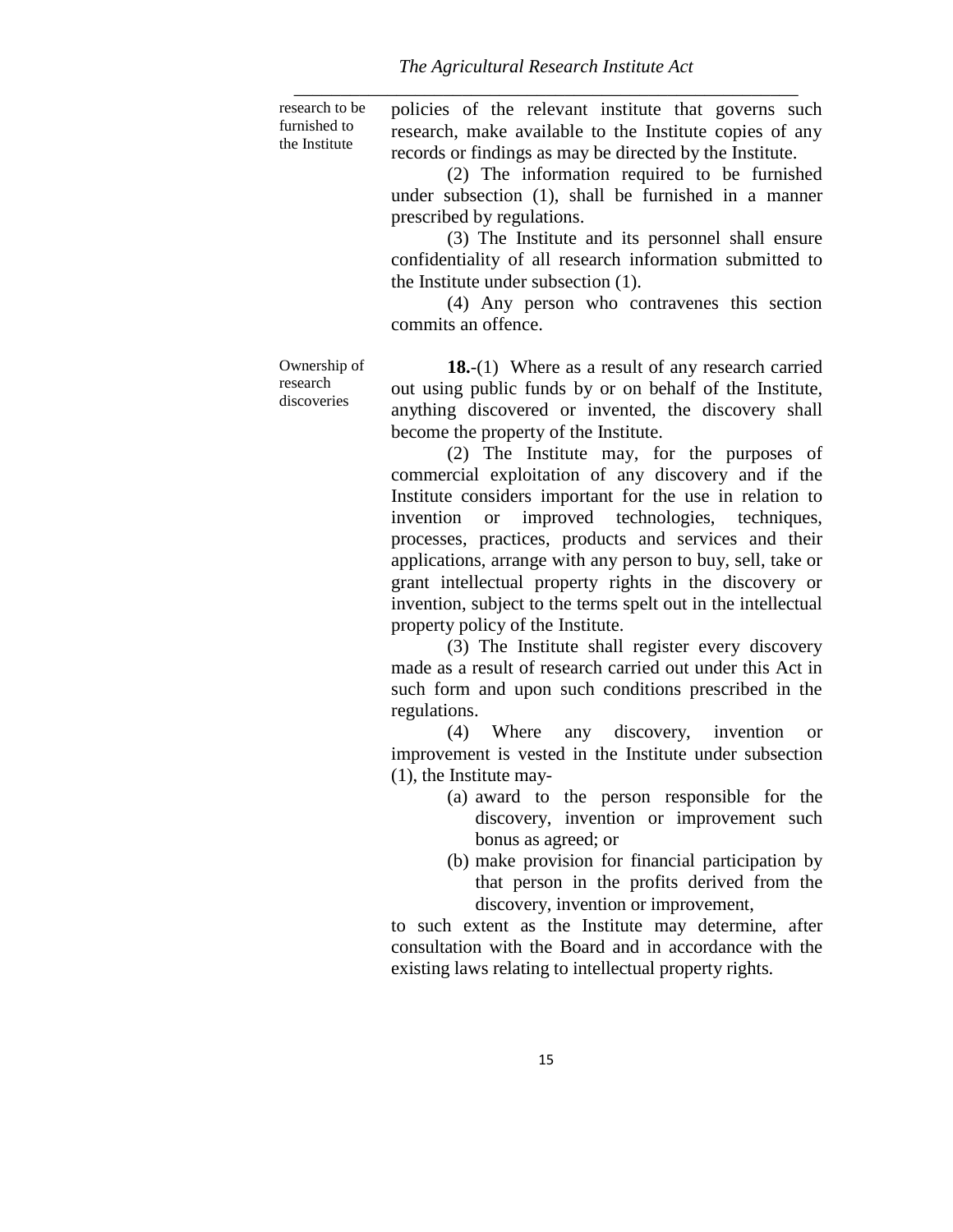research to be furnished to the Institute policies of the relevant institute that governs such research, make available to the Institute copies of any records or findings as may be directed by the Institute.

> (2) The information required to be furnished under subsection (1), shall be furnished in a manner prescribed by regulations.

> (3) The Institute and its personnel shall ensure confidentiality of all research information submitted to the Institute under subsection (1).

> (4) Any person who contravenes this section commits an offence.

Ownership of research discoveries

**18.**-(1) Where as a result of any research carried out using public funds by or on behalf of the Institute, anything discovered or invented, the discovery shall become the property of the Institute.

(2) The Institute may, for the purposes of commercial exploitation of any discovery and if the Institute considers important for the use in relation to invention or improved technologies, techniques, processes, practices, products and services and their applications, arrange with any person to buy, sell, take or grant intellectual property rights in the discovery or invention, subject to the terms spelt out in the intellectual property policy of the Institute.

(3) The Institute shall register every discovery made as a result of research carried out under this Act in such form and upon such conditions prescribed in the regulations.

(4) Where any discovery, invention or improvement is vested in the Institute under subsection (1), the Institute may-

- (a) award to the person responsible for the discovery, invention or improvement such bonus as agreed; or
- (b) make provision for financial participation by that person in the profits derived from the discovery, invention or improvement,

to such extent as the Institute may determine, after consultation with the Board and in accordance with the existing laws relating to intellectual property rights.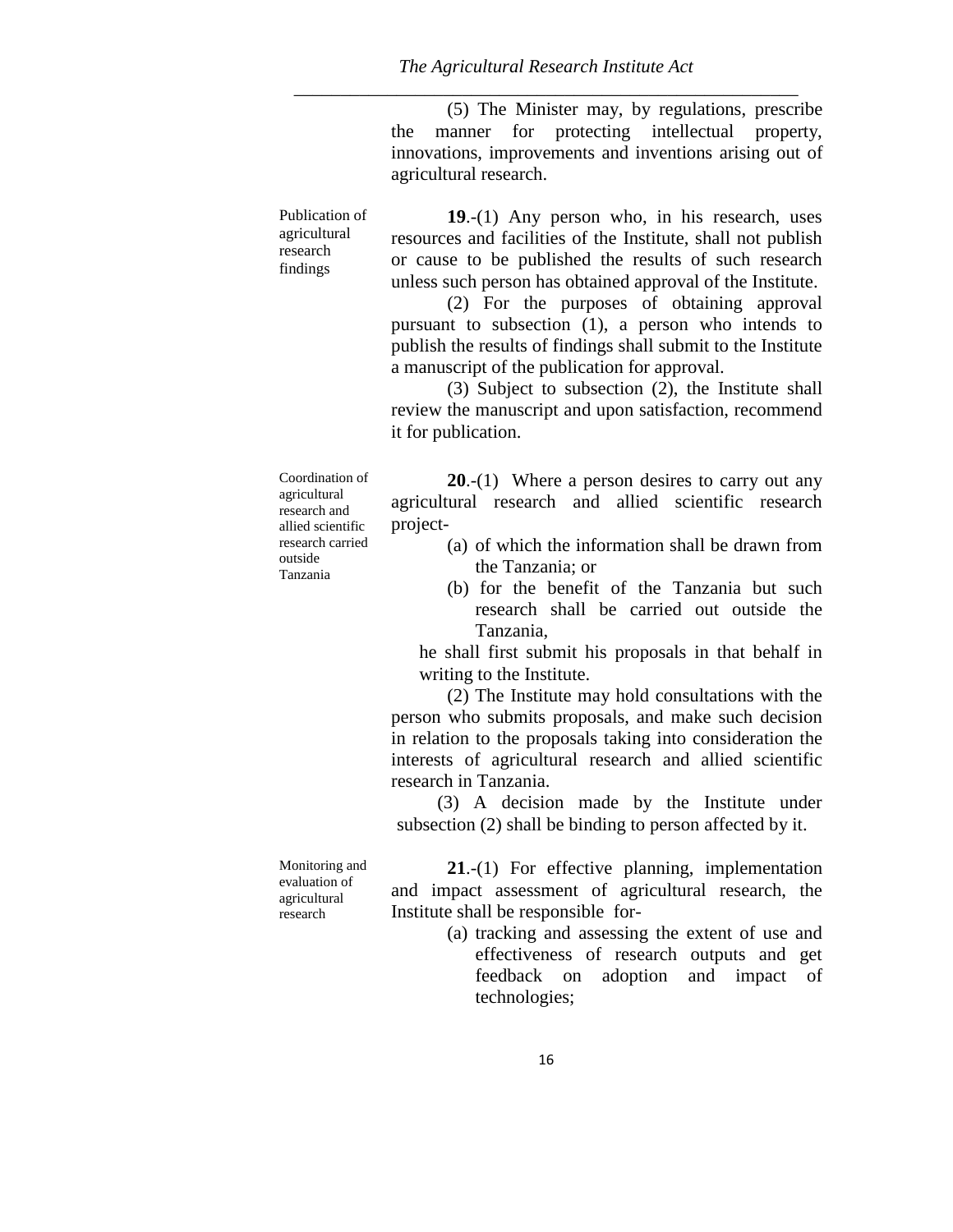(5) The Minister may, by regulations, prescribe the manner for protecting intellectual property, innovations, improvements and inventions arising out of agricultural research.

Publication of agricultural research findings

**19**.-(1) Any person who, in his research, uses resources and facilities of the Institute, shall not publish or cause to be published the results of such research unless such person has obtained approval of the Institute.

(2) For the purposes of obtaining approval pursuant to subsection (1), a person who intends to publish the results of findings shall submit to the Institute a manuscript of the publication for approval.

(3) Subject to subsection (2), the Institute shall review the manuscript and upon satisfaction, recommend it for publication.

Coordination of agricultural research and allied scientific research carried outside Tanzania

**20**.-(1) Where a person desires to carry out any agricultural research and allied scientific research project-

- (a) of which the information shall be drawn from the Tanzania; or
- (b) for the benefit of the Tanzania but such research shall be carried out outside the Tanzania,

he shall first submit his proposals in that behalf in writing to the Institute.

(2) The Institute may hold consultations with the person who submits proposals, and make such decision in relation to the proposals taking into consideration the interests of agricultural research and allied scientific research in Tanzania.

(3) A decision made by the Institute under subsection (2) shall be binding to person affected by it.

Monitoring and evaluation of agricultural research

**21**.-(1) For effective planning, implementation and impact assessment of agricultural research, the Institute shall be responsible for-

> (a) tracking and assessing the extent of use and effectiveness of research outputs and get feedback on adoption and impact of technologies;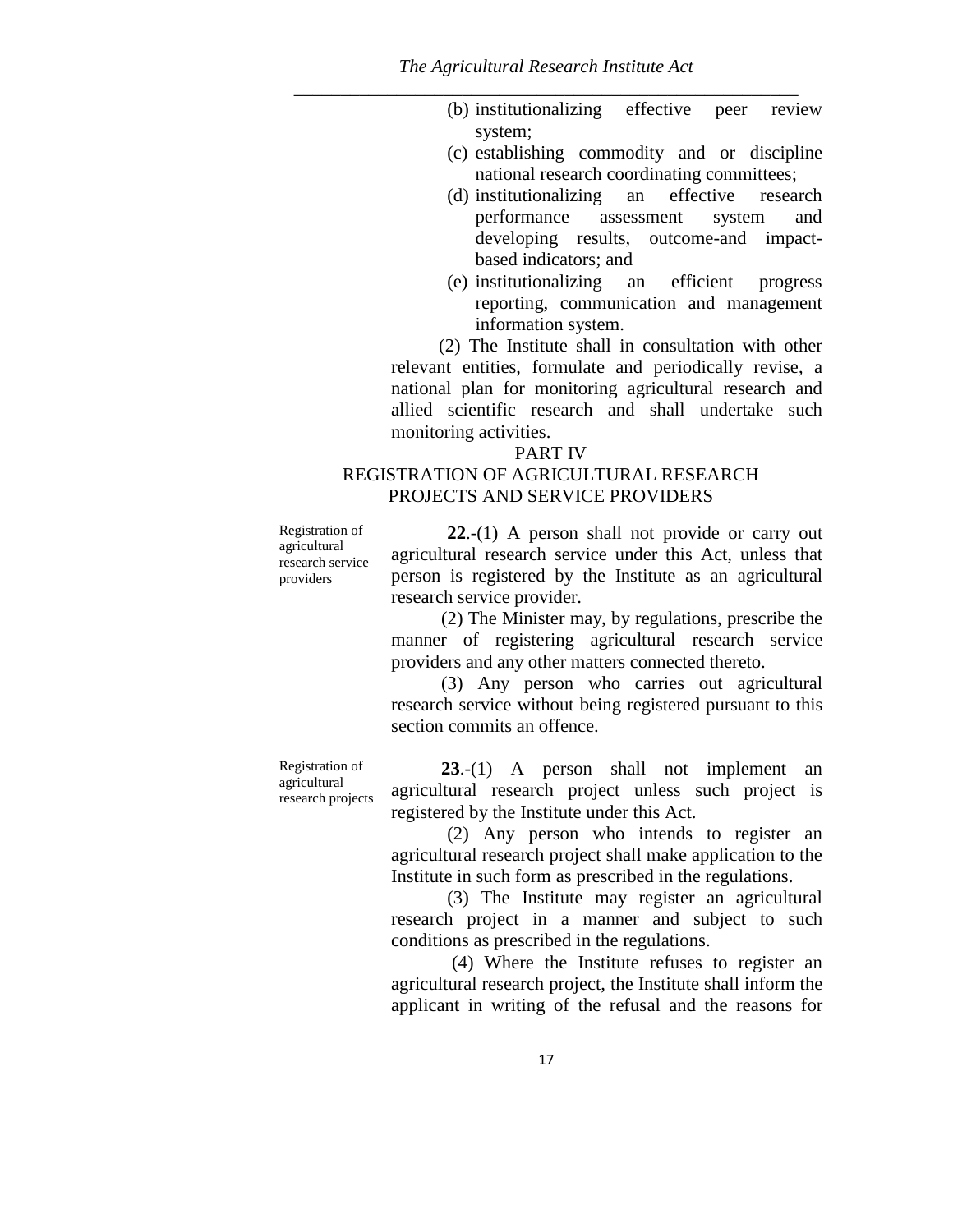- (b) institutionalizing effective peer review system;
- (c) establishing commodity and or discipline national research coordinating committees;
- (d) institutionalizing an effective research performance assessment system and developing results, outcome-and impactbased indicators; and
- (e) institutionalizing an efficient progress reporting, communication and management information system.

(2) The Institute shall in consultation with other relevant entities, formulate and periodically revise, a national plan for monitoring agricultural research and allied scientific research and shall undertake such monitoring activities.

#### PART IV

## REGISTRATION OF AGRICULTURAL RESEARCH PROJECTS AND SERVICE PROVIDERS

Registration of agricultural research service providers

**22**.-(1) A person shall not provide or carry out agricultural research service under this Act, unless that person is registered by the Institute as an agricultural research service provider.

(2) The Minister may, by regulations, prescribe the manner of registering agricultural research service providers and any other matters connected thereto.

(3) Any person who carries out agricultural research service without being registered pursuant to this section commits an offence.

Registration of agricultural research projects

**23**.-(1) A person shall not implement an agricultural research project unless such project is registered by the Institute under this Act.

(2) Any person who intends to register an agricultural research project shall make application to the Institute in such form as prescribed in the regulations.

(3) The Institute may register an agricultural research project in a manner and subject to such conditions as prescribed in the regulations.

(4) Where the Institute refuses to register an agricultural research project, the Institute shall inform the applicant in writing of the refusal and the reasons for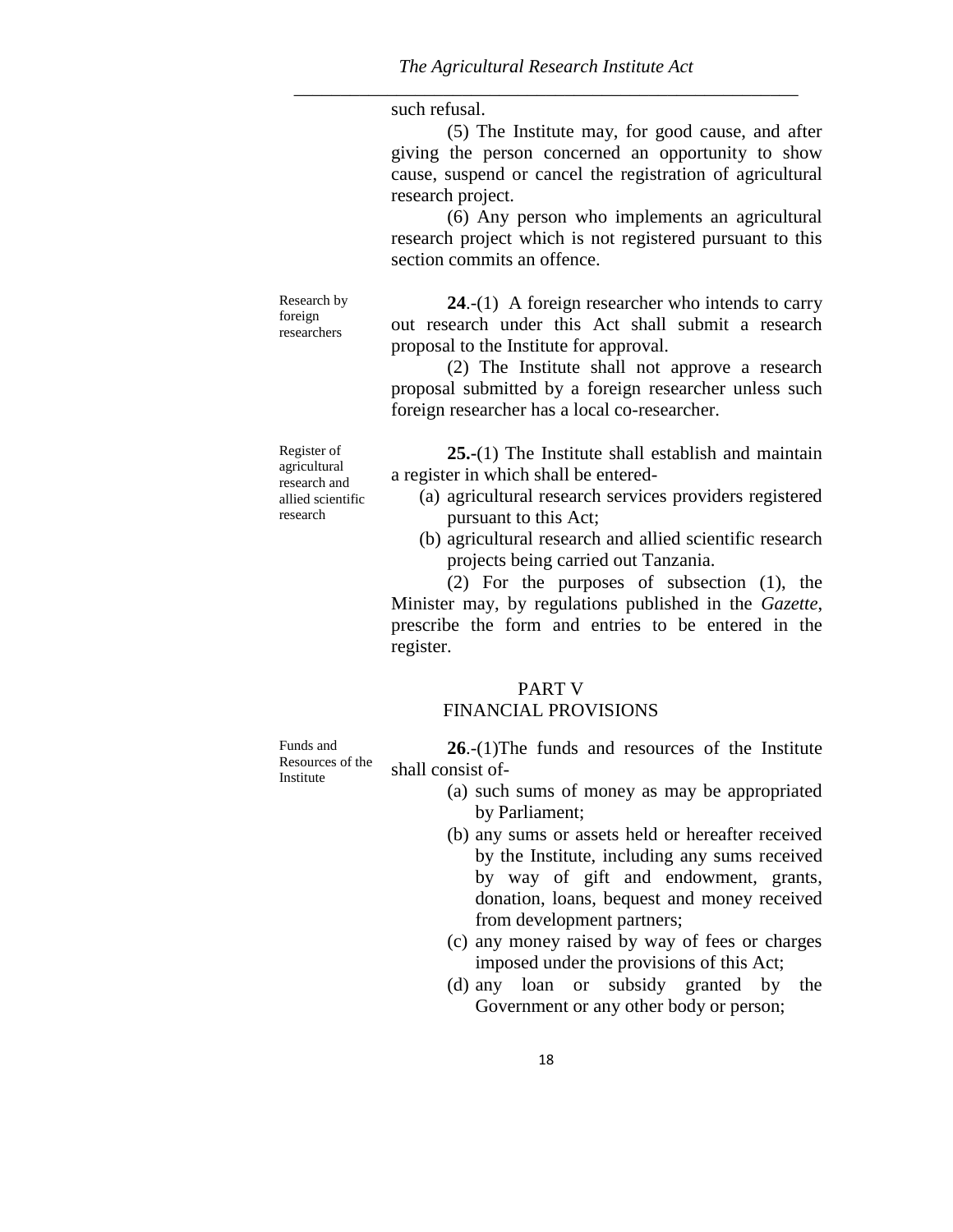such refusal.

(5) The Institute may, for good cause, and after giving the person concerned an opportunity to show cause, suspend or cancel the registration of agricultural research project.

(6) Any person who implements an agricultural research project which is not registered pursuant to this section commits an offence.

Research by foreign researchers

**24**.-(1) A foreign researcher who intends to carry out research under this Act shall submit a research proposal to the Institute for approval.

(2) The Institute shall not approve a research proposal submitted by a foreign researcher unless such foreign researcher has a local co-researcher.

**25.-**(1) The Institute shall establish and maintain a register in which shall be entered-

- (a) agricultural research services providers registered pursuant to this Act;
- (b) agricultural research and allied scientific research projects being carried out Tanzania.

(2) For the purposes of subsection (1), the Minister may, by regulations published in the *Gazette*, prescribe the form and entries to be entered in the register.

## PART V FINANCIAL PROVISIONS

Funds and Resources of the **Institute 26**.-(1)The funds and resources of the Institute shall consist of-

- (a) such sums of money as may be appropriated by Parliament;
- (b) any sums or assets held or hereafter received by the Institute, including any sums received by way of gift and endowment, grants, donation, loans, bequest and money received from development partners;
- (c) any money raised by way of fees or charges imposed under the provisions of this Act;
- (d) any loan or subsidy granted by the Government or any other body or person;

Register of agricultural research and allied scientific research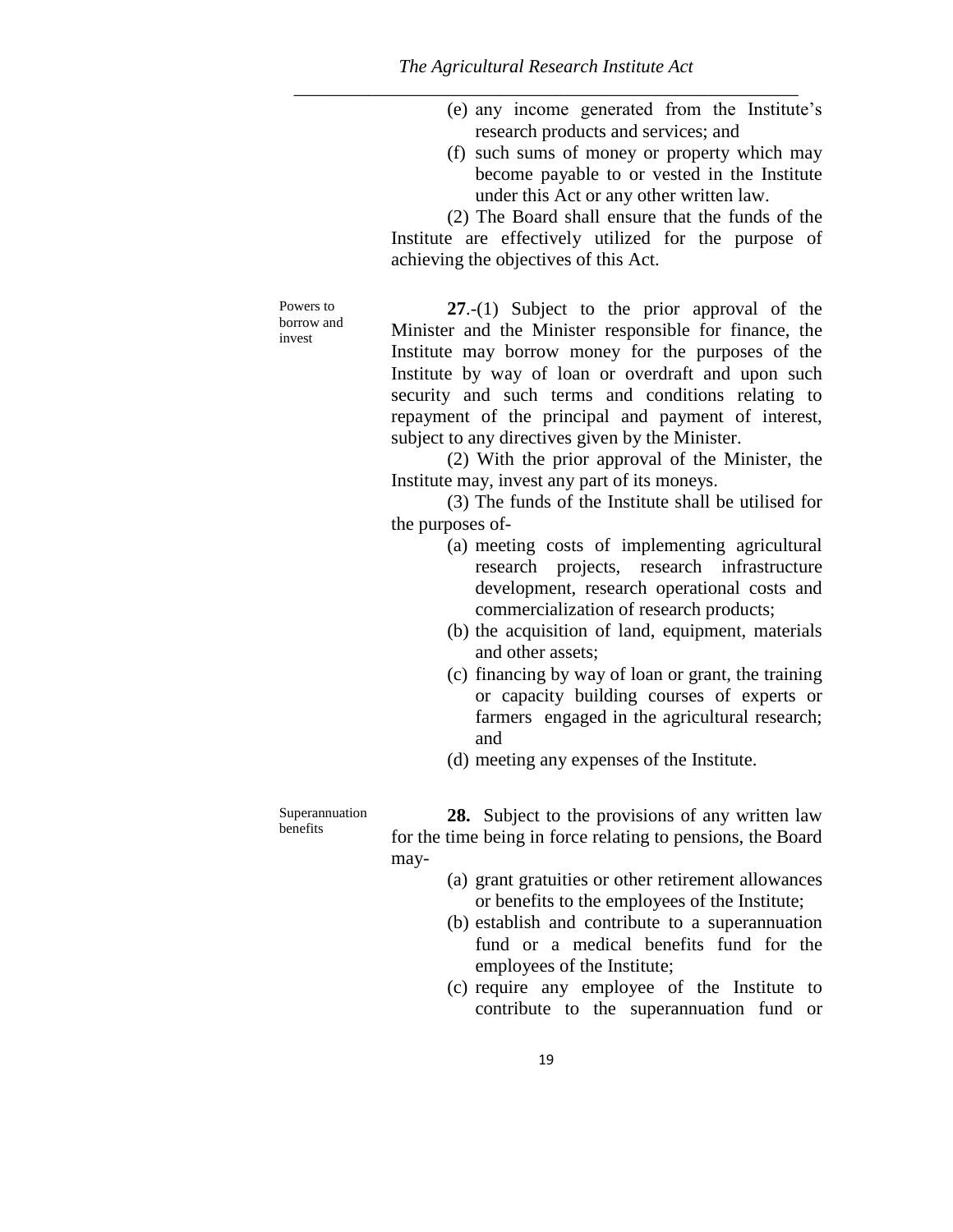- (e) any income generated from the Institute's research products and services; and
- (f) such sums of money or property which may become payable to or vested in the Institute under this Act or any other written law.

(2) The Board shall ensure that the funds of the Institute are effectively utilized for the purpose of achieving the objectives of this Act.

Powers to borrow and invest

**27**.-(1) Subject to the prior approval of the Minister and the Minister responsible for finance, the Institute may borrow money for the purposes of the Institute by way of loan or overdraft and upon such security and such terms and conditions relating to repayment of the principal and payment of interest, subject to any directives given by the Minister.

(2) With the prior approval of the Minister, the Institute may, invest any part of its moneys.

(3) The funds of the Institute shall be utilised for the purposes of-

- (a) meeting costs of implementing agricultural research projects, research infrastructure development, research operational costs and commercialization of research products;
- (b) the acquisition of land, equipment, materials and other assets;
- (c) financing by way of loan or grant, the training or capacity building courses of experts or farmers engaged in the agricultural research; and
- (d) meeting any expenses of the Institute.

Superannuation benefits

**28.** Subject to the provisions of any written law for the time being in force relating to pensions, the Board may-

- (a) grant gratuities or other retirement allowances or benefits to the employees of the Institute;
- (b) establish and contribute to a superannuation fund or a medical benefits fund for the employees of the Institute;
- (c) require any employee of the Institute to contribute to the superannuation fund or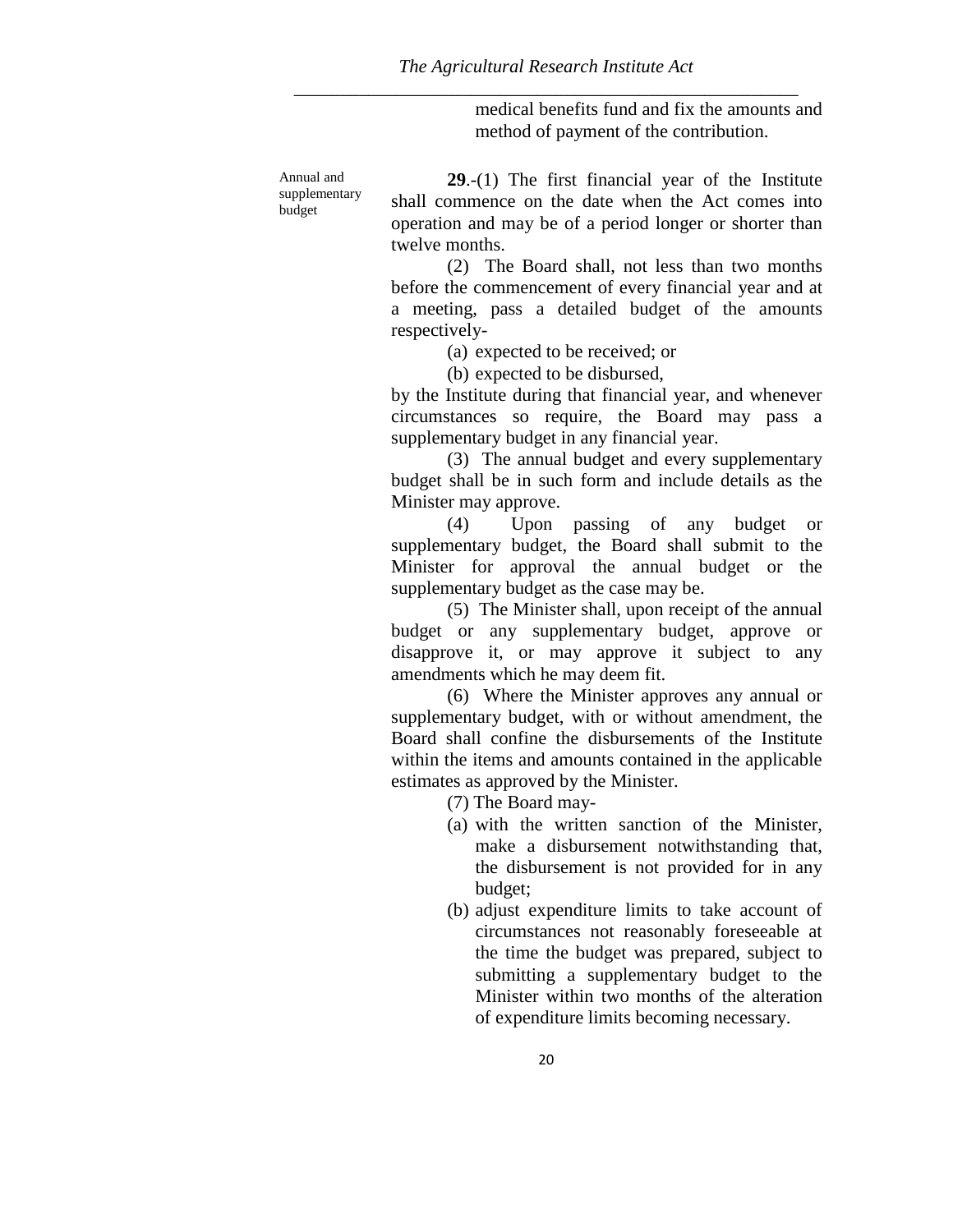medical benefits fund and fix the amounts and method of payment of the contribution.

Annual and supplementary budget

**29**.-(1) The first financial year of the Institute shall commence on the date when the Act comes into operation and may be of a period longer or shorter than twelve months.

(2) The Board shall, not less than two months before the commencement of every financial year and at a meeting, pass a detailed budget of the amounts respectively-

(a) expected to be received; or

(b) expected to be disbursed,

by the Institute during that financial year, and whenever circumstances so require, the Board may pass a supplementary budget in any financial year.

(3) The annual budget and every supplementary budget shall be in such form and include details as the Minister may approve.

(4) Upon passing of any budget or supplementary budget, the Board shall submit to the Minister for approval the annual budget or the supplementary budget as the case may be.

(5) The Minister shall, upon receipt of the annual budget or any supplementary budget, approve or disapprove it, or may approve it subject to any amendments which he may deem fit.

(6) Where the Minister approves any annual or supplementary budget, with or without amendment, the Board shall confine the disbursements of the Institute within the items and amounts contained in the applicable estimates as approved by the Minister.

(7) The Board may-

- (a) with the written sanction of the Minister, make a disbursement notwithstanding that, the disbursement is not provided for in any budget;
- (b) adjust expenditure limits to take account of circumstances not reasonably foreseeable at the time the budget was prepared, subject to submitting a supplementary budget to the Minister within two months of the alteration of expenditure limits becoming necessary.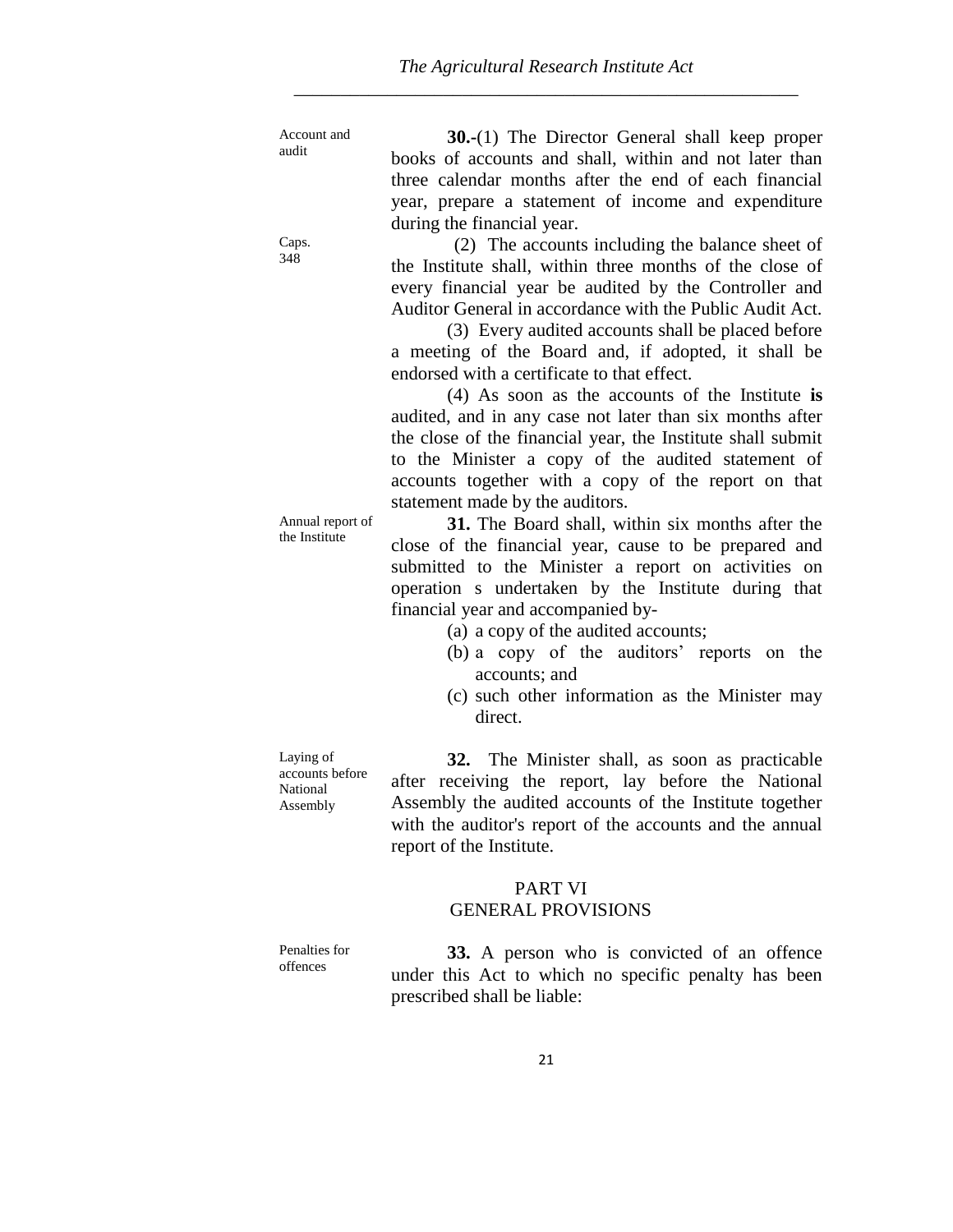Account and audit

**30.-**(1) The Director General shall keep proper books of accounts and shall, within and not later than three calendar months after the end of each financial year, prepare a statement of income and expenditure during the financial year.

(2) The accounts including the balance sheet of the Institute shall, within three months of the close of every financial year be audited by the Controller and Auditor General in accordance with the Public Audit Act.

(3) Every audited accounts shall be placed before a meeting of the Board and, if adopted, it shall be endorsed with a certificate to that effect.

(4) As soon as the accounts of the Institute **is** audited, and in any case not later than six months after the close of the financial year, the Institute shall submit to the Minister a copy of the audited statement of accounts together with a copy of the report on that statement made by the auditors.

**31.** The Board shall, within six months after the close of the financial year, cause to be prepared and submitted to the Minister a report on activities on operation s undertaken by the Institute during that financial year and accompanied by-

(a) a copy of the audited accounts;

- (b) a copy of the auditors' reports on the accounts; and
- (c) such other information as the Minister may direct.

Laying of accounts before National Assembly

**32.** The Minister shall, as soon as practicable after receiving the report, lay before the National Assembly the audited accounts of the Institute together with the auditor's report of the accounts and the annual report of the Institute.

## PART VI GENERAL PROVISIONS

Penalties for offences

**33.** A person who is convicted of an offence under this Act to which no specific penalty has been prescribed shall be liable:

Caps. 348

Annual report of the Institute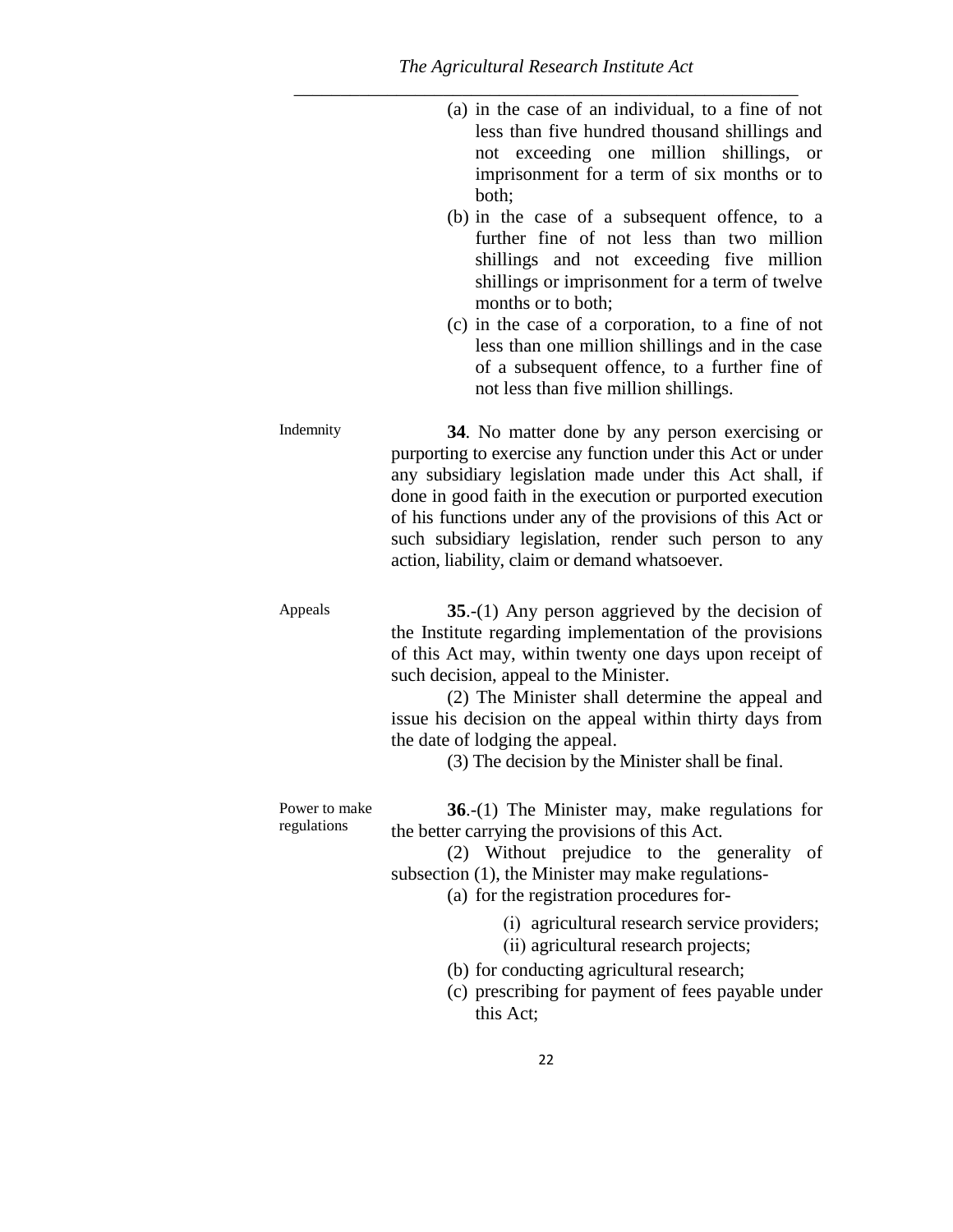(a) in the case of an individual, to a fine of not less than five hundred thousand shillings and not exceeding one million shillings, or imprisonment for a term of six months or to both;

- (b) in the case of a subsequent offence, to a further fine of not less than two million shillings and not exceeding five million shillings or imprisonment for a term of twelve months or to both;
- (c) in the case of a corporation, to a fine of not less than one million shillings and in the case of a subsequent offence, to a further fine of not less than five million shillings.

Indemnity **34**. No matter done by any person exercising or purporting to exercise any function under this Act or under any subsidiary legislation made under this Act shall, if done in good faith in the execution or purported execution of his functions under any of the provisions of this Act or such subsidiary legislation, render such person to any action, liability, claim or demand whatsoever.

Appeals **35.-(1)** Any person aggrieved by the decision of the Institute regarding implementation of the provisions of this Act may, within twenty one days upon receipt of such decision, appeal to the Minister.

> (2) The Minister shall determine the appeal and issue his decision on the appeal within thirty days from the date of lodging the appeal.

> > (3) The decision by the Minister shall be final.

Power to make regulations **36**.-(1) The Minister may, make regulations for the better carrying the provisions of this Act.

(2) Without prejudice to the generality of subsection (1), the Minister may make regulations-

(a) for the registration procedures for-

- (i) agricultural research service providers;
- (ii) agricultural research projects;
- (b) for conducting agricultural research;
- (c) prescribing for payment of fees payable under this Act;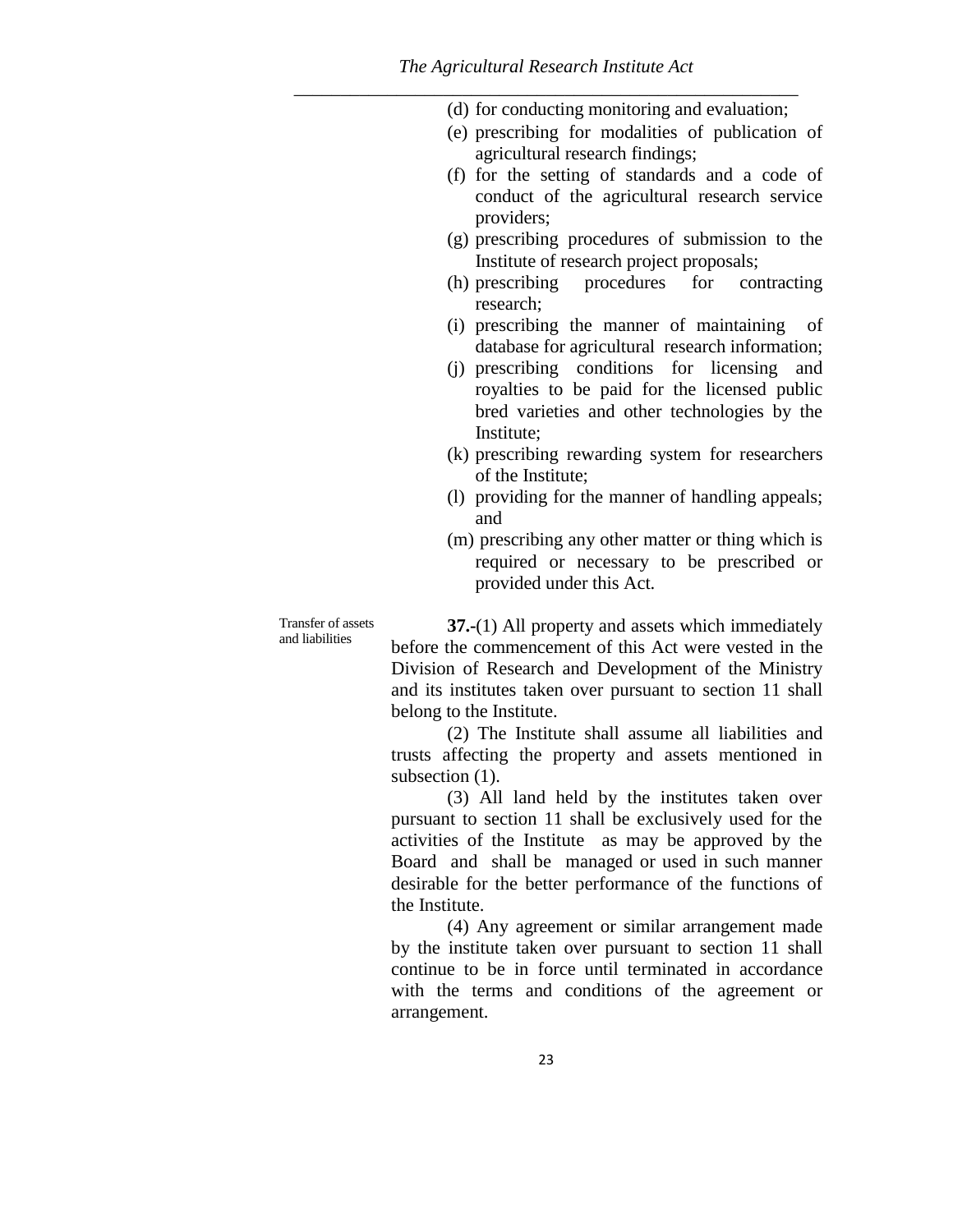(d) for conducting monitoring and evaluation;

- (e) prescribing for modalities of publication of agricultural research findings;
- (f) for the setting of standards and a code of conduct of the agricultural research service providers;
- (g) prescribing procedures of submission to the Institute of research project proposals;
- (h) prescribing procedures for contracting research;
- (i) prescribing the manner of maintaining of database for agricultural research information;
- (j) prescribing conditions for licensing and royalties to be paid for the licensed public bred varieties and other technologies by the Institute;
- (k) prescribing rewarding system for researchers of the Institute;
- (l) providing for the manner of handling appeals; and
- (m) prescribing any other matter or thing which is required or necessary to be prescribed or provided under this Act.

Transfer of assets and liabilities

**37.-**(1) All property and assets which immediately before the commencement of this Act were vested in the Division of Research and Development of the Ministry and its institutes taken over pursuant to section 11 shall belong to the Institute.

(2) The Institute shall assume all liabilities and trusts affecting the property and assets mentioned in subsection  $(1)$ .

(3) All land held by the institutes taken over pursuant to section 11 shall be exclusively used for the activities of the Institute as may be approved by the Board and shall be managed or used in such manner desirable for the better performance of the functions of the Institute.

(4) Any agreement or similar arrangement made by the institute taken over pursuant to section 11 shall continue to be in force until terminated in accordance with the terms and conditions of the agreement or arrangement.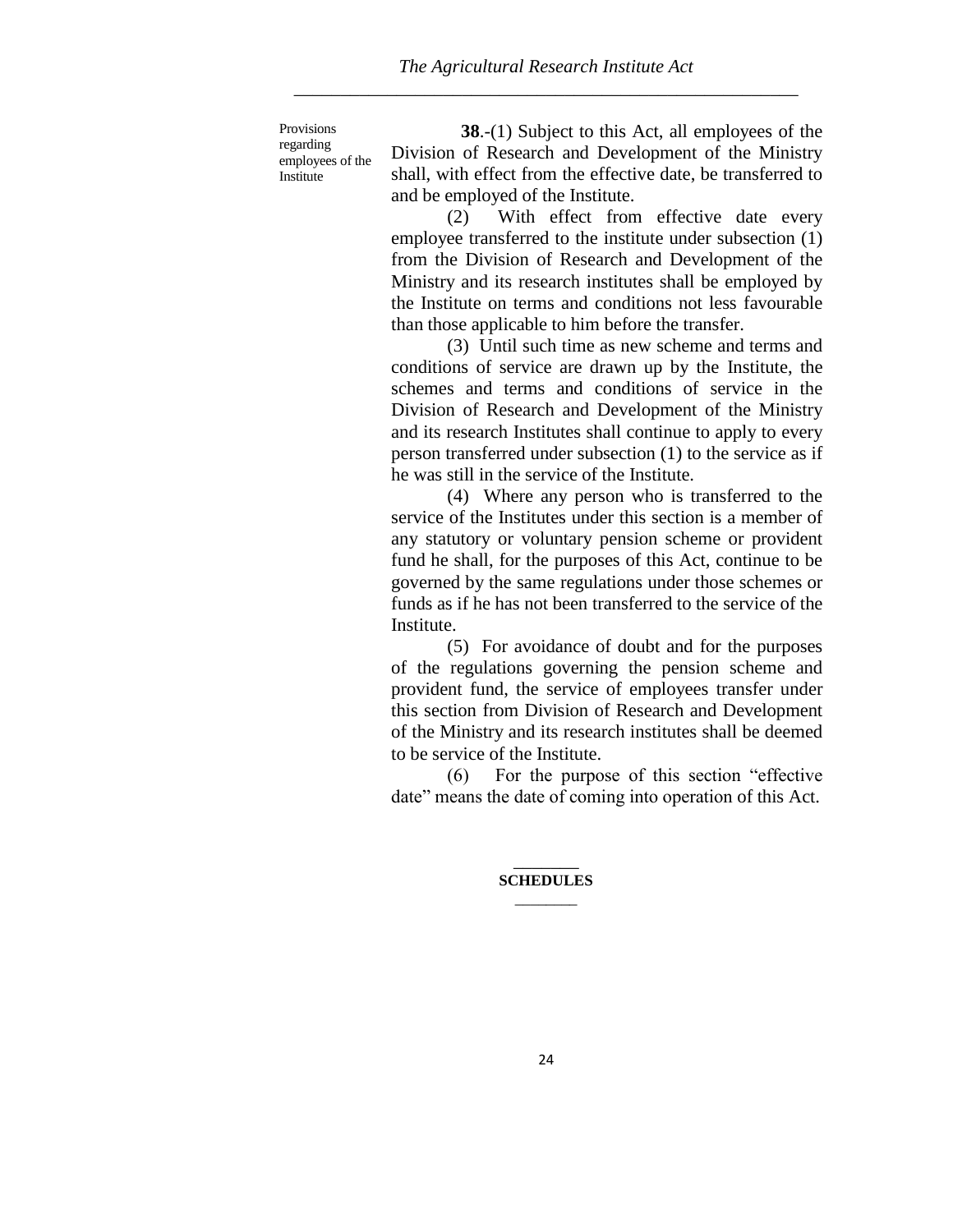Provisions regarding employees of the Institute

**38**.-(1) Subject to this Act, all employees of the Division of Research and Development of the Ministry shall, with effect from the effective date, be transferred to and be employed of the Institute.

(2) With effect from effective date every employee transferred to the institute under subsection (1) from the Division of Research and Development of the Ministry and its research institutes shall be employed by the Institute on terms and conditions not less favourable than those applicable to him before the transfer.

(3) Until such time as new scheme and terms and conditions of service are drawn up by the Institute, the schemes and terms and conditions of service in the Division of Research and Development of the Ministry and its research Institutes shall continue to apply to every person transferred under subsection (1) to the service as if he was still in the service of the Institute.

(4) Where any person who is transferred to the service of the Institutes under this section is a member of any statutory or voluntary pension scheme or provident fund he shall, for the purposes of this Act, continue to be governed by the same regulations under those schemes or funds as if he has not been transferred to the service of the Institute.

(5) For avoidance of doubt and for the purposes of the regulations governing the pension scheme and provident fund, the service of employees transfer under this section from Division of Research and Development of the Ministry and its research institutes shall be deemed to be service of the Institute.

(6) For the purpose of this section "effective date" means the date of coming into operation of this Act.

> $\overline{\phantom{a}}$ **SCHEDULES**  $\overline{\phantom{a}}$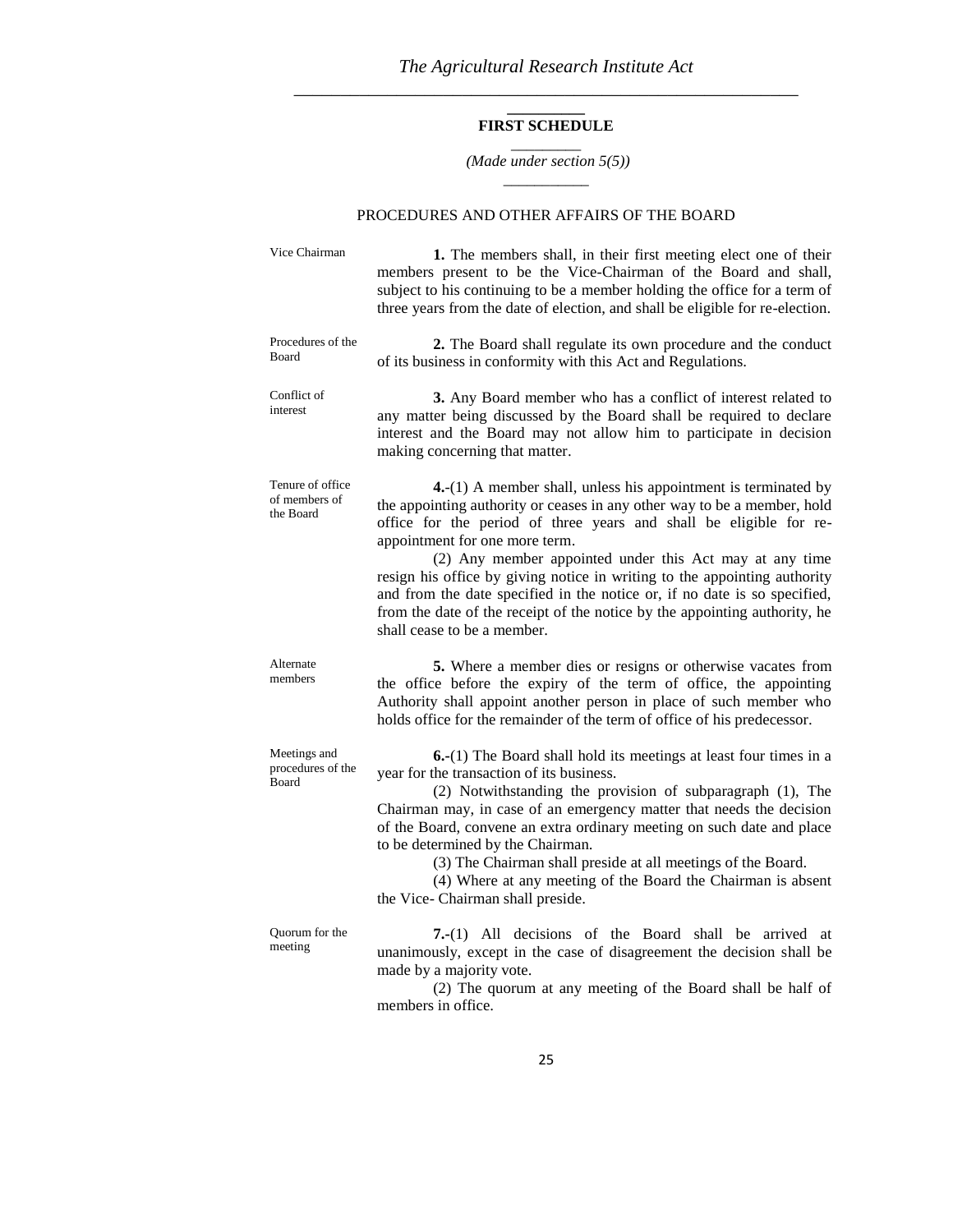#### **\_\_\_\_\_\_\_\_\_\_ FIRST SCHEDULE** \_\_\_\_\_\_\_\_\_

#### *(Made under section 5(5))* \_\_\_\_\_\_\_\_\_\_\_

#### PROCEDURES AND OTHER AFFAIRS OF THE BOARD

| Vice Chairman                                  | 1. The members shall, in their first meeting elect one of their<br>members present to be the Vice-Chairman of the Board and shall,<br>subject to his continuing to be a member holding the office for a term of<br>three years from the date of election, and shall be eligible for re-election.                                                                                                                                                                                                                                                                                      |
|------------------------------------------------|---------------------------------------------------------------------------------------------------------------------------------------------------------------------------------------------------------------------------------------------------------------------------------------------------------------------------------------------------------------------------------------------------------------------------------------------------------------------------------------------------------------------------------------------------------------------------------------|
| Procedures of the<br>Board                     | 2. The Board shall regulate its own procedure and the conduct<br>of its business in conformity with this Act and Regulations.                                                                                                                                                                                                                                                                                                                                                                                                                                                         |
| Conflict of<br>interest                        | 3. Any Board member who has a conflict of interest related to<br>any matter being discussed by the Board shall be required to declare<br>interest and the Board may not allow him to participate in decision<br>making concerning that matter.                                                                                                                                                                                                                                                                                                                                        |
| Tenure of office<br>of members of<br>the Board | $4-(1)$ A member shall, unless his appointment is terminated by<br>the appointing authority or ceases in any other way to be a member, hold<br>office for the period of three years and shall be eligible for re-<br>appointment for one more term.<br>(2) Any member appointed under this Act may at any time<br>resign his office by giving notice in writing to the appointing authority<br>and from the date specified in the notice or, if no date is so specified,<br>from the date of the receipt of the notice by the appointing authority, he<br>shall cease to be a member. |
| Alternate<br>members                           | 5. Where a member dies or resigns or otherwise vacates from<br>the office before the expiry of the term of office, the appointing<br>Authority shall appoint another person in place of such member who<br>holds office for the remainder of the term of office of his predecessor.                                                                                                                                                                                                                                                                                                   |
| Meetings and<br>procedures of the<br>Board     | 6.-(1) The Board shall hold its meetings at least four times in a<br>year for the transaction of its business.<br>(2) Notwithstanding the provision of subparagraph (1), The<br>Chairman may, in case of an emergency matter that needs the decision<br>of the Board, convene an extra ordinary meeting on such date and place<br>to be determined by the Chairman.<br>(3) The Chairman shall preside at all meetings of the Board.<br>(4) Where at any meeting of the Board the Chairman is absent<br>the Vice- Chairman shall preside.                                              |
| Quorum for the<br>meeting                      | 7.-(1) All decisions of the Board shall be arrived at<br>unanimously, except in the case of disagreement the decision shall be<br>made by a majority vote.<br>(2) The quorum at any meeting of the Board shall be half of                                                                                                                                                                                                                                                                                                                                                             |

ny meeting  $(2)$  The quandrenes in office.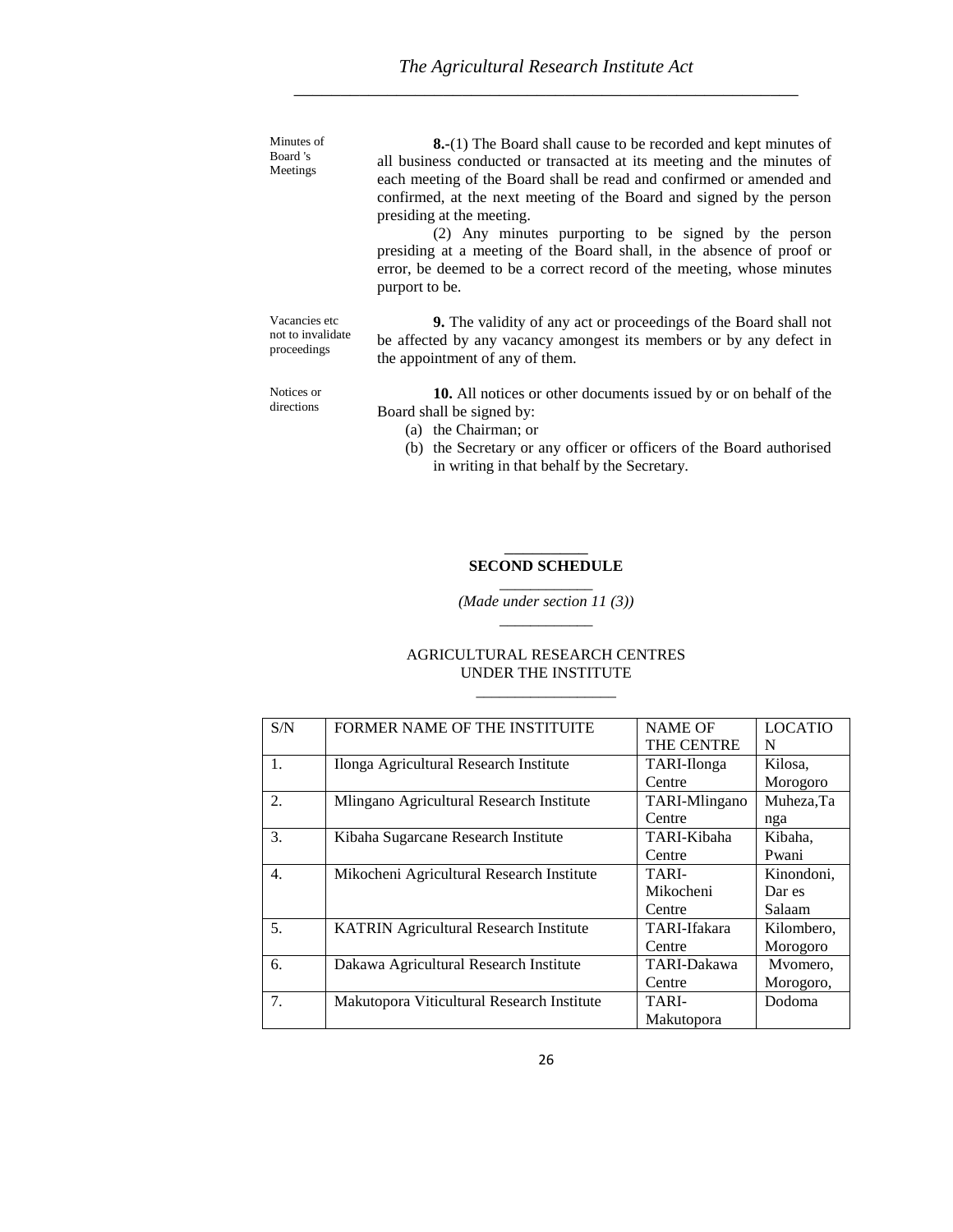| Minutes of<br>Board 's<br>Meetings                | <b>8.-</b> (1) The Board shall cause to be recorded and kept minutes of<br>all business conducted or transacted at its meeting and the minutes of<br>each meeting of the Board shall be read and confirmed or amended and<br>confirmed, at the next meeting of the Board and signed by the person<br>presiding at the meeting.<br>(2) Any minutes purporting to be signed by the person<br>presiding at a meeting of the Board shall, in the absence of proof or<br>error, be deemed to be a correct record of the meeting, whose minutes<br>purport to be. |
|---------------------------------------------------|-------------------------------------------------------------------------------------------------------------------------------------------------------------------------------------------------------------------------------------------------------------------------------------------------------------------------------------------------------------------------------------------------------------------------------------------------------------------------------------------------------------------------------------------------------------|
| Vacancies etc<br>not to invalidate<br>proceedings | <b>9.</b> The validity of any act or proceedings of the Board shall not<br>be affected by any vacancy amongest its members or by any defect in<br>the appointment of any of them.                                                                                                                                                                                                                                                                                                                                                                           |
| Notices or<br>directions                          | 10. All notices or other documents issued by or on behalf of the<br>Board shall be signed by:<br>(a) the Chairman; or                                                                                                                                                                                                                                                                                                                                                                                                                                       |

(b) the Secretary or any officer or officers of the Board authorised in writing in that behalf by the Secretary.

#### $\overline{\phantom{a}}$ **SECOND SCHEDULE** \_\_\_\_\_\_\_\_\_\_\_\_

*(Made under section 11 (3))* \_\_\_\_\_\_\_\_\_\_\_\_

| S/N            | FORMER NAME OF THE INSTITUITE                 | <b>NAME OF</b>    | <b>LOCATIO</b> |
|----------------|-----------------------------------------------|-------------------|----------------|
|                |                                               | <b>THE CENTRE</b> | N              |
| 1.             | Ilonga Agricultural Research Institute        | TARI-Ilonga       | Kilosa.        |
|                |                                               | Centre            | Morogoro       |
| 2.             | Mlingano Agricultural Research Institute      | TARI-Mlingano     | Muheza, Ta     |
|                |                                               | Centre            | nga            |
| 3.             | Kibaha Sugarcane Research Institute           | TARI-Kibaha       | Kibaha,        |
|                |                                               | Centre            | Pwani          |
| 4.             | Mikocheni Agricultural Research Institute     | TARI-             | Kinondoni,     |
|                |                                               | Mikocheni         | Dar es         |
|                |                                               | Centre            | Salaam         |
| 5 <sub>1</sub> | <b>KATRIN Agricultural Research Institute</b> | TARI-Ifakara      | Kilombero,     |
|                |                                               | Centre            | Morogoro       |
| 6.             | Dakawa Agricultural Research Institute        | TARI-Dakawa       | Mvomero,       |
|                |                                               | Centre            | Morogoro,      |
| 7.             | Makutopora Viticultural Research Institute    | TARI-             | Dodoma         |
|                |                                               | Makutopora        |                |

## AGRICULTURAL RESEARCH CENTRES UNDER THE INSTITUTE

\_\_\_\_\_\_\_\_\_\_\_\_\_\_\_\_\_\_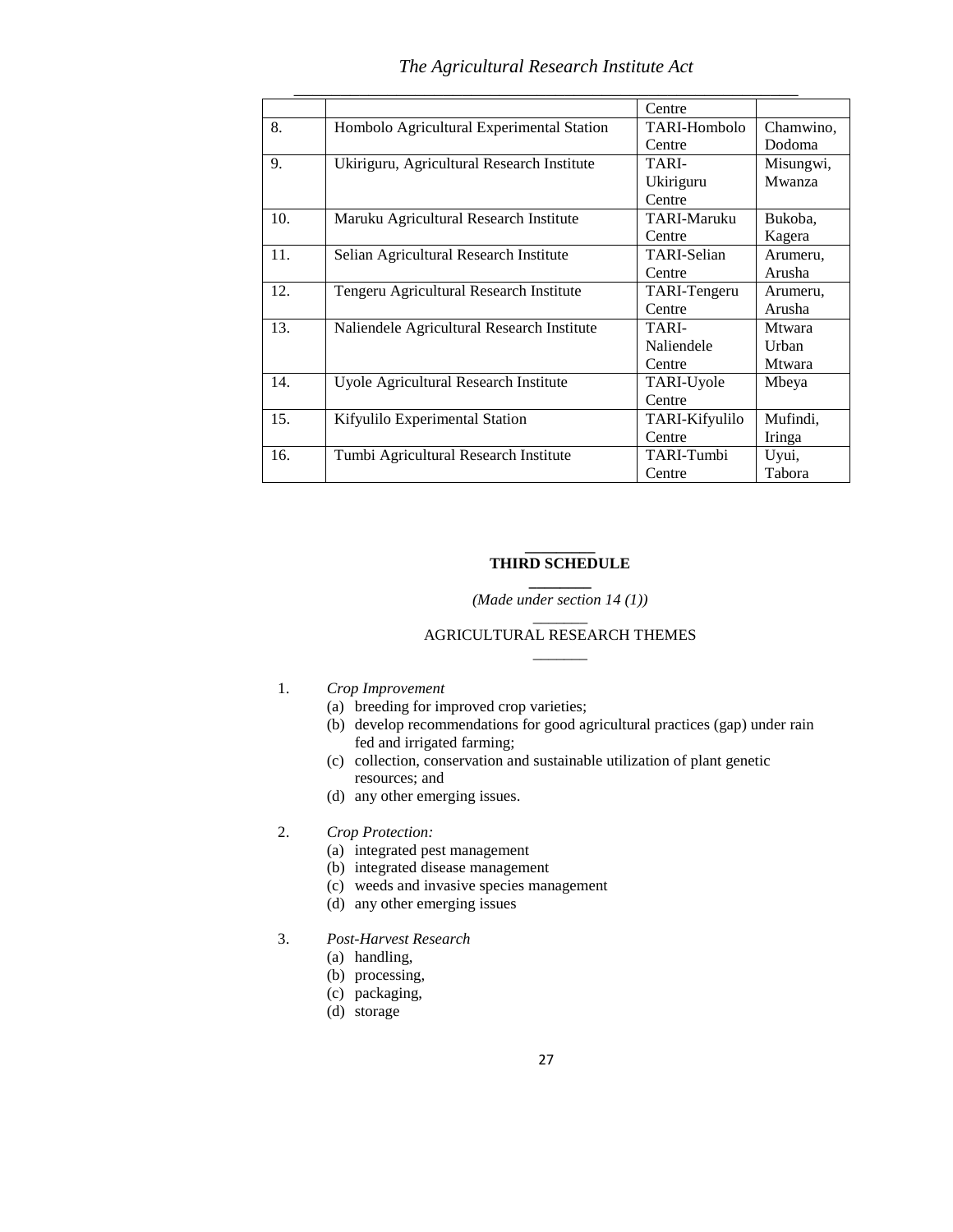## *The Agricultural Research Institute Act*

|     |                                            | Centre             |               |
|-----|--------------------------------------------|--------------------|---------------|
| 8.  | Hombolo Agricultural Experimental Station  | TARI-Hombolo       | Chamwino,     |
|     |                                            | Centre             | Dodoma        |
| 9.  | Ukiriguru, Agricultural Research Institute | TARI-              | Misungwi,     |
|     |                                            | Ukiriguru          | Mwanza        |
|     |                                            | Centre             |               |
| 10. | Maruku Agricultural Research Institute     | TARI-Maruku        | Bukoba,       |
|     |                                            | Centre             | Kagera        |
| 11. | Selian Agricultural Research Institute     | <b>TARI-Selian</b> | Arumeru,      |
|     |                                            | Centre             | Arusha        |
| 12. | Tengeru Agricultural Research Institute    | TARI-Tengeru       | Arumeru,      |
|     |                                            | Centre             | Arusha        |
| 13. | Naliendele Agricultural Research Institute | TARI-              | <b>Mtwara</b> |
|     |                                            | Naliendele         | <b>Urhan</b>  |
|     |                                            | Centre             | <b>Mtwara</b> |
| 14. | Uyole Agricultural Research Institute      | TARI-Uyole         | Mbeya         |
|     |                                            | Centre             |               |
| 15. | Kifyulilo Experimental Station             | TARI-Kifyulilo     | Mufindi,      |
|     |                                            | Centre             | Iringa        |
| 16. | Tumbi Agricultural Research Institute      | TARI-Tumbi         | Uyui,         |
|     |                                            | Centre             | Tabora        |

#### **\_\_\_\_\_\_\_\_\_ THIRD SCHEDULE**

#### **\_\_\_\_\_\_\_\_** *(Made under section 14 (1))*  $\overline{\phantom{a}}$

#### AGRICULTURAL RESEARCH THEMES  $\overline{\phantom{a}}$

#### 1. *Crop Improvement*

- (a) breeding for improved crop varieties;
- (b) develop recommendations for good agricultural practices (gap) under rain fed and irrigated farming;
- (c) collection, conservation and sustainable utilization of plant genetic resources; and
- (d) any other emerging issues.

## 2. *Crop Protection:*

- (a) integrated pest management
- (b) integrated disease management
- (c) weeds and invasive species management
- (d) any other emerging issues
- 3. *Post-Harvest Research*
	- (a) handling,
	- (b) processing,
	- (c) packaging,
	- (d) storage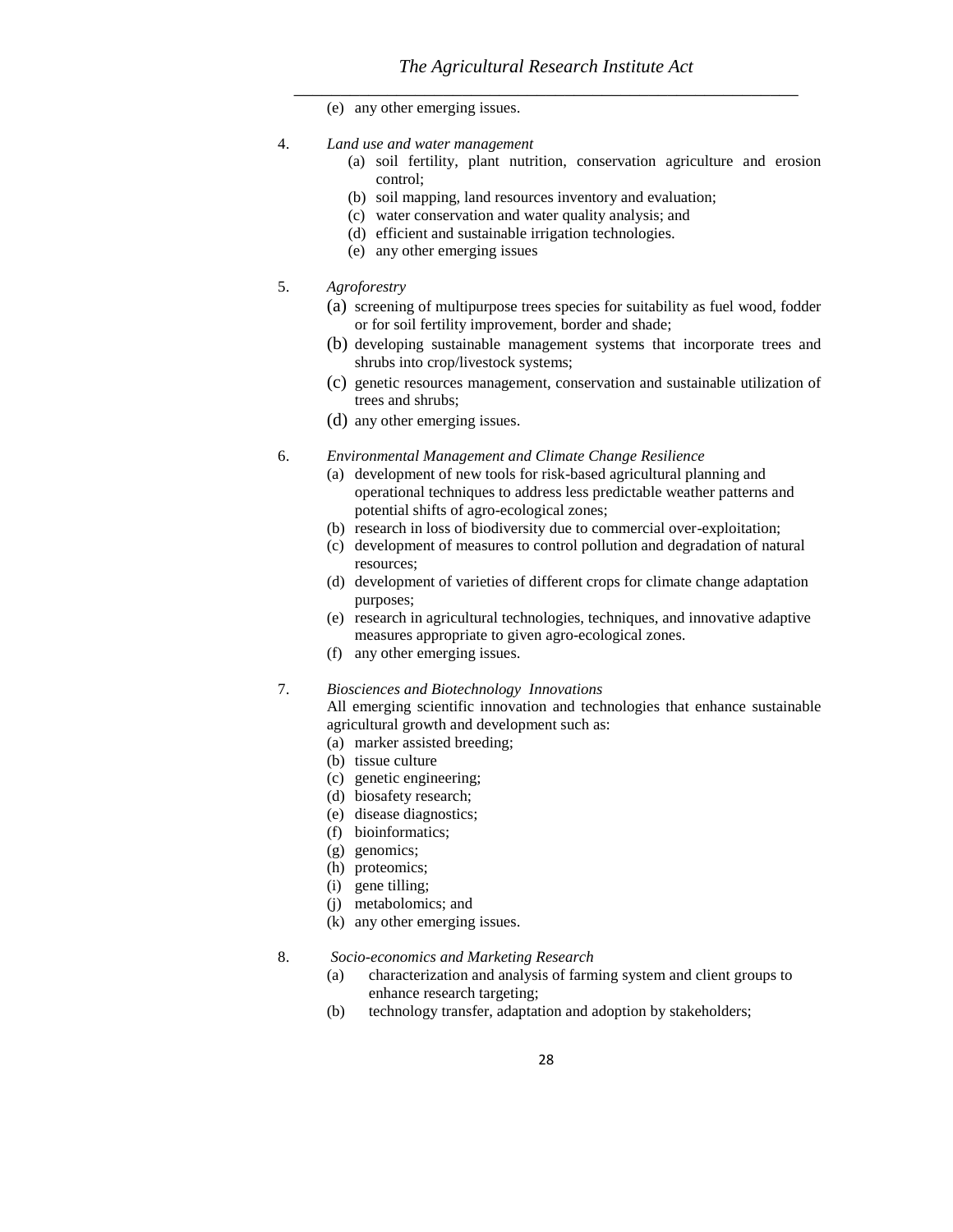(e) any other emerging issues.

- 4. *Land use and water management*
	- (a) soil fertility, plant nutrition, conservation agriculture and erosion control;
	- (b) soil mapping, land resources inventory and evaluation;
	- (c) water conservation and water quality analysis; and
	- (d) efficient and sustainable irrigation technologies.
	- (e) any other emerging issues
- 5. *Agroforestry*
	- (a) screening of multipurpose trees species for suitability as fuel wood, fodder or for soil fertility improvement, border and shade;
	- (b) developing sustainable management systems that incorporate trees and shrubs into crop/livestock systems;
	- (c) genetic resources management, conservation and sustainable utilization of trees and shrubs;
	- (d) any other emerging issues.
- 6. *Environmental Management and Climate Change Resilience*
	- (a) development of new tools for risk-based agricultural planning and operational techniques to address less predictable weather patterns and potential shifts of agro-ecological zones;
	- (b) research in loss of biodiversity due to commercial over-exploitation;
	- (c) development of measures to control pollution and degradation of natural resources;
	- (d) development of varieties of different crops for climate change adaptation purposes;
	- (e) research in agricultural technologies, techniques, and innovative adaptive measures appropriate to given agro-ecological zones.
	- (f) any other emerging issues.

#### 7. *Biosciences and Biotechnology Innovations*

All emerging scientific innovation and technologies that enhance sustainable agricultural growth and development such as:

- (a) marker assisted breeding;
- (b) tissue culture
- (c) genetic engineering;
- (d) biosafety research;
- (e) disease diagnostics;
- (f) bioinformatics;
- (g) genomics;
- (h) proteomics;
- (i) gene tilling;
- (j) metabolomics; and
- (k) any other emerging issues.
- 8. *Socio-economics and Marketing Research*
	- (a) characterization and analysis of farming system and client groups to enhance research targeting;
	- (b) technology transfer, adaptation and adoption by stakeholders;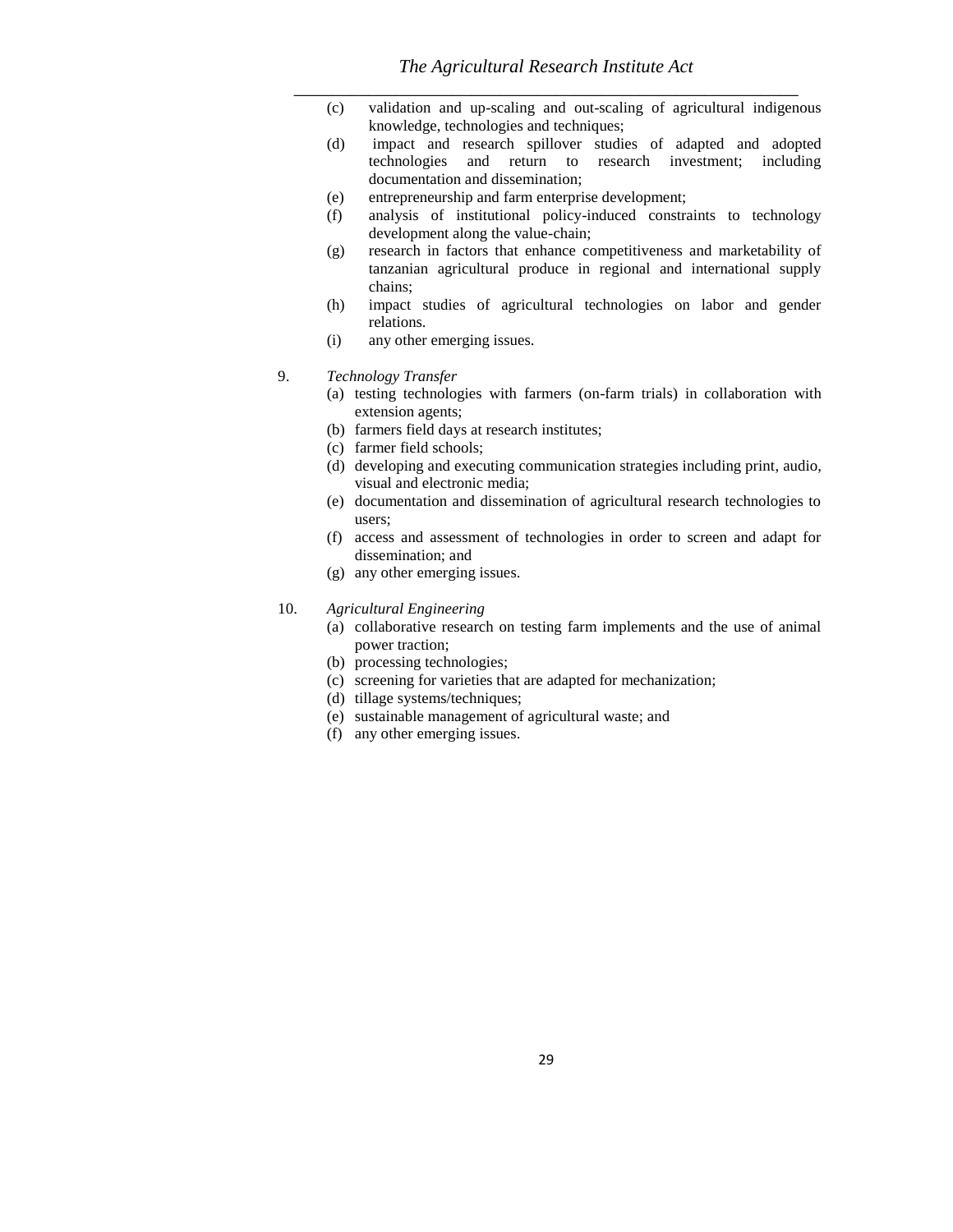- (c) validation and up-scaling and out-scaling of agricultural indigenous knowledge, technologies and techniques;
- (d) impact and research spillover studies of adapted and adopted technologies and return to research investment; including documentation and dissemination;
- (e) entrepreneurship and farm enterprise development;
- (f) analysis of institutional policy-induced constraints to technology development along the value-chain;
- (g) research in factors that enhance competitiveness and marketability of tanzanian agricultural produce in regional and international supply chains;
- (h) impact studies of agricultural technologies on labor and gender relations.
- (i) any other emerging issues.
- 9. *Technology Transfer*
	- (a) testing technologies with farmers (on-farm trials) in collaboration with extension agents;
	- (b) farmers field days at research institutes;
	- (c) farmer field schools;
	- (d) developing and executing communication strategies including print, audio, visual and electronic media;
	- (e) documentation and dissemination of agricultural research technologies to users;
	- (f) access and assessment of technologies in order to screen and adapt for dissemination; and
	- (g) any other emerging issues.

#### 10. *Agricultural Engineering*

- (a) collaborative research on testing farm implements and the use of animal power traction;
- (b) processing technologies;
- (c) screening for varieties that are adapted for mechanization;
- (d) tillage systems/techniques;
- (e) sustainable management of agricultural waste; and
- (f) any other emerging issues.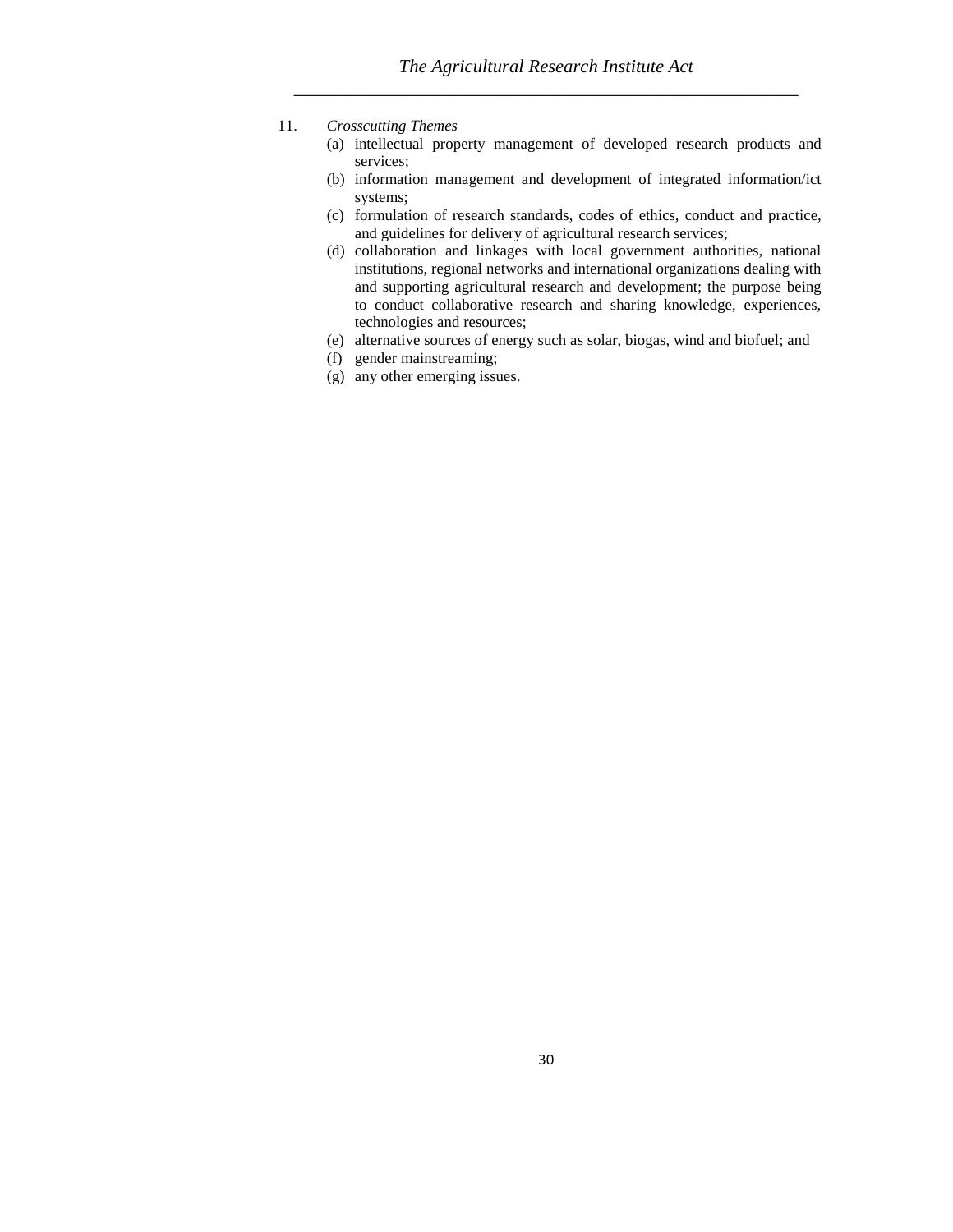- 11. *Crosscutting Themes*
	- (a) intellectual property management of developed research products and services;
	- (b) information management and development of integrated information/ict systems;
	- (c) formulation of research standards, codes of ethics, conduct and practice, and guidelines for delivery of agricultural research services;
	- (d) collaboration and linkages with local government authorities, national institutions, regional networks and international organizations dealing with and supporting agricultural research and development; the purpose being to conduct collaborative research and sharing knowledge, experiences, technologies and resources;
	- (e) alternative sources of energy such as solar, biogas, wind and biofuel; and
	- (f) gender mainstreaming;
	- (g) any other emerging issues.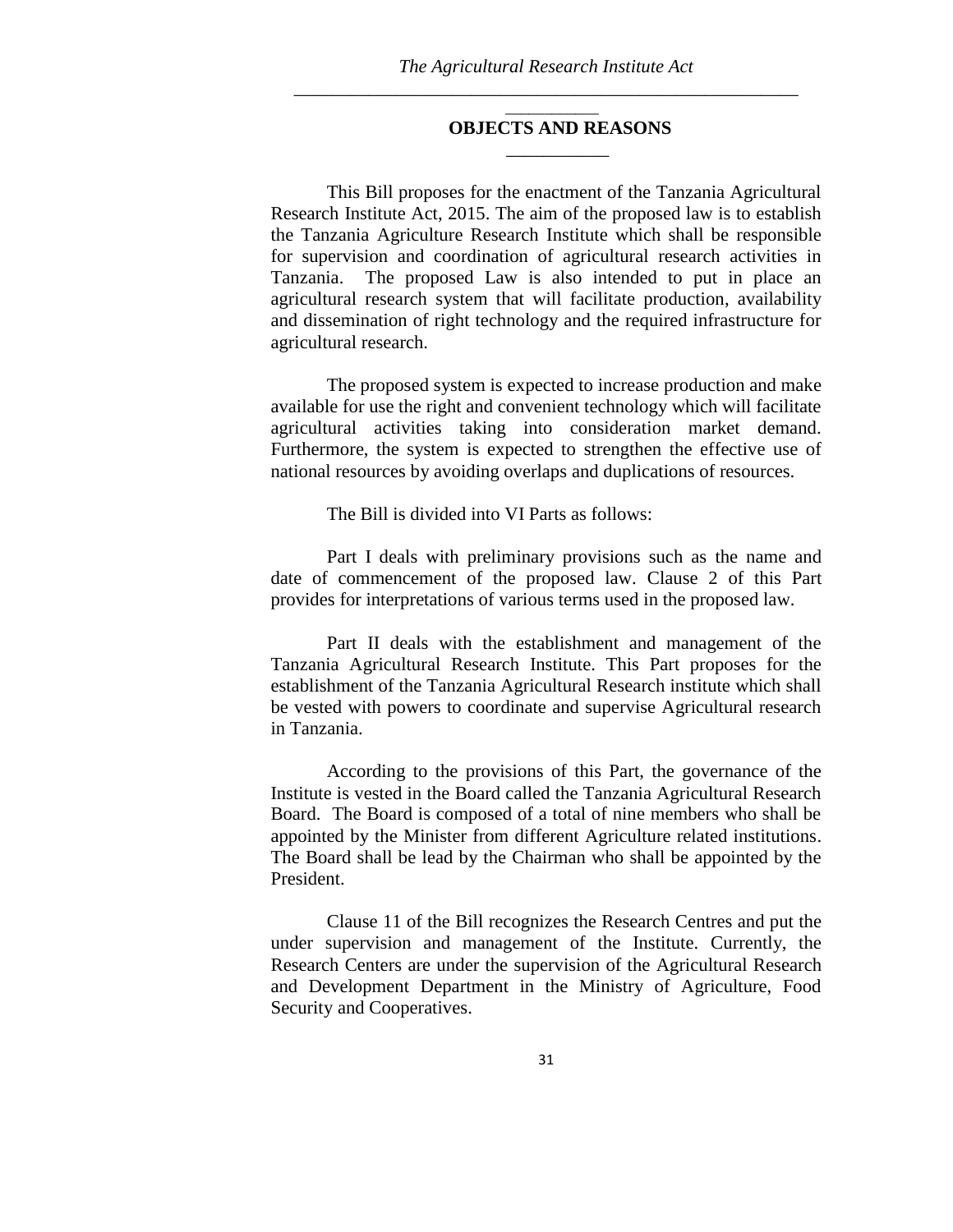$\overline{\phantom{a}}$ 

 $\frac{1}{2}$  ,  $\frac{1}{2}$  ,  $\frac{1}{2}$  ,  $\frac{1}{2}$  ,  $\frac{1}{2}$  ,  $\frac{1}{2}$  ,  $\frac{1}{2}$  ,  $\frac{1}{2}$ 

## **OBJECTS AND REASONS**

This Bill proposes for the enactment of the Tanzania Agricultural Research Institute Act, 2015. The aim of the proposed law is to establish the Tanzania Agriculture Research Institute which shall be responsible for supervision and coordination of agricultural research activities in Tanzania. The proposed Law is also intended to put in place an agricultural research system that will facilitate production, availability and dissemination of right technology and the required infrastructure for agricultural research.

The proposed system is expected to increase production and make available for use the right and convenient technology which will facilitate agricultural activities taking into consideration market demand. Furthermore, the system is expected to strengthen the effective use of national resources by avoiding overlaps and duplications of resources.

The Bill is divided into VI Parts as follows:

Part I deals with preliminary provisions such as the name and date of commencement of the proposed law. Clause 2 of this Part provides for interpretations of various terms used in the proposed law.

Part II deals with the establishment and management of the Tanzania Agricultural Research Institute. This Part proposes for the establishment of the Tanzania Agricultural Research institute which shall be vested with powers to coordinate and supervise Agricultural research in Tanzania.

According to the provisions of this Part, the governance of the Institute is vested in the Board called the Tanzania Agricultural Research Board. The Board is composed of a total of nine members who shall be appointed by the Minister from different Agriculture related institutions. The Board shall be lead by the Chairman who shall be appointed by the President.

Clause 11 of the Bill recognizes the Research Centres and put the under supervision and management of the Institute. Currently, the Research Centers are under the supervision of the Agricultural Research and Development Department in the Ministry of Agriculture, Food Security and Cooperatives.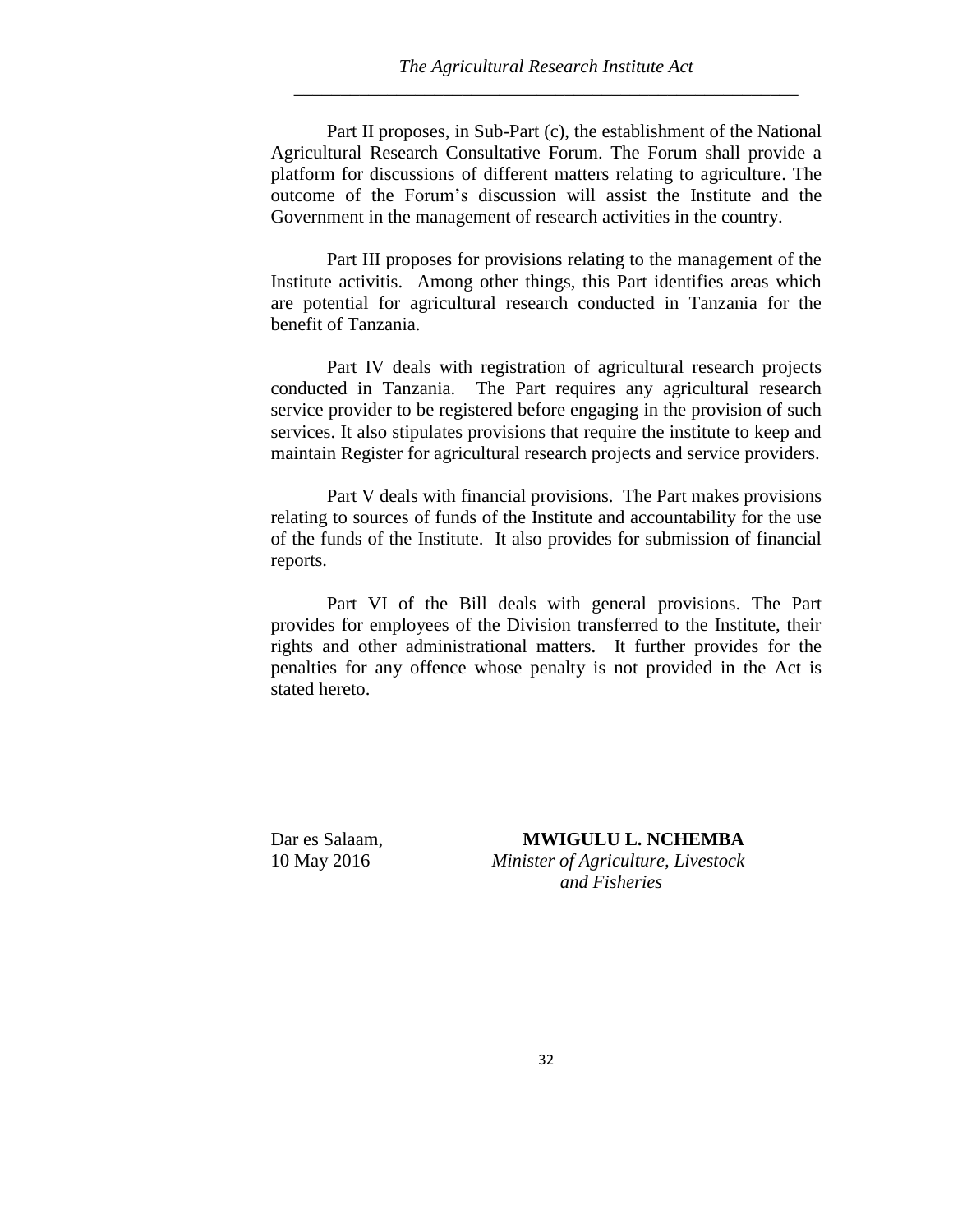Part II proposes, in Sub-Part (c), the establishment of the National Agricultural Research Consultative Forum. The Forum shall provide a platform for discussions of different matters relating to agriculture. The outcome of the Forum's discussion will assist the Institute and the Government in the management of research activities in the country.

Part III proposes for provisions relating to the management of the Institute activitis. Among other things, this Part identifies areas which are potential for agricultural research conducted in Tanzania for the benefit of Tanzania.

Part IV deals with registration of agricultural research projects conducted in Tanzania. The Part requires any agricultural research service provider to be registered before engaging in the provision of such services. It also stipulates provisions that require the institute to keep and maintain Register for agricultural research projects and service providers.

Part V deals with financial provisions. The Part makes provisions relating to sources of funds of the Institute and accountability for the use of the funds of the Institute. It also provides for submission of financial reports.

Part VI of the Bill deals with general provisions. The Part provides for employees of the Division transferred to the Institute, their rights and other administrational matters. It further provides for the penalties for any offence whose penalty is not provided in the Act is stated hereto.

Dar es Salaam, **MWIGULU L. NCHEMBA** 10 May 2016 *Minister of Agriculture, Livestock and Fisheries*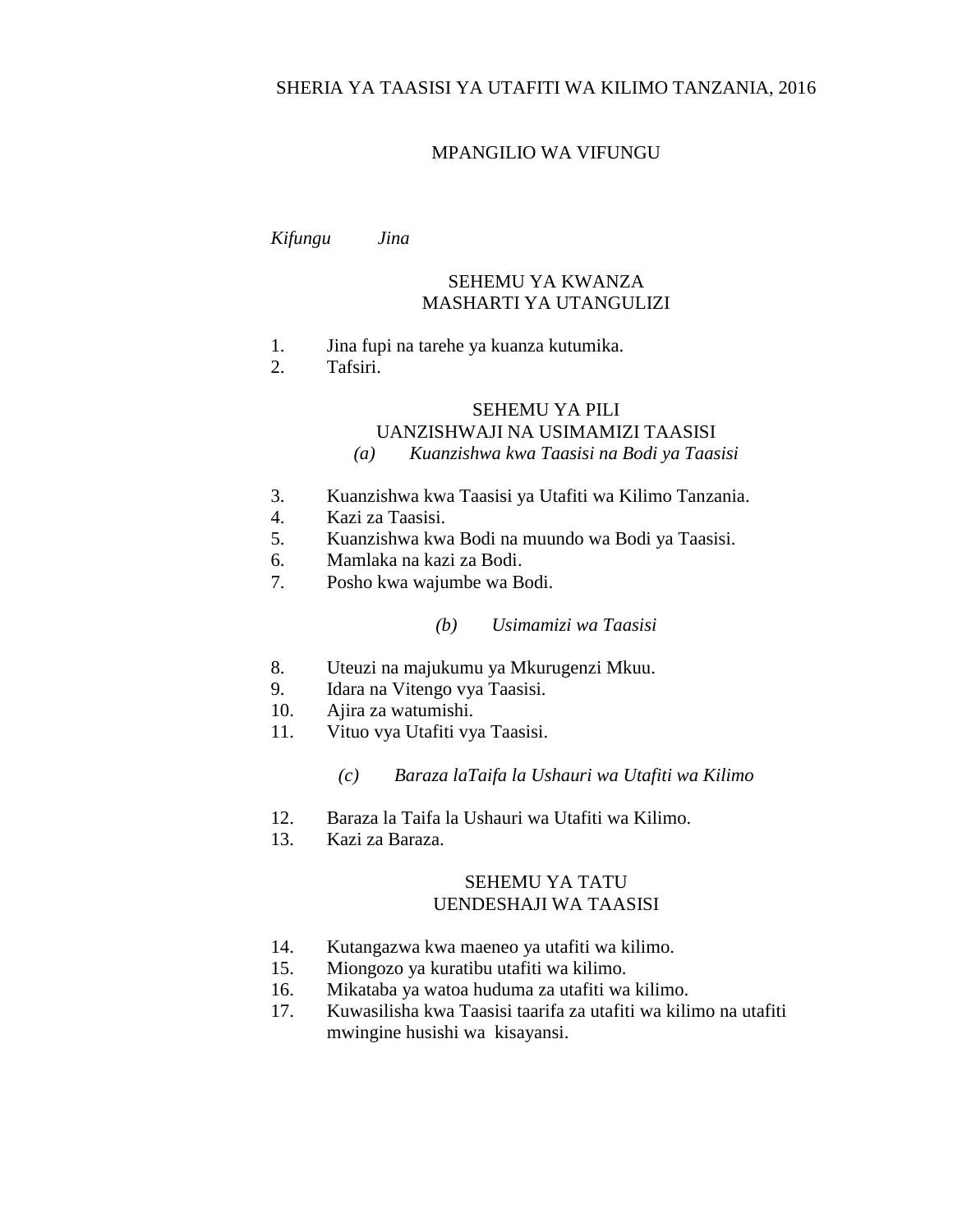# SHERIA YA TAASISI YA UTAFITI WA KILIMO TANZANIA, 2016

## MPANGILIO WA VIFUNGU

#### *Kifungu Jina*

# SEHEMU YA KWANZA MASHARTI YA UTANGULIZI

- 1. Jina fupi na tarehe ya kuanza kutumika.
- 2. Tafsiri.

## SEHEMU YA PILI

#### UANZISHWAJI NA USIMAMIZI TAASISI

# *(a) Kuanzishwa kwa Taasisi na Bodi ya Taasisi*

- 3. Kuanzishwa kwa Taasisi ya Utafiti wa Kilimo Tanzania.
- 4. Kazi za Taasisi.
- 5. Kuanzishwa kwa Bodi na muundo wa Bodi ya Taasisi.
- 6. Mamlaka na kazi za Bodi.
- 7. Posho kwa wajumbe wa Bodi.

## *(b) Usimamizi wa Taasisi*

- 8. Uteuzi na majukumu ya Mkurugenzi Mkuu.
- 9. Idara na Vitengo vya Taasisi.
- 10. Ajira za watumishi.
- 11. Vituo vya Utafiti vya Taasisi.

#### *(c) Baraza laTaifa la Ushauri wa Utafiti wa Kilimo*

- 12. Baraza la Taifa la Ushauri wa Utafiti wa Kilimo.
- 13. Kazi za Baraza.

## SEHEMU YA TATU UENDESHAJI WA TAASISI

- 14. Kutangazwa kwa maeneo ya utafiti wa kilimo.
- 15. Miongozo ya kuratibu utafiti wa kilimo.
- 16. Mikataba ya watoa huduma za utafiti wa kilimo.
- 17. Kuwasilisha kwa Taasisi taarifa za utafiti wa kilimo na utafiti mwingine husishi wa kisayansi.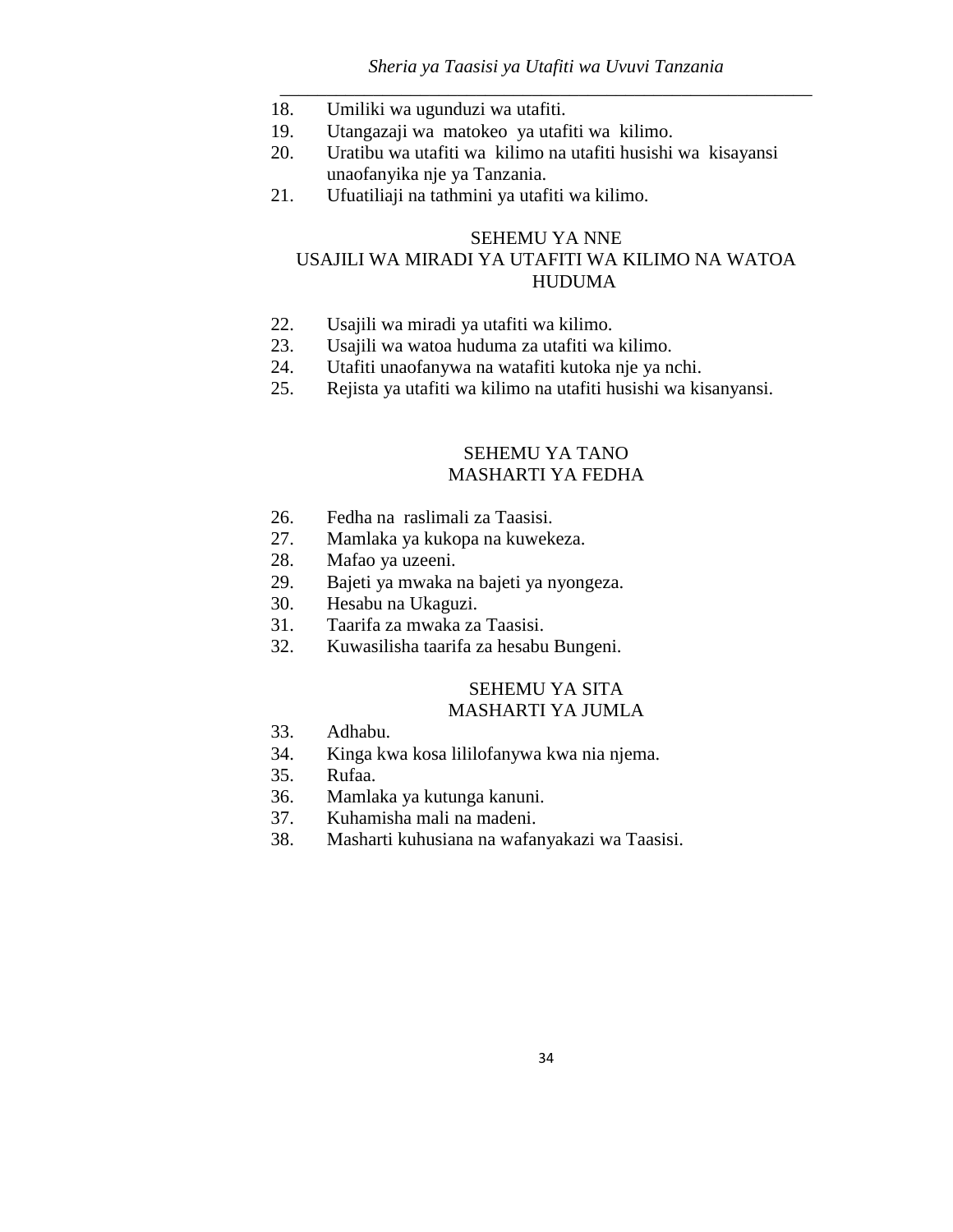# *Sheria ya Taasisi ya Utafiti wa Uvuvi Tanzania \_\_\_\_\_\_\_\_\_\_\_\_\_\_\_\_\_\_\_\_\_\_\_\_\_\_\_\_\_\_\_\_\_\_\_\_\_\_\_\_\_\_\_\_\_\_\_\_\_\_\_\_\_\_\_\_\_*

- 18. Umiliki wa ugunduzi wa utafiti.
- 19. Utangazaji wa matokeo ya utafiti wa kilimo.
- 20. Uratibu wa utafiti wa kilimo na utafiti husishi wa kisayansi unaofanyika nje ya Tanzania.
- 21. Ufuatiliaji na tathmini ya utafiti wa kilimo.

# SEHEMU YA NNE USAJILI WA MIRADI YA UTAFITI WA KILIMO NA WATOA HUDUMA

- 22. Usajili wa miradi ya utafiti wa kilimo.
- 23. Usajili wa watoa huduma za utafiti wa kilimo.
- 24. Utafiti unaofanywa na watafiti kutoka nje ya nchi.
- 25. Rejista ya utafiti wa kilimo na utafiti husishi wa kisanyansi.

# SEHEMU YA TANO MASHARTI YA FEDHA

- 26. Fedha na raslimali za Taasisi.
- 27. Mamlaka ya kukopa na kuwekeza.
- 28. Mafao ya uzeeni.
- 29. Bajeti ya mwaka na bajeti ya nyongeza.
- 30. Hesabu na Ukaguzi.
- 31. Taarifa za mwaka za Taasisi.
- 32. Kuwasilisha taarifa za hesabu Bungeni.

## SEHEMU YA SITA MASHARTI YA JUMLA

- 33. Adhabu.
- 34. Kinga kwa kosa lililofanywa kwa nia njema.
- 35. Rufaa.
- 36. Mamlaka ya kutunga kanuni.
- 37. Kuhamisha mali na madeni.
- 38. Masharti kuhusiana na wafanyakazi wa Taasisi.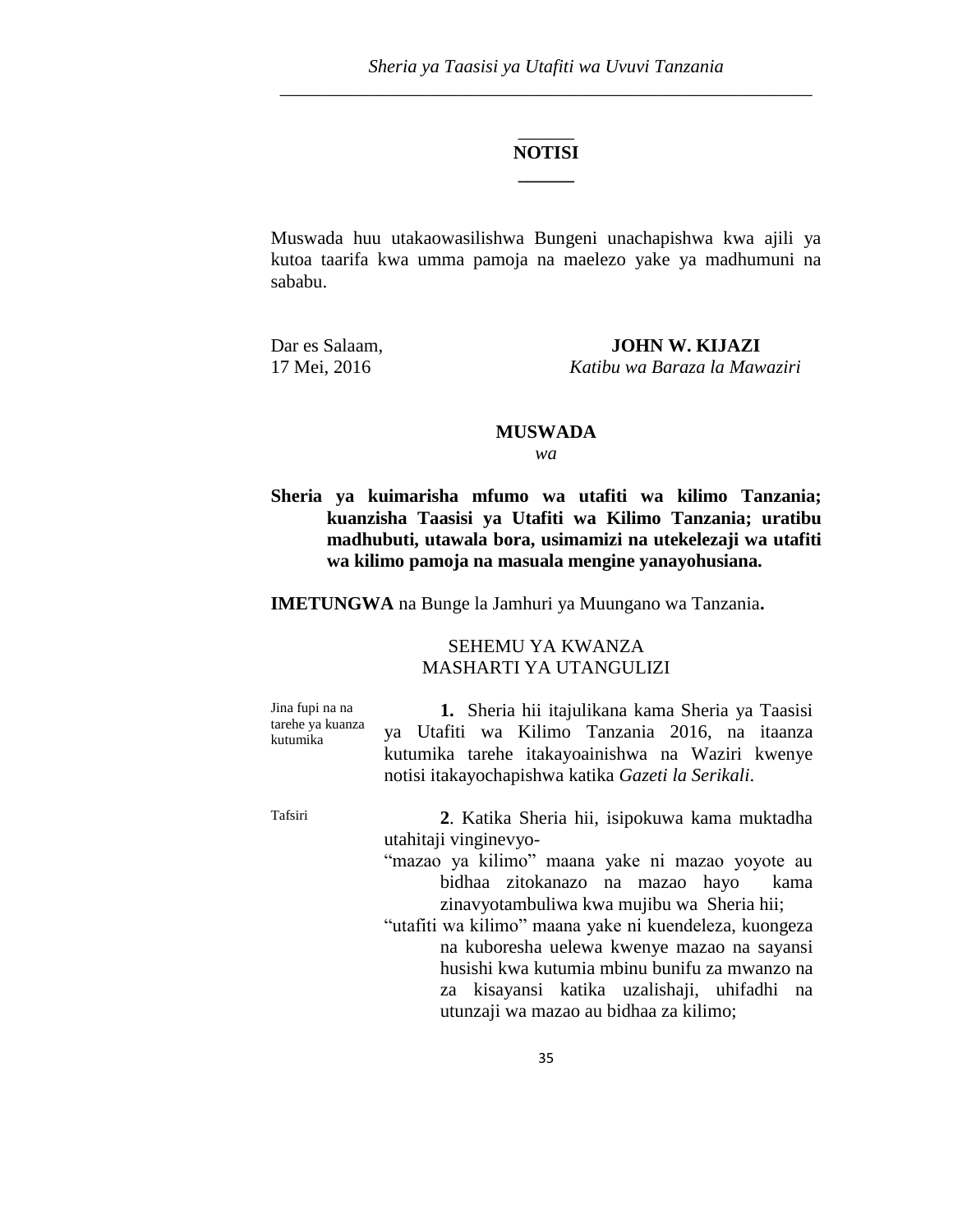# \_\_\_\_\_\_ **NOTISI \_\_\_\_\_\_**

Muswada huu utakaowasilishwa Bungeni unachapishwa kwa ajili ya kutoa taarifa kwa umma pamoja na maelezo yake ya madhumuni na sababu.

Dar es Salaam, **JOHN W. KIJAZI** 17 Mei, 2016 *Katibu wa Baraza la Mawaziri* 

## **MUSWADA**

*wa*

**Sheria ya kuimarisha mfumo wa utafiti wa kilimo Tanzania; kuanzisha Taasisi ya Utafiti wa Kilimo Tanzania; uratibu madhubuti, utawala bora, usimamizi na utekelezaji wa utafiti wa kilimo pamoja na masuala mengine yanayohusiana.** 

**IMETUNGWA** na Bunge la Jamhuri ya Muungano wa Tanzania**.** 

# SEHEMU YA KWANZA MASHARTI YA UTANGULIZI

Jina fupi na na tarehe ya kuanza kutumika **1.** Sheria hii itajulikana kama Sheria ya Taasisi ya Utafiti wa Kilimo Tanzania 2016, na itaanza kutumika tarehe itakayoainishwa na Waziri kwenye notisi itakayochapishwa katika *Gazeti la Serikali*.

Tafsiri **2**. Katika Sheria hii, isipokuwa kama muktadha utahitaji vinginevyo-

- "mazao ya kilimo" maana yake ni mazao yoyote au bidhaa zitokanazo na mazao hayo kama zinavyotambuliwa kwa mujibu wa Sheria hii;
- "utafiti wa kilimo" maana yake ni kuendeleza, kuongeza na kuboresha uelewa kwenye mazao na sayansi husishi kwa kutumia mbinu bunifu za mwanzo na za kisayansi katika uzalishaji, uhifadhi na utunzaji wa mazao au bidhaa za kilimo;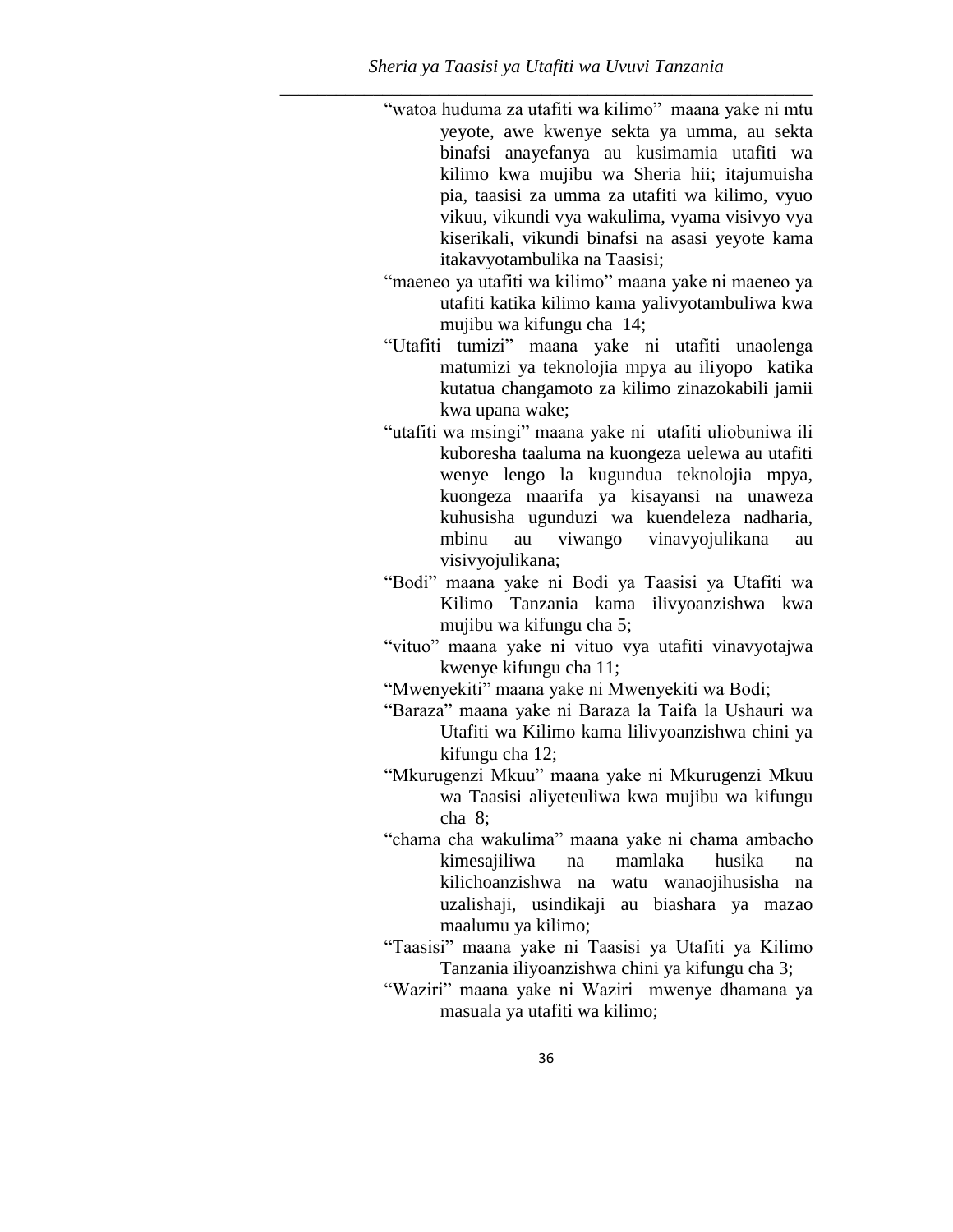"watoa huduma za utafiti wa kilimo" maana yake ni mtu yeyote, awe kwenye sekta ya umma, au sekta binafsi anayefanya au kusimamia utafiti wa kilimo kwa mujibu wa Sheria hii; itajumuisha pia, taasisi za umma za utafiti wa kilimo, vyuo vikuu, vikundi vya wakulima, vyama visivyo vya kiserikali, vikundi binafsi na asasi yeyote kama itakavyotambulika na Taasisi;

"maeneo ya utafiti wa kilimo" maana yake ni maeneo ya utafiti katika kilimo kama yalivyotambuliwa kwa mujibu wa kifungu cha 14;

"Utafiti tumizi" maana yake ni utafiti unaolenga matumizi ya teknolojia mpya au iliyopo katika kutatua changamoto za kilimo zinazokabili jamii kwa upana wake;

"utafiti wa msingi" maana yake ni utafiti uliobuniwa ili kuboresha taaluma na kuongeza uelewa au utafiti wenye lengo la kugundua teknolojia mpya, kuongeza maarifa ya kisayansi na unaweza kuhusisha ugunduzi wa kuendeleza nadharia, mbinu au viwango vinavyojulikana au visivyojulikana;

"Bodi" maana yake ni Bodi ya Taasisi ya Utafiti wa Kilimo Tanzania kama ilivyoanzishwa kwa mujibu wa kifungu cha 5;

"vituo" maana yake ni vituo vya utafiti vinavyotajwa kwenye kifungu cha 11;

"Mwenyekiti" maana yake ni Mwenyekiti wa Bodi;

"Baraza" maana yake ni Baraza la Taifa la Ushauri wa Utafiti wa Kilimo kama lilivyoanzishwa chini ya kifungu cha 12;

"Mkurugenzi Mkuu" maana yake ni Mkurugenzi Mkuu wa Taasisi aliyeteuliwa kwa mujibu wa kifungu cha 8;

- "chama cha wakulima" maana yake ni chama ambacho kimesajiliwa na mamlaka husika na kilichoanzishwa na watu wanaojihusisha na uzalishaji, usindikaji au biashara ya mazao maalumu ya kilimo;
- "Taasisi" maana yake ni Taasisi ya Utafiti ya Kilimo Tanzania iliyoanzishwa chini ya kifungu cha 3;

"Waziri" maana yake ni Waziri mwenye dhamana ya masuala ya utafiti wa kilimo;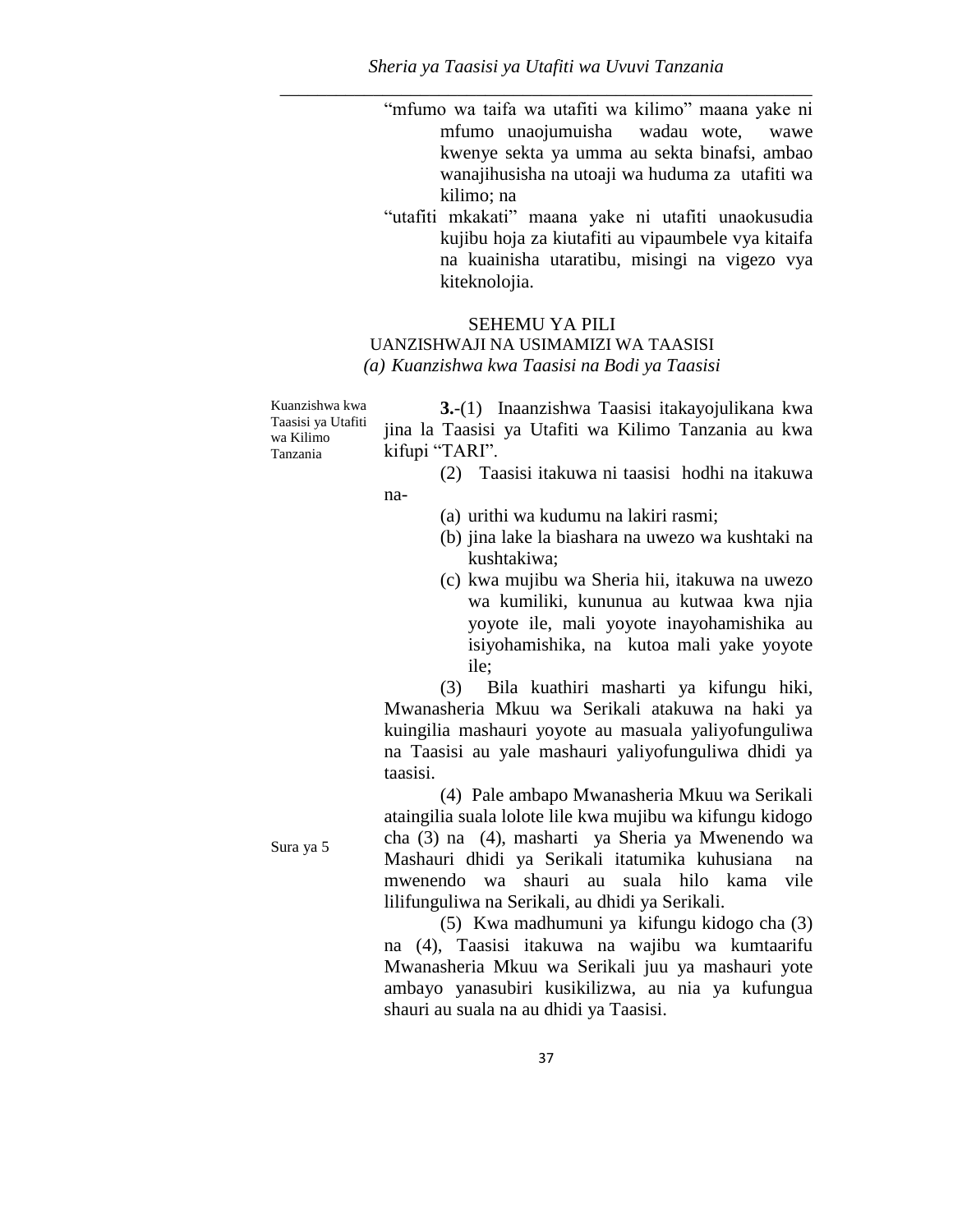"mfumo wa taifa wa utafiti wa kilimo" maana yake ni mfumo unaojumuisha wadau wote, wawe kwenye sekta ya umma au sekta binafsi, ambao wanajihusisha na utoaji wa huduma za utafiti wa kilimo; na

"utafiti mkakati" maana yake ni utafiti unaokusudia kujibu hoja za kiutafiti au vipaumbele vya kitaifa na kuainisha utaratibu, misingi na vigezo vya kiteknolojia.

#### SEHEMU YA PILI

# UANZISHWAJI NA USIMAMIZI WA TAASISI

*(a) Kuanzishwa kwa Taasisi na Bodi ya Taasisi*

Kuanzishwa kwa Taasisi ya Utafiti wa Kilimo Tanzania **3.**-(1) Inaanzishwa Taasisi itakayojulikana kwa jina la Taasisi ya Utafiti wa Kilimo Tanzania au kwa kifupi "TARI". (2) Taasisi itakuwa ni taasisi hodhi na itakuwa

na-

- (a) urithi wa kudumu na lakiri rasmi;
- (b) jina lake la biashara na uwezo wa kushtaki na kushtakiwa;
- (c) kwa mujibu wa Sheria hii, itakuwa na uwezo wa kumiliki, kununua au kutwaa kwa njia yoyote ile, mali yoyote inayohamishika au isiyohamishika, na kutoa mali yake yoyote ile;

(3) Bila kuathiri masharti ya kifungu hiki, Mwanasheria Mkuu wa Serikali atakuwa na haki ya kuingilia mashauri yoyote au masuala yaliyofunguliwa na Taasisi au yale mashauri yaliyofunguliwa dhidi ya taasisi.

(4) Pale ambapo Mwanasheria Mkuu wa Serikali ataingilia suala lolote lile kwa mujibu wa kifungu kidogo cha (3) na (4), masharti ya Sheria ya Mwenendo wa Mashauri dhidi ya Serikali itatumika kuhusiana na mwenendo wa shauri au suala hilo kama vile lilifunguliwa na Serikali, au dhidi ya Serikali.

(5) Kwa madhumuni ya kifungu kidogo cha (3) na (4), Taasisi itakuwa na wajibu wa kumtaarifu Mwanasheria Mkuu wa Serikali juu ya mashauri yote ambayo yanasubiri kusikilizwa, au nia ya kufungua shauri au suala na au dhidi ya Taasisi.

Sura ya 5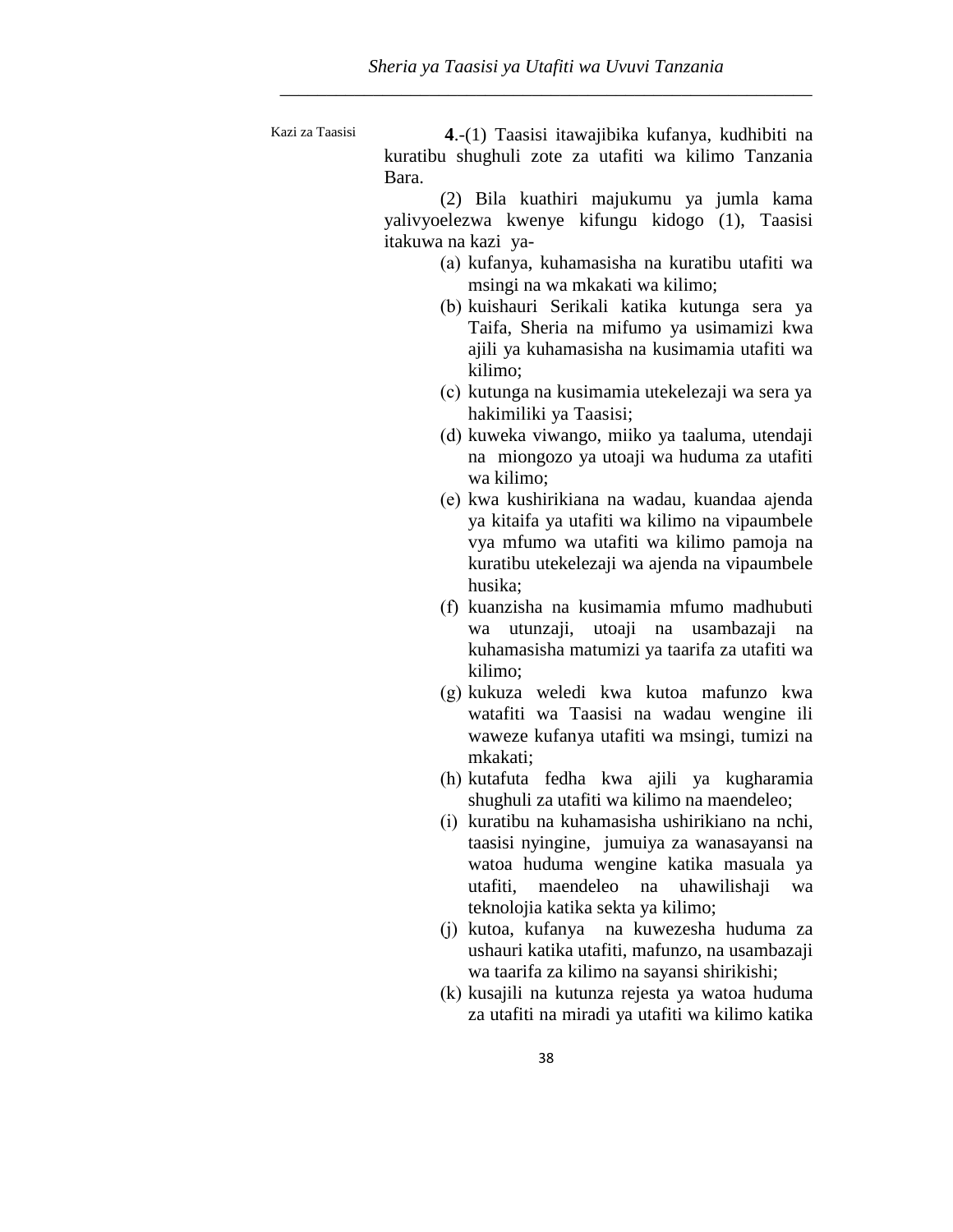Kazi za Taasisi **4**.-(1) Taasisi itawajibika kufanya, kudhibiti na kuratibu shughuli zote za utafiti wa kilimo Tanzania Bara.

(2) Bila kuathiri majukumu ya jumla kama yalivyoelezwa kwenye kifungu kidogo (1), Taasisi itakuwa na kazi ya-

- (a) kufanya, kuhamasisha na kuratibu utafiti wa msingi na wa mkakati wa kilimo;
- (b) kuishauri Serikali katika kutunga sera ya Taifa, Sheria na mifumo ya usimamizi kwa ajili ya kuhamasisha na kusimamia utafiti wa kilimo;
- (c) kutunga na kusimamia utekelezaji wa sera ya hakimiliki ya Taasisi;
- (d) kuweka viwango, miiko ya taaluma, utendaji na miongozo ya utoaji wa huduma za utafiti wa kilimo;
- (e) kwa kushirikiana na wadau, kuandaa ajenda ya kitaifa ya utafiti wa kilimo na vipaumbele vya mfumo wa utafiti wa kilimo pamoja na kuratibu utekelezaji wa ajenda na vipaumbele husika;
- (f) kuanzisha na kusimamia mfumo madhubuti wa utunzaji, utoaji na usambazaji na kuhamasisha matumizi ya taarifa za utafiti wa kilimo;
- (g) kukuza weledi kwa kutoa mafunzo kwa watafiti wa Taasisi na wadau wengine ili waweze kufanya utafiti wa msingi, tumizi na mkakati;
- (h) kutafuta fedha kwa ajili ya kugharamia shughuli za utafiti wa kilimo na maendeleo;
- (i) kuratibu na kuhamasisha ushirikiano na nchi, taasisi nyingine, jumuiya za wanasayansi na watoa huduma wengine katika masuala ya utafiti, maendeleo na uhawilishaji wa teknolojia katika sekta ya kilimo;
- (j) kutoa, kufanya na kuwezesha huduma za ushauri katika utafiti, mafunzo, na usambazaji wa taarifa za kilimo na sayansi shirikishi;
- (k) kusajili na kutunza rejesta ya watoa huduma za utafiti na miradi ya utafiti wa kilimo katika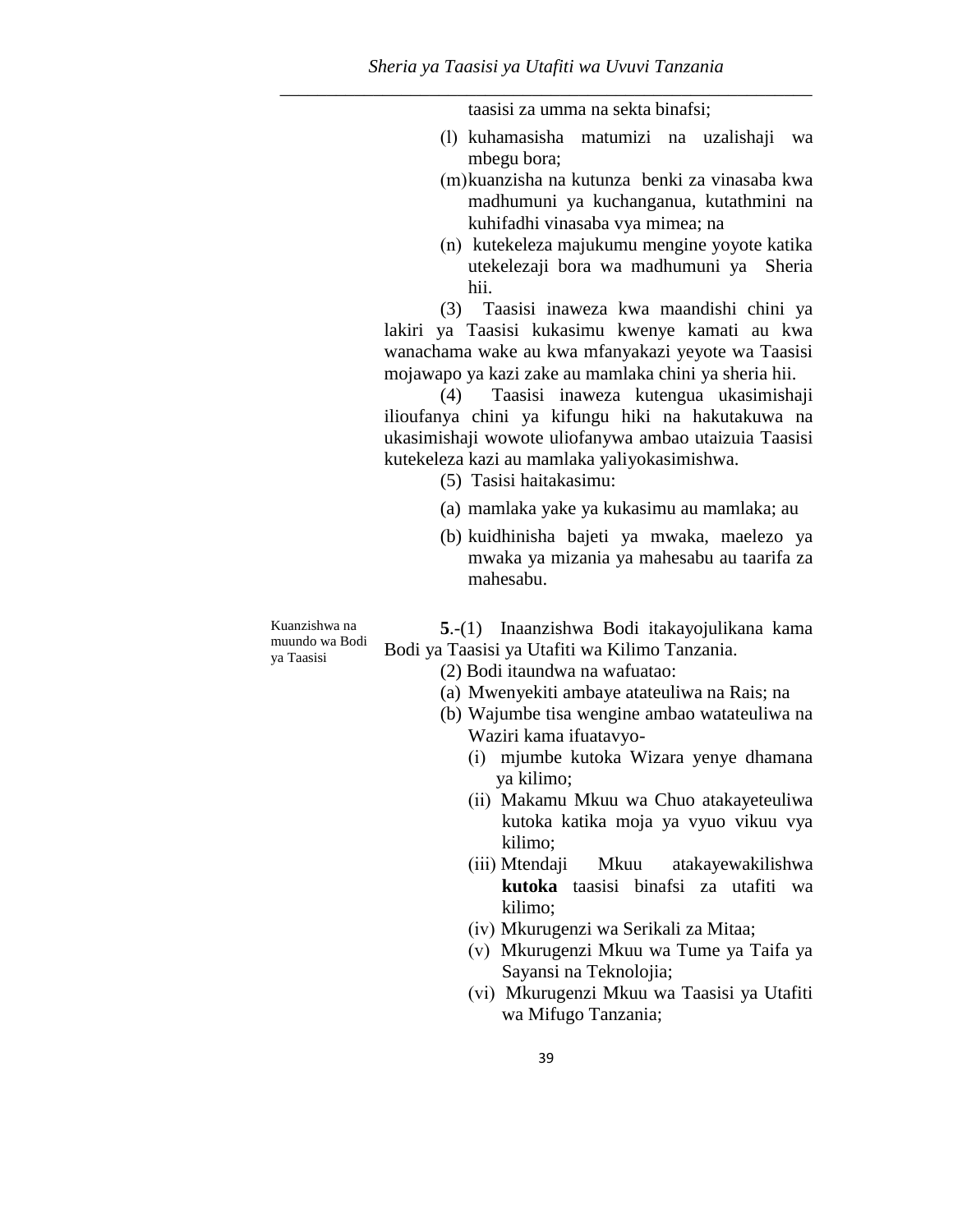taasisi za umma na sekta binafsi;

- (l) kuhamasisha matumizi na uzalishaji wa mbegu bora;
- (m)kuanzisha na kutunza benki za vinasaba kwa madhumuni ya kuchanganua, kutathmini na kuhifadhi vinasaba vya mimea; na
- (n) kutekeleza majukumu mengine yoyote katika utekelezaji bora wa madhumuni ya Sheria hii.

(3) Taasisi inaweza kwa maandishi chini ya lakiri ya Taasisi kukasimu kwenye kamati au kwa wanachama wake au kwa mfanyakazi yeyote wa Taasisi mojawapo ya kazi zake au mamlaka chini ya sheria hii.

(4) Taasisi inaweza kutengua ukasimishaji ilioufanya chini ya kifungu hiki na hakutakuwa na ukasimishaji wowote uliofanywa ambao utaizuia Taasisi kutekeleza kazi au mamlaka yaliyokasimishwa.

(5) Tasisi haitakasimu:

- (a) mamlaka yake ya kukasimu au mamlaka; au
- (b) kuidhinisha bajeti ya mwaka, maelezo ya mwaka ya mizania ya mahesabu au taarifa za mahesabu.

Kuanzishwa na muundo wa Bodi ya Taasisi

**5**.-(1) Inaanzishwa Bodi itakayojulikana kama Bodi ya Taasisi ya Utafiti wa Kilimo Tanzania.

- (2) Bodi itaundwa na wafuatao:
- (a) Mwenyekiti ambaye atateuliwa na Rais; na
- (b) Wajumbe tisa wengine ambao watateuliwa na Waziri kama ifuatavyo-
	- (i) mjumbe kutoka Wizara yenye dhamana ya kilimo;
	- (ii) Makamu Mkuu wa Chuo atakayeteuliwa kutoka katika moja ya vyuo vikuu vya kilimo;
	- (iii) Mtendaji Mkuu atakayewakilishwa **kutoka** taasisi binafsi za utafiti wa kilimo;
	- (iv) Mkurugenzi wa Serikali za Mitaa;
	- (v) Mkurugenzi Mkuu wa Tume ya Taifa ya Sayansi na Teknolojia;
	- (vi) Mkurugenzi Mkuu wa Taasisi ya Utafiti wa Mifugo Tanzania;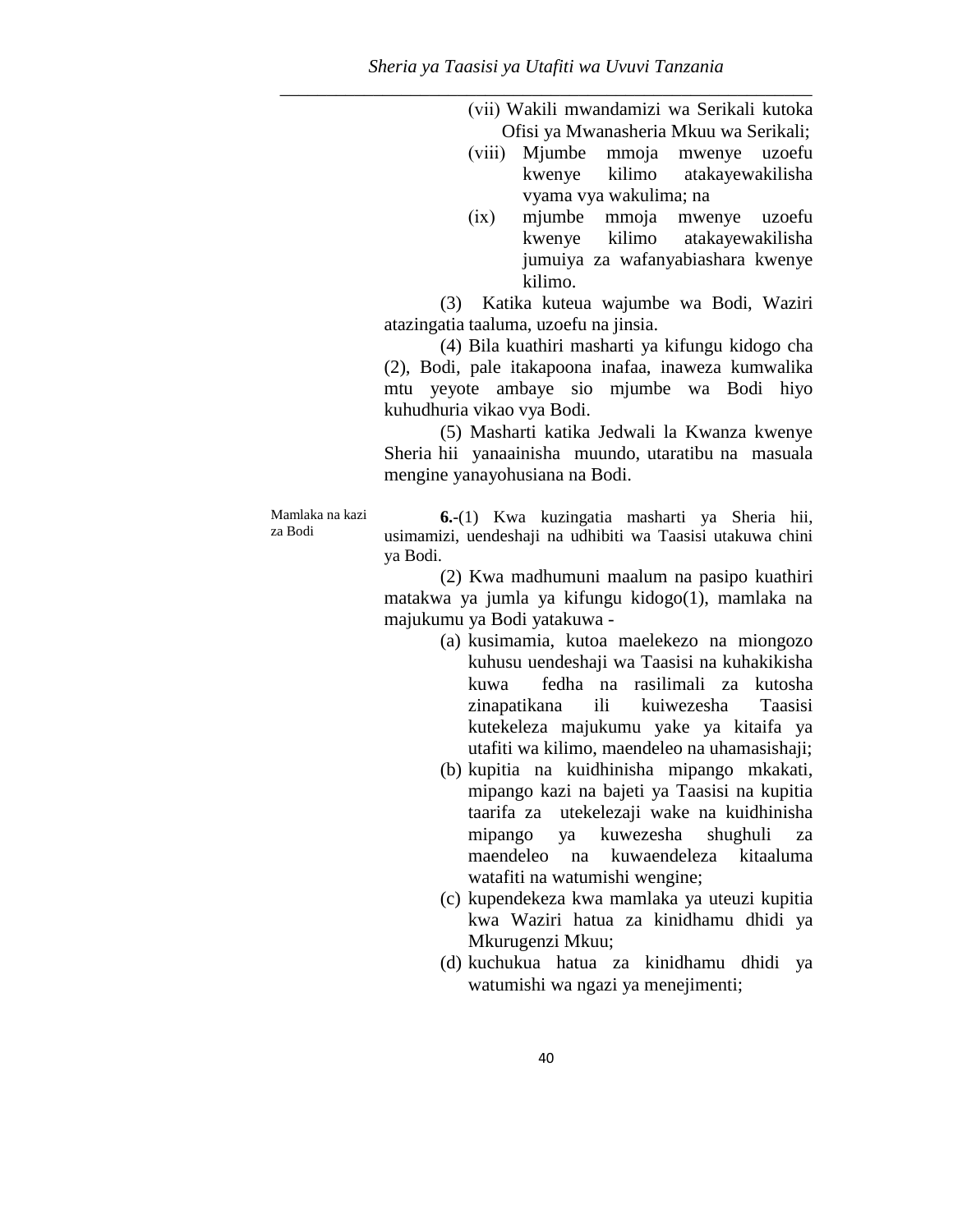(vii) Wakili mwandamizi wa Serikali kutoka Ofisi ya Mwanasheria Mkuu wa Serikali;

- (viii) Mjumbe mmoja mwenye uzoefu kwenye kilimo atakayewakilisha vyama vya wakulima; na
- (ix) mjumbe mmoja mwenye uzoefu kwenye kilimo atakayewakilisha jumuiya za wafanyabiashara kwenye kilimo.

(3) Katika kuteua wajumbe wa Bodi, Waziri atazingatia taaluma, uzoefu na jinsia.

(4) Bila kuathiri masharti ya kifungu kidogo cha (2), Bodi, pale itakapoona inafaa, inaweza kumwalika mtu yeyote ambaye sio mjumbe wa Bodi hiyo kuhudhuria vikao vya Bodi.

(5) Masharti katika Jedwali la Kwanza kwenye Sheria hii yanaainisha muundo, utaratibu na masuala mengine yanayohusiana na Bodi.

Mamlaka na kazi za Bodi

**6.**-(1) Kwa kuzingatia masharti ya Sheria hii, usimamizi, uendeshaji na udhibiti wa Taasisi utakuwa chini ya Bodi.

(2) Kwa madhumuni maalum na pasipo kuathiri matakwa ya jumla ya kifungu kidogo(1), mamlaka na majukumu ya Bodi yatakuwa -

- (a) kusimamia, kutoa maelekezo na miongozo kuhusu uendeshaji wa Taasisi na kuhakikisha kuwa fedha na rasilimali za kutosha zinapatikana ili kuiwezesha Taasisi kutekeleza majukumu yake ya kitaifa ya utafiti wa kilimo, maendeleo na uhamasishaji;
- (b) kupitia na kuidhinisha mipango mkakati, mipango kazi na bajeti ya Taasisi na kupitia taarifa za utekelezaji wake na kuidhinisha mipango ya kuwezesha shughuli za maendeleo na kuwaendeleza kitaaluma watafiti na watumishi wengine;
- (c) kupendekeza kwa mamlaka ya uteuzi kupitia kwa Waziri hatua za kinidhamu dhidi ya Mkurugenzi Mkuu;
- (d) kuchukua hatua za kinidhamu dhidi ya watumishi wa ngazi ya menejimenti;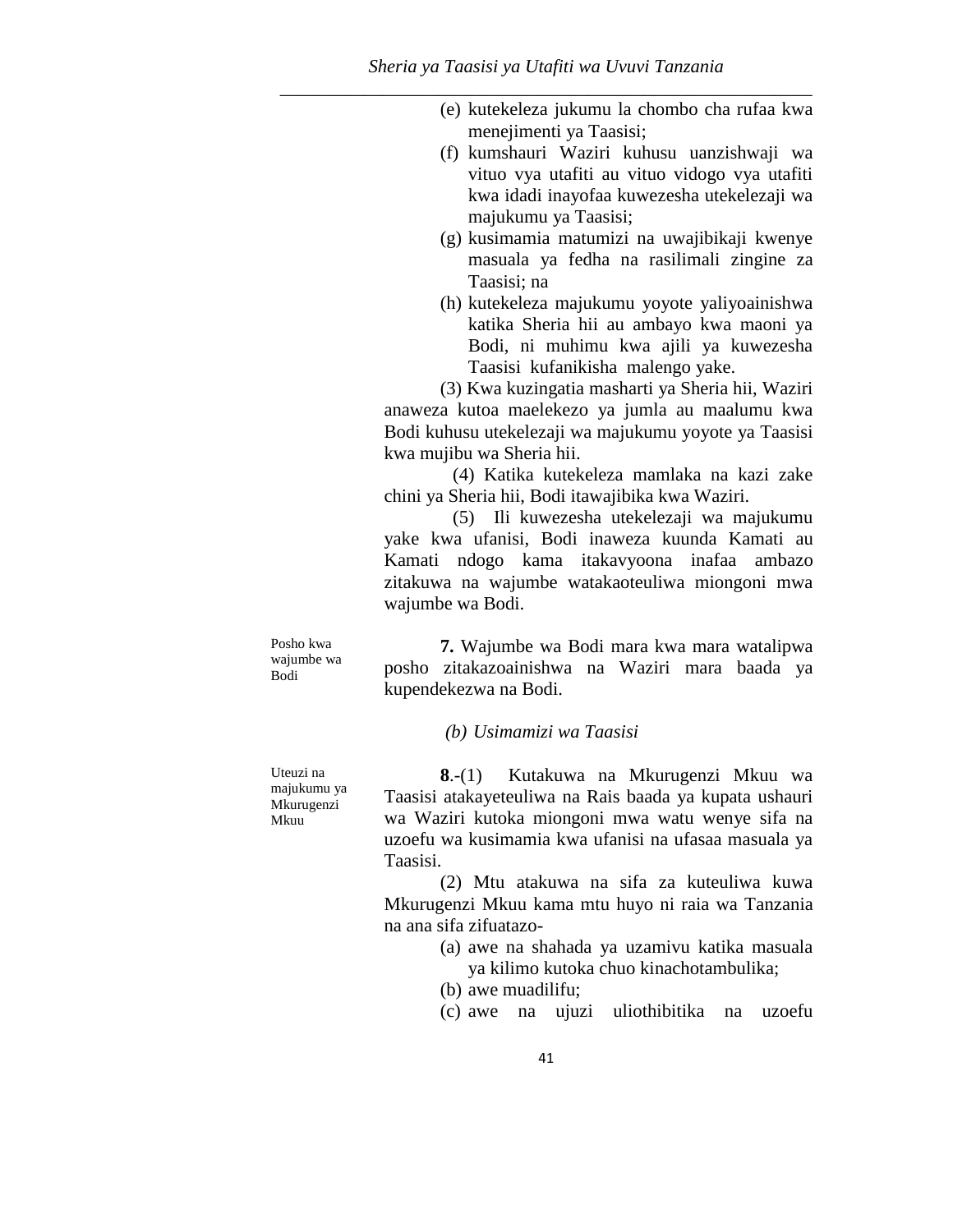- (e) kutekeleza jukumu la chombo cha rufaa kwa menejimenti ya Taasisi;
- (f) kumshauri Waziri kuhusu uanzishwaji wa vituo vya utafiti au vituo vidogo vya utafiti kwa idadi inayofaa kuwezesha utekelezaji wa majukumu ya Taasisi;
- (g) kusimamia matumizi na uwajibikaji kwenye masuala ya fedha na rasilimali zingine za Taasisi; na
- (h) kutekeleza majukumu yoyote yaliyoainishwa katika Sheria hii au ambayo kwa maoni ya Bodi, ni muhimu kwa ajili ya kuwezesha Taasisi kufanikisha malengo yake.

(3) Kwa kuzingatia masharti ya Sheria hii, Waziri anaweza kutoa maelekezo ya jumla au maalumu kwa Bodi kuhusu utekelezaji wa majukumu yoyote ya Taasisi kwa mujibu wa Sheria hii.

(4) Katika kutekeleza mamlaka na kazi zake chini ya Sheria hii, Bodi itawajibika kwa Waziri.

(5) Ili kuwezesha utekelezaji wa majukumu yake kwa ufanisi, Bodi inaweza kuunda Kamati au Kamati ndogo kama itakavyoona inafaa ambazo zitakuwa na wajumbe watakaoteuliwa miongoni mwa wajumbe wa Bodi.

Posho kwa wajumbe wa Bodi

**7.** Wajumbe wa Bodi mara kwa mara watalipwa posho zitakazoainishwa na Waziri mara baada ya kupendekezwa na Bodi.

*(b) Usimamizi wa Taasisi*

Uteuzi na majukumu ya Mkurugenzi Mkuu

**8**.-(1) Kutakuwa na Mkurugenzi Mkuu wa Taasisi atakayeteuliwa na Rais baada ya kupata ushauri wa Waziri kutoka miongoni mwa watu wenye sifa na uzoefu wa kusimamia kwa ufanisi na ufasaa masuala ya Taasisi.

(2) Mtu atakuwa na sifa za kuteuliwa kuwa Mkurugenzi Mkuu kama mtu huyo ni raia wa Tanzania na ana sifa zifuatazo-

- (a) awe na shahada ya uzamivu katika masuala ya kilimo kutoka chuo kinachotambulika;
- (b) awe muadilifu;

(c) awe na ujuzi uliothibitika na uzoefu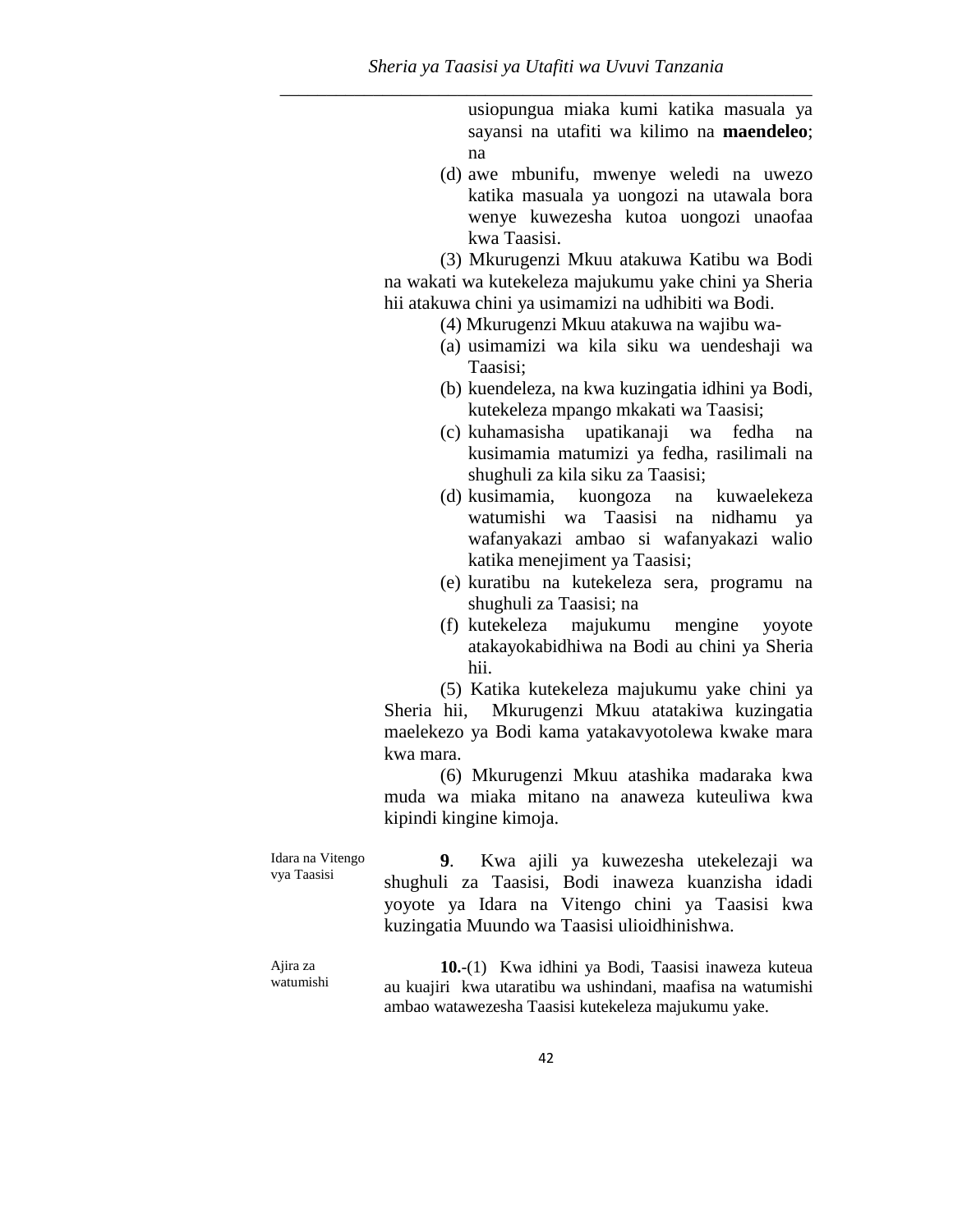usiopungua miaka kumi katika masuala ya sayansi na utafiti wa kilimo na **maendeleo**; na

(d) awe mbunifu, mwenye weledi na uwezo katika masuala ya uongozi na utawala bora wenye kuwezesha kutoa uongozi unaofaa kwa Taasisi.

(3) Mkurugenzi Mkuu atakuwa Katibu wa Bodi na wakati wa kutekeleza majukumu yake chini ya Sheria hii atakuwa chini ya usimamizi na udhibiti wa Bodi.

- (4) Mkurugenzi Mkuu atakuwa na wajibu wa-
- (a) usimamizi wa kila siku wa uendeshaji wa Taasisi;
- (b) kuendeleza, na kwa kuzingatia idhini ya Bodi, kutekeleza mpango mkakati wa Taasisi;
- (c) kuhamasisha upatikanaji wa fedha na kusimamia matumizi ya fedha, rasilimali na shughuli za kila siku za Taasisi;
- (d) kusimamia, kuongoza na kuwaelekeza watumishi wa Taasisi na nidhamu ya wafanyakazi ambao si wafanyakazi walio katika menejiment ya Taasisi;
- (e) kuratibu na kutekeleza sera, programu na shughuli za Taasisi; na
- (f) kutekeleza majukumu mengine yoyote atakayokabidhiwa na Bodi au chini ya Sheria hii.

(5) Katika kutekeleza majukumu yake chini ya Sheria hii, Mkurugenzi Mkuu atatakiwa kuzingatia maelekezo ya Bodi kama yatakavyotolewa kwake mara kwa mara.

(6) Mkurugenzi Mkuu atashika madaraka kwa muda wa miaka mitano na anaweza kuteuliwa kwa kipindi kingine kimoja.

Idara na Vitengo vya Taasisi **9**. Kwa ajili ya kuwezesha utekelezaji wa shughuli za Taasisi, Bodi inaweza kuanzisha idadi yoyote ya Idara na Vitengo chini ya Taasisi kwa kuzingatia Muundo wa Taasisi ulioidhinishwa.

Ajira za watumishi **10.**-(1) Kwa idhini ya Bodi, Taasisi inaweza kuteua au kuajiri kwa utaratibu wa ushindani, maafisa na watumishi ambao watawezesha Taasisi kutekeleza majukumu yake.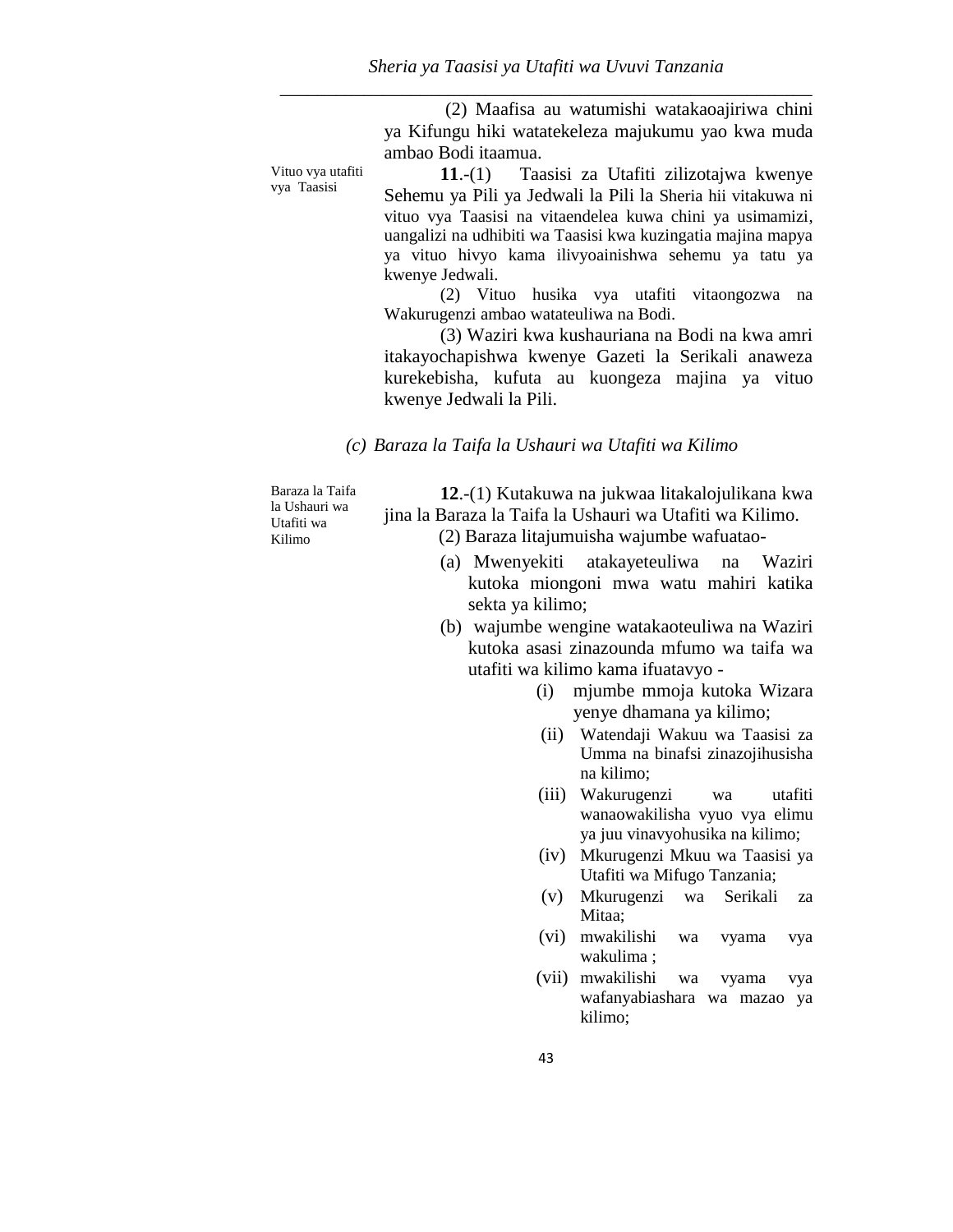(2) Maafisa au watumishi watakaoajiriwa chini ya Kifungu hiki watatekeleza majukumu yao kwa muda ambao Bodi itaamua.

Vituo vya utafiti vya Taasisi

**11**.-(1) Taasisi za Utafiti zilizotajwa kwenye Sehemu ya Pili ya Jedwali la Pili la Sheria hii vitakuwa ni vituo vya Taasisi na vitaendelea kuwa chini ya usimamizi, uangalizi na udhibiti wa Taasisi kwa kuzingatia majina mapya ya vituo hivyo kama ilivyoainishwa sehemu ya tatu ya kwenye Jedwali.

(2) Vituo husika vya utafiti vitaongozwa na Wakurugenzi ambao watateuliwa na Bodi.

(3) Waziri kwa kushauriana na Bodi na kwa amri itakayochapishwa kwenye Gazeti la Serikali anaweza kurekebisha, kufuta au kuongeza majina ya vituo kwenye Jedwali la Pili.

*(c) Baraza la Taifa la Ushauri wa Utafiti wa Kilimo* 

Baraza la Taifa la Ushauri wa Utafiti wa Kilimo

**12**.-(1) Kutakuwa na jukwaa litakalojulikana kwa jina la Baraza la Taifa la Ushauri wa Utafiti wa Kilimo.

(2) Baraza litajumuisha wajumbe wafuatao-

- (a) Mwenyekiti atakayeteuliwa na Waziri kutoka miongoni mwa watu mahiri katika sekta ya kilimo;
- (b) wajumbe wengine watakaoteuliwa na Waziri kutoka asasi zinazounda mfumo wa taifa wa utafiti wa kilimo kama ifuatavyo -
	- (i) mjumbe mmoja kutoka Wizara yenye dhamana ya kilimo;
	- (ii) Watendaji Wakuu wa Taasisi za Umma na binafsi zinazojihusisha na kilimo;
	- (iii) Wakurugenzi wa utafiti wanaowakilisha vyuo vya elimu ya juu vinavyohusika na kilimo;
	- (iv) Mkurugenzi Mkuu wa Taasisi ya Utafiti wa Mifugo Tanzania;
	- (v) Mkurugenzi wa Serikali za Mitaa:
	- (vi) mwakilishi wa vyama vya wakulima ;
	- (vii) mwakilishi wa vyama vya wafanyabiashara wa mazao ya kilimo;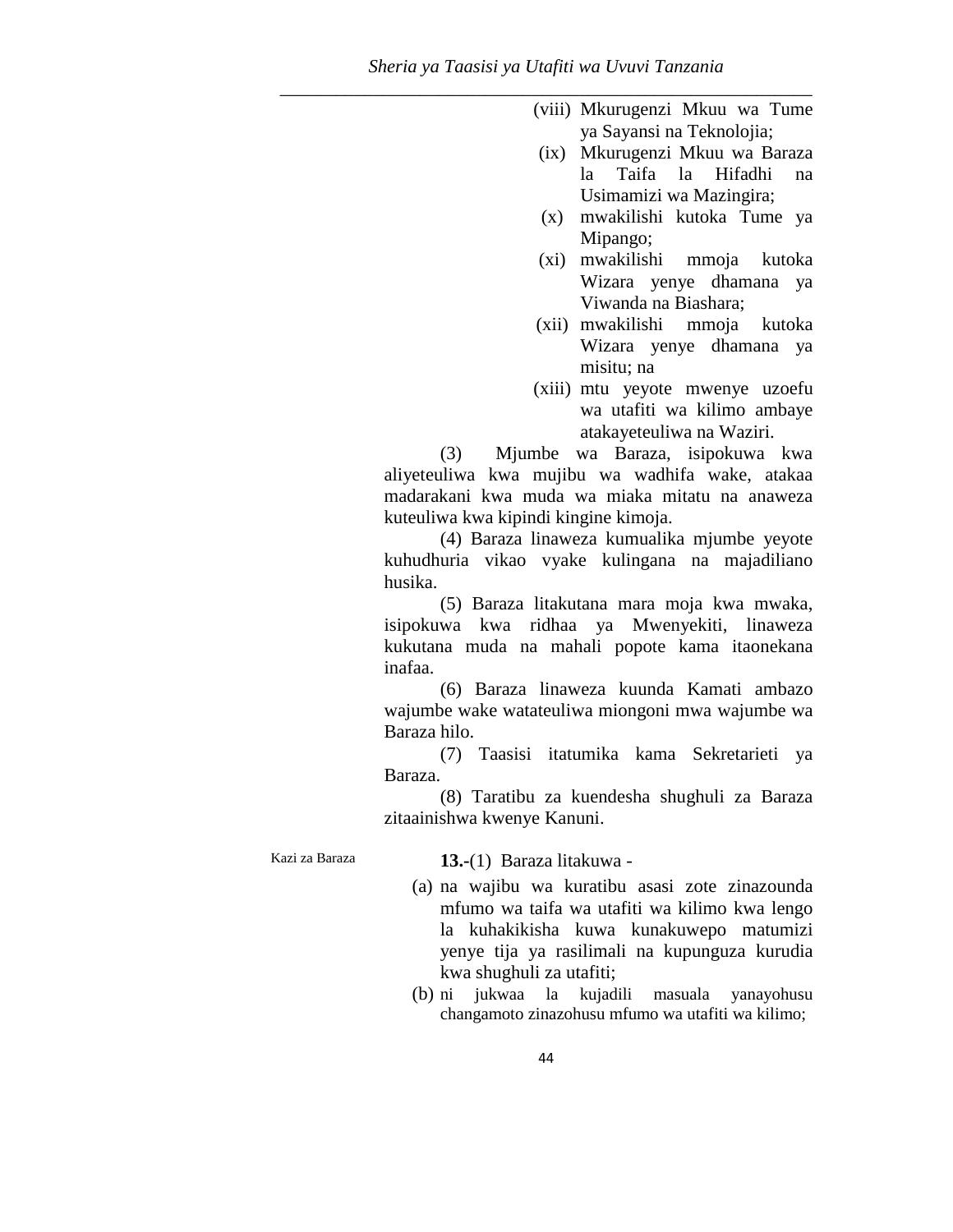- (viii) Mkurugenzi Mkuu wa Tume ya Sayansi na Teknolojia;
- (ix) Mkurugenzi Mkuu wa Baraza la Taifa la Hifadhi na Usimamizi wa Mazingira;
- (x) mwakilishi kutoka Tume ya Mipango;
- (xi) mwakilishi mmoja kutoka Wizara yenye dhamana ya Viwanda na Biashara;
- (xii) mwakilishi mmoja kutoka Wizara yenye dhamana ya misitu; na
- (xiii) mtu yeyote mwenye uzoefu wa utafiti wa kilimo ambaye atakayeteuliwa na Waziri.

(3) Mjumbe wa Baraza, isipokuwa kwa aliyeteuliwa kwa mujibu wa wadhifa wake, atakaa madarakani kwa muda wa miaka mitatu na anaweza kuteuliwa kwa kipindi kingine kimoja.

(4) Baraza linaweza kumualika mjumbe yeyote kuhudhuria vikao vyake kulingana na majadiliano husika.

(5) Baraza litakutana mara moja kwa mwaka, isipokuwa kwa ridhaa ya Mwenyekiti, linaweza kukutana muda na mahali popote kama itaonekana inafaa.

(6) Baraza linaweza kuunda Kamati ambazo wajumbe wake watateuliwa miongoni mwa wajumbe wa Baraza hilo.

(7) Taasisi itatumika kama Sekretarieti ya Baraza.

(8) Taratibu za kuendesha shughuli za Baraza zitaainishwa kwenye Kanuni.

Kazi za Baraza **13.-**(1) Baraza litakuwa -

- (a) na wajibu wa kuratibu asasi zote zinazounda mfumo wa taifa wa utafiti wa kilimo kwa lengo la kuhakikisha kuwa kunakuwepo matumizi yenye tija ya rasilimali na kupunguza kurudia kwa shughuli za utafiti;
- (b) ni jukwaa la kujadili masuala yanayohusu changamoto zinazohusu mfumo wa utafiti wa kilimo;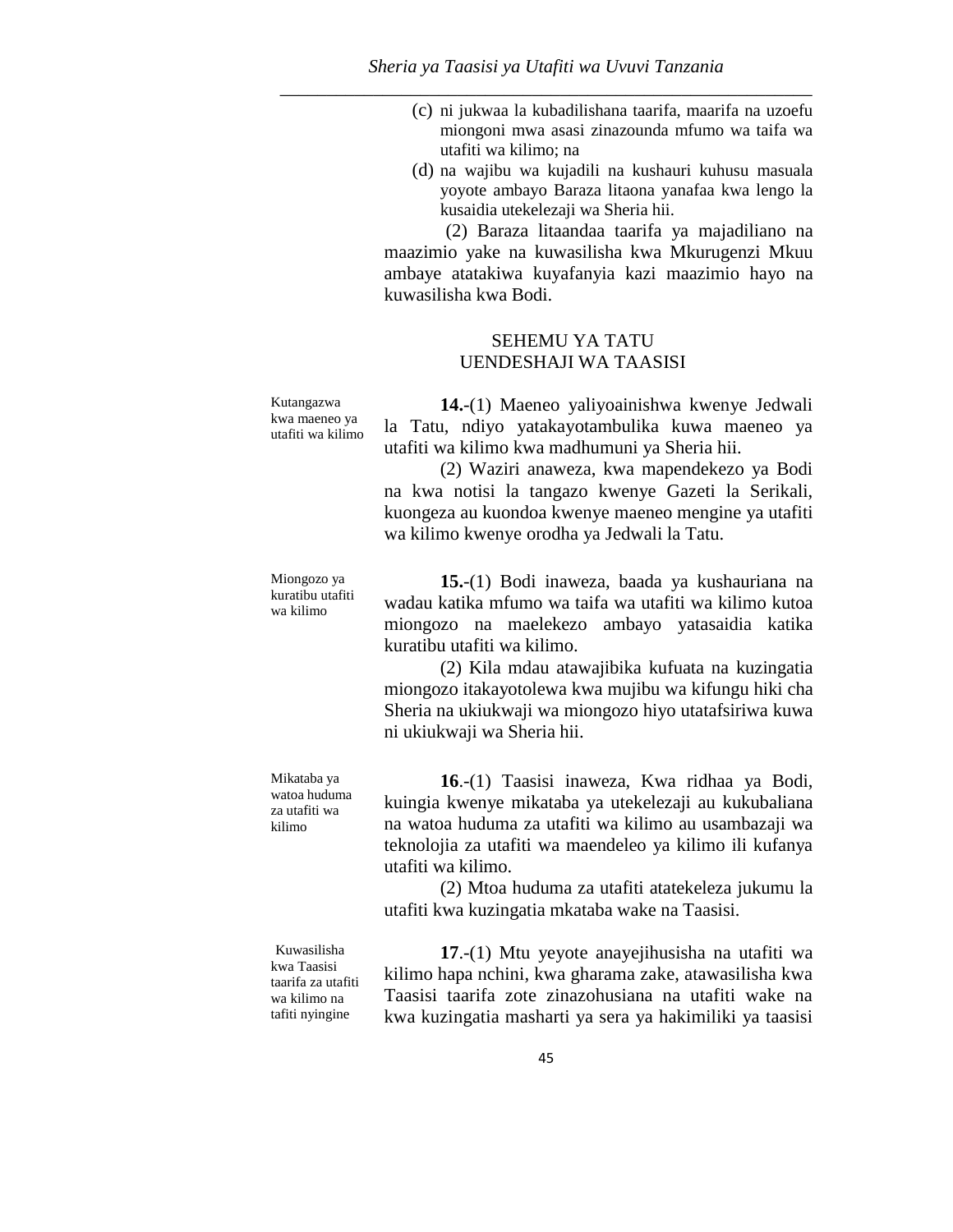- (c) ni jukwaa la kubadilishana taarifa, maarifa na uzoefu miongoni mwa asasi zinazounda mfumo wa taifa wa utafiti wa kilimo; na
- (d) na wajibu wa kujadili na kushauri kuhusu masuala yoyote ambayo Baraza litaona yanafaa kwa lengo la kusaidia utekelezaji wa Sheria hii.

(2) Baraza litaandaa taarifa ya majadiliano na maazimio yake na kuwasilisha kwa Mkurugenzi Mkuu ambaye atatakiwa kuyafanyia kazi maazimio hayo na kuwasilisha kwa Bodi.

## SEHEMU YA TATU UENDESHAJI WA TAASISI

Kutangazwa kwa maeneo ya utafiti wa kilimo

Miongozo ya kuratibu utafiti wa kilimo

Mikataba ya watoa huduma za utafiti wa kilimo

**14.**-(1) Maeneo yaliyoainishwa kwenye Jedwali la Tatu, ndiyo yatakayotambulika kuwa maeneo ya utafiti wa kilimo kwa madhumuni ya Sheria hii.

(2) Waziri anaweza, kwa mapendekezo ya Bodi na kwa notisi la tangazo kwenye Gazeti la Serikali, kuongeza au kuondoa kwenye maeneo mengine ya utafiti wa kilimo kwenye orodha ya Jedwali la Tatu.

**15.**-(1) Bodi inaweza, baada ya kushauriana na wadau katika mfumo wa taifa wa utafiti wa kilimo kutoa miongozo na maelekezo ambayo yatasaidia katika kuratibu utafiti wa kilimo.

(2) Kila mdau atawajibika kufuata na kuzingatia miongozo itakayotolewa kwa mujibu wa kifungu hiki cha Sheria na ukiukwaji wa miongozo hiyo utatafsiriwa kuwa ni ukiukwaji wa Sheria hii.

**16**.-(1) Taasisi inaweza, Kwa ridhaa ya Bodi, kuingia kwenye mikataba ya utekelezaji au kukubaliana na watoa huduma za utafiti wa kilimo au usambazaji wa teknolojia za utafiti wa maendeleo ya kilimo ili kufanya utafiti wa kilimo.

(2) Mtoa huduma za utafiti atatekeleza jukumu la utafiti kwa kuzingatia mkataba wake na Taasisi.

Kuwasilisha kwa Taasisi taarifa za utafiti wa kilimo na tafiti nyingine

**17**.-(1) Mtu yeyote anayejihusisha na utafiti wa kilimo hapa nchini, kwa gharama zake, atawasilisha kwa Taasisi taarifa zote zinazohusiana na utafiti wake na kwa kuzingatia masharti ya sera ya hakimiliki ya taasisi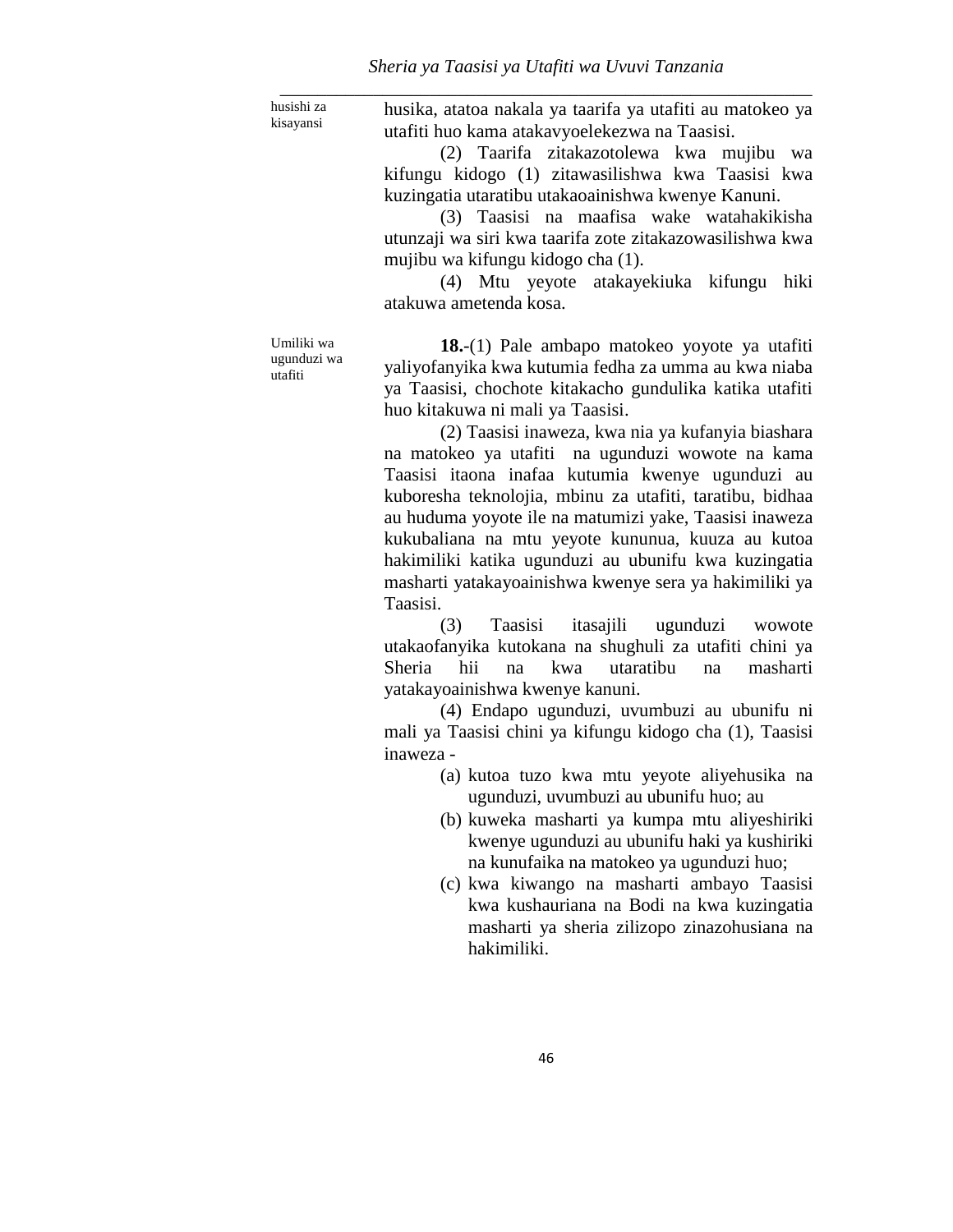husishi za kisayansi

husika, atatoa nakala ya taarifa ya utafiti au matokeo ya utafiti huo kama atakavyoelekezwa na Taasisi.

(2) Taarifa zitakazotolewa kwa mujibu wa kifungu kidogo (1) zitawasilishwa kwa Taasisi kwa kuzingatia utaratibu utakaoainishwa kwenye Kanuni.

(3) Taasisi na maafisa wake watahakikisha utunzaji wa siri kwa taarifa zote zitakazowasilishwa kwa mujibu wa kifungu kidogo cha (1).

(4) Mtu yeyote atakayekiuka kifungu hiki atakuwa ametenda kosa.

Umiliki wa ugunduzi wa utafiti

**18.**-(1) Pale ambapo matokeo yoyote ya utafiti yaliyofanyika kwa kutumia fedha za umma au kwa niaba ya Taasisi, chochote kitakacho gundulika katika utafiti huo kitakuwa ni mali ya Taasisi.

(2) Taasisi inaweza, kwa nia ya kufanyia biashara na matokeo ya utafiti na ugunduzi wowote na kama Taasisi itaona inafaa kutumia kwenye ugunduzi au kuboresha teknolojia, mbinu za utafiti, taratibu, bidhaa au huduma yoyote ile na matumizi yake, Taasisi inaweza kukubaliana na mtu yeyote kununua, kuuza au kutoa hakimiliki katika ugunduzi au ubunifu kwa kuzingatia masharti yatakayoainishwa kwenye sera ya hakimiliki ya Taasisi.

(3) Taasisi itasajili ugunduzi wowote utakaofanyika kutokana na shughuli za utafiti chini ya Sheria hii na kwa utaratibu na masharti yatakayoainishwa kwenye kanuni.

(4) Endapo ugunduzi, uvumbuzi au ubunifu ni mali ya Taasisi chini ya kifungu kidogo cha (1), Taasisi inaweza -

- (a) kutoa tuzo kwa mtu yeyote aliyehusika na ugunduzi, uvumbuzi au ubunifu huo; au
- (b) kuweka masharti ya kumpa mtu aliyeshiriki kwenye ugunduzi au ubunifu haki ya kushiriki na kunufaika na matokeo ya ugunduzi huo;
- (c) kwa kiwango na masharti ambayo Taasisi kwa kushauriana na Bodi na kwa kuzingatia masharti ya sheria zilizopo zinazohusiana na hakimiliki.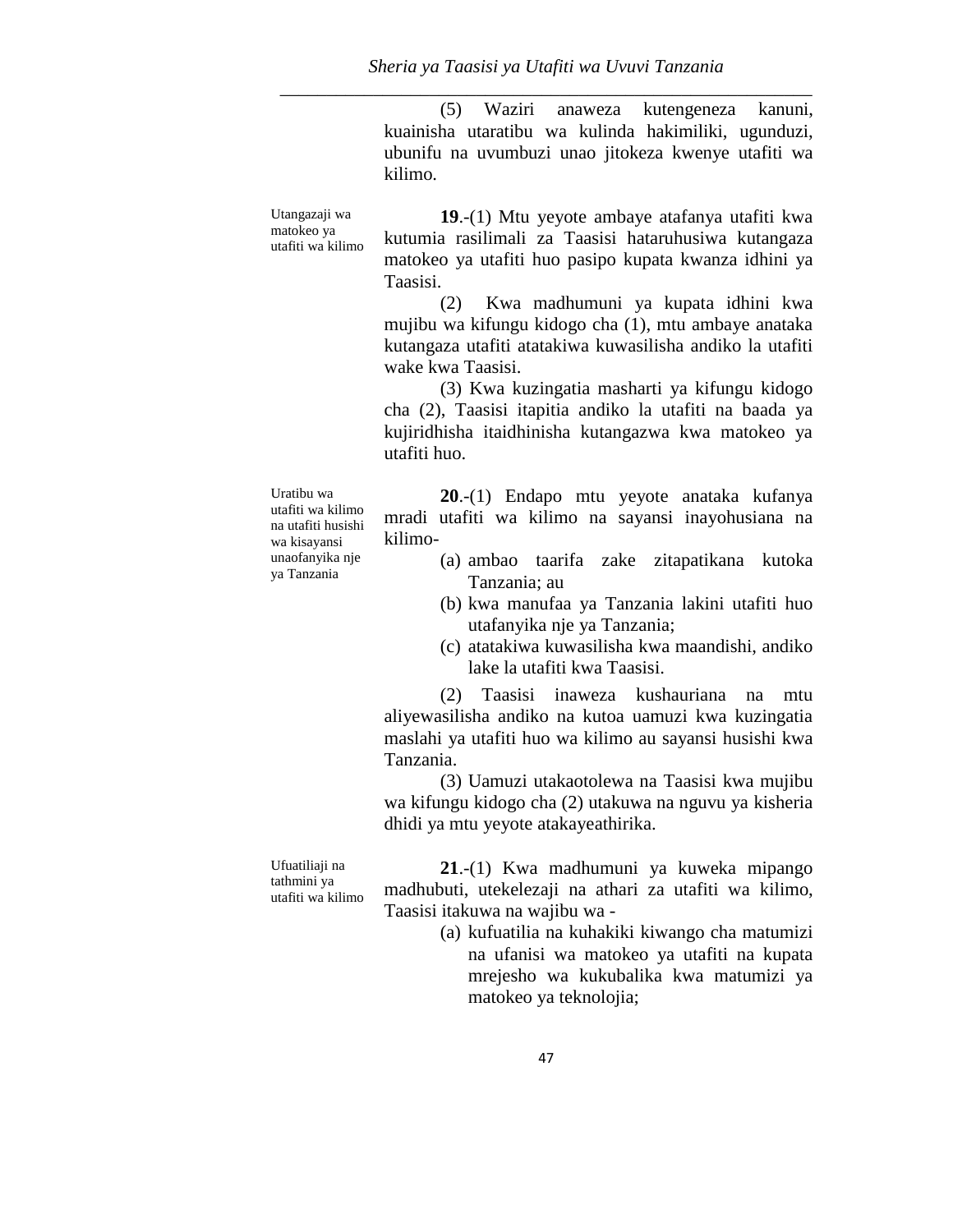(5) Waziri anaweza kutengeneza kanuni, kuainisha utaratibu wa kulinda hakimiliki, ugunduzi, ubunifu na uvumbuzi unao jitokeza kwenye utafiti wa kilimo.

Utangazaji wa matokeo ya utafiti wa kilimo

Uratibu wa

ya Tanzania

**19**.-(1) Mtu yeyote ambaye atafanya utafiti kwa kutumia rasilimali za Taasisi hataruhusiwa kutangaza matokeo ya utafiti huo pasipo kupata kwanza idhini ya Taasisi.

(2) Kwa madhumuni ya kupata idhini kwa mujibu wa kifungu kidogo cha (1), mtu ambaye anataka kutangaza utafiti atatakiwa kuwasilisha andiko la utafiti wake kwa Taasisi.

(3) Kwa kuzingatia masharti ya kifungu kidogo cha (2), Taasisi itapitia andiko la utafiti na baada ya kujiridhisha itaidhinisha kutangazwa kwa matokeo ya utafiti huo.

utafiti wa kilimo na utafiti husishi wa kisayansi unaofanyika nje **20**.-(1) Endapo mtu yeyote anataka kufanya mradi utafiti wa kilimo na sayansi inayohusiana na kilimo-

- (a) ambao taarifa zake zitapatikana kutoka Tanzania; au
- (b) kwa manufaa ya Tanzania lakini utafiti huo utafanyika nje ya Tanzania;
- (c) atatakiwa kuwasilisha kwa maandishi, andiko lake la utafiti kwa Taasisi.

(2) Taasisi inaweza kushauriana na mtu aliyewasilisha andiko na kutoa uamuzi kwa kuzingatia maslahi ya utafiti huo wa kilimo au sayansi husishi kwa Tanzania.

(3) Uamuzi utakaotolewa na Taasisi kwa mujibu wa kifungu kidogo cha (2) utakuwa na nguvu ya kisheria dhidi ya mtu yeyote atakayeathirika.

Ufuatiliaji na tathmini ya utafiti wa kilimo

**21**.-(1) Kwa madhumuni ya kuweka mipango madhubuti, utekelezaji na athari za utafiti wa kilimo, Taasisi itakuwa na wajibu wa -

> (a) kufuatilia na kuhakiki kiwango cha matumizi na ufanisi wa matokeo ya utafiti na kupata mrejesho wa kukubalika kwa matumizi ya matokeo ya teknolojia;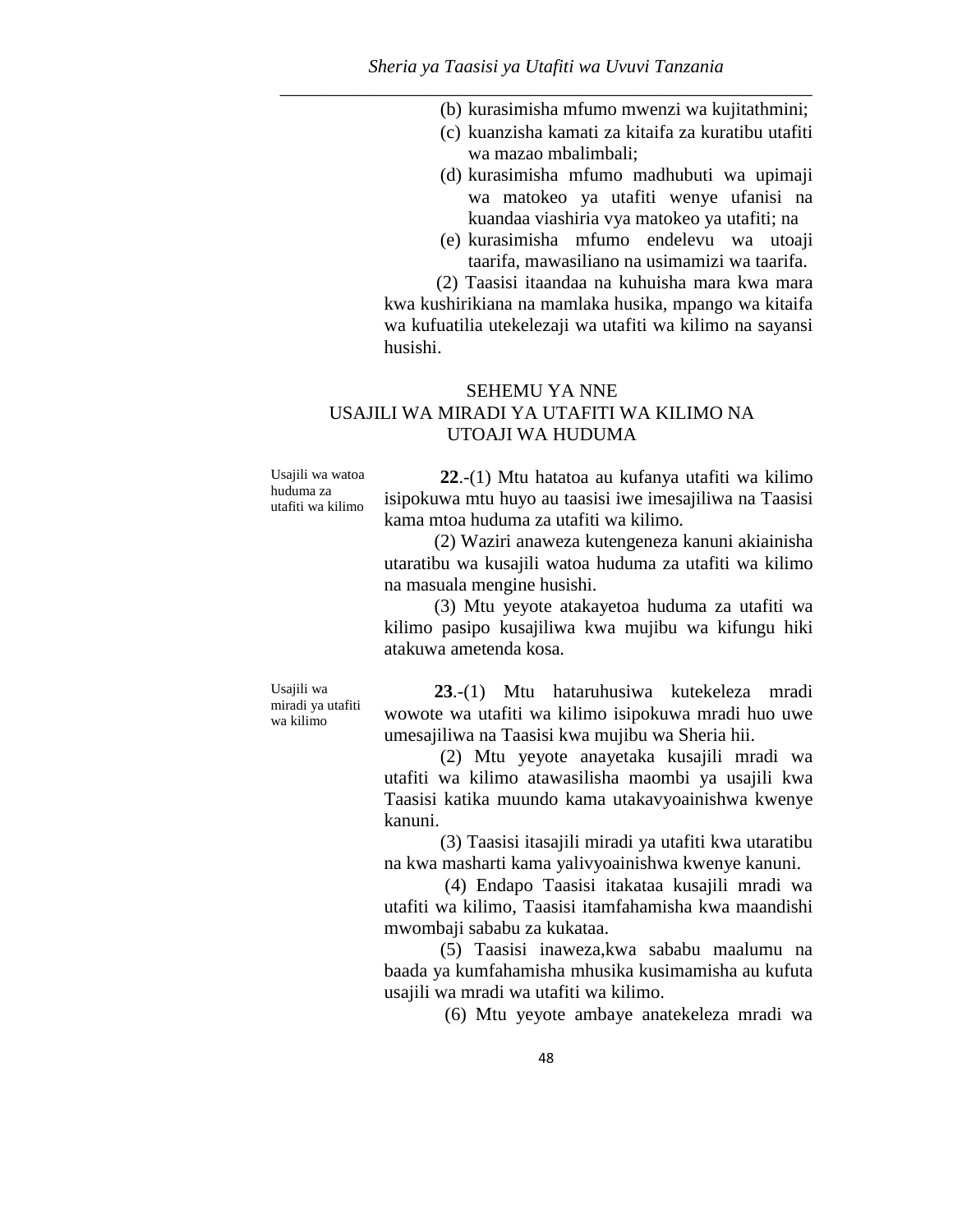- (b) kurasimisha mfumo mwenzi wa kujitathmini;
- (c) kuanzisha kamati za kitaifa za kuratibu utafiti wa mazao mbalimbali;
- (d) kurasimisha mfumo madhubuti wa upimaji wa matokeo ya utafiti wenye ufanisi na kuandaa viashiria vya matokeo ya utafiti; na
- (e) kurasimisha mfumo endelevu wa utoaji taarifa, mawasiliano na usimamizi wa taarifa.

(2) Taasisi itaandaa na kuhuisha mara kwa mara kwa kushirikiana na mamlaka husika, mpango wa kitaifa wa kufuatilia utekelezaji wa utafiti wa kilimo na sayansi husishi.

# SEHEMU YA NNE USAJILI WA MIRADI YA UTAFITI WA KILIMO NA UTOAJI WA HUDUMA

Usajili wa watoa huduma za utafiti wa kilimo

**22**.-(1) Mtu hatatoa au kufanya utafiti wa kilimo isipokuwa mtu huyo au taasisi iwe imesajiliwa na Taasisi kama mtoa huduma za utafiti wa kilimo.

(2) Waziri anaweza kutengeneza kanuni akiainisha utaratibu wa kusajili watoa huduma za utafiti wa kilimo na masuala mengine husishi.

(3) Mtu yeyote atakayetoa huduma za utafiti wa kilimo pasipo kusajiliwa kwa mujibu wa kifungu hiki atakuwa ametenda kosa.

Usajili wa miradi ya utafiti wa kilimo

**23**.-(1) Mtu hataruhusiwa kutekeleza mradi wowote wa utafiti wa kilimo isipokuwa mradi huo uwe umesajiliwa na Taasisi kwa mujibu wa Sheria hii.

(2) Mtu yeyote anayetaka kusajili mradi wa utafiti wa kilimo atawasilisha maombi ya usajili kwa Taasisi katika muundo kama utakavyoainishwa kwenye kanuni.

(3) Taasisi itasajili miradi ya utafiti kwa utaratibu na kwa masharti kama yalivyoainishwa kwenye kanuni.

(4) Endapo Taasisi itakataa kusajili mradi wa utafiti wa kilimo, Taasisi itamfahamisha kwa maandishi mwombaji sababu za kukataa.

(5) Taasisi inaweza,kwa sababu maalumu na baada ya kumfahamisha mhusika kusimamisha au kufuta usajili wa mradi wa utafiti wa kilimo.

(6) Mtu yeyote ambaye anatekeleza mradi wa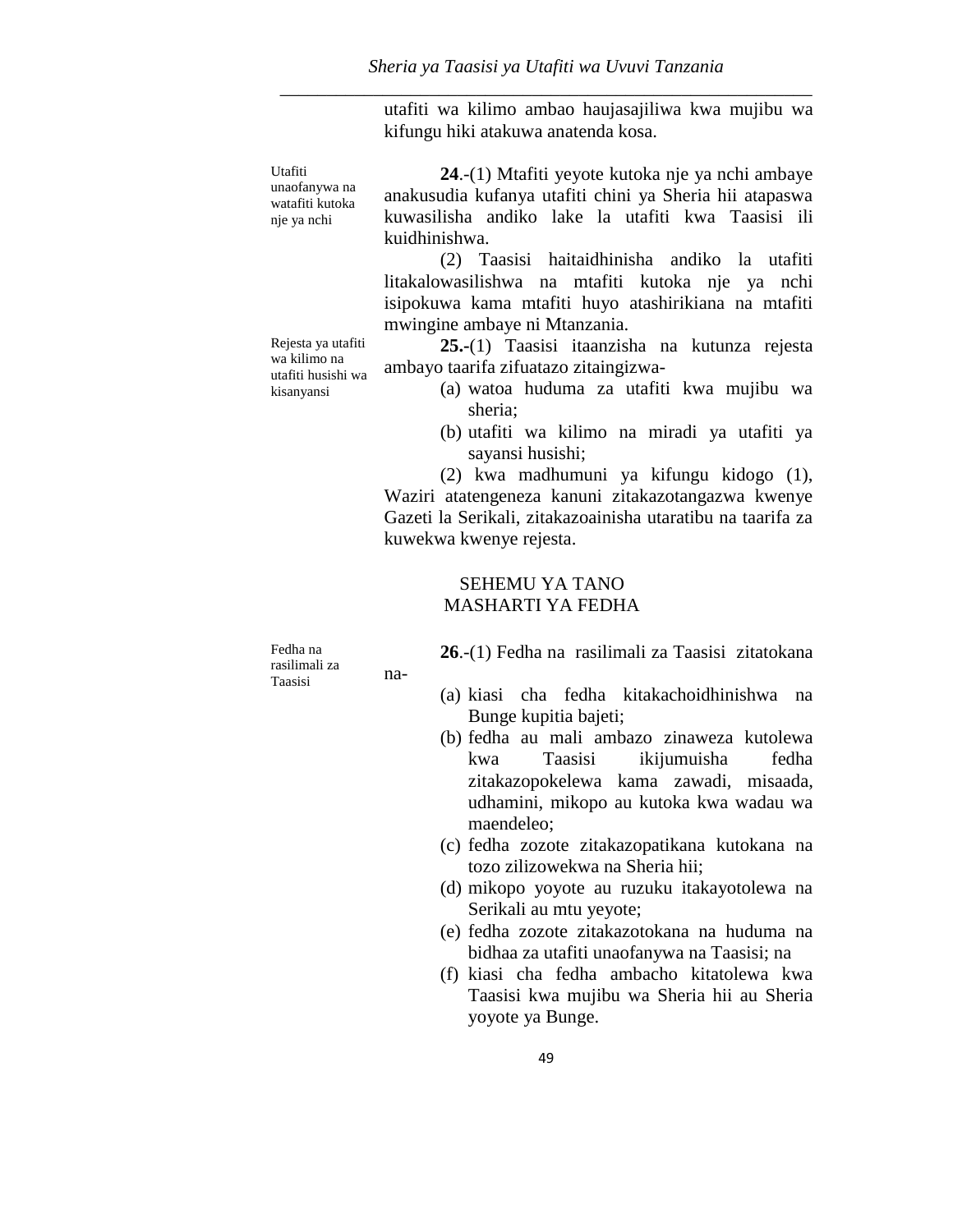utafiti wa kilimo ambao haujasajiliwa kwa mujibu wa kifungu hiki atakuwa anatenda kosa.

Utafiti

unaofanywa na watafiti kutoka nje ya nchi

Rejesta ya utafiti wa kilimo na utafiti husishi wa kisanyansi

**24**.-(1) Mtafiti yeyote kutoka nje ya nchi ambaye anakusudia kufanya utafiti chini ya Sheria hii atapaswa kuwasilisha andiko lake la utafiti kwa Taasisi ili kuidhinishwa.

(2) Taasisi haitaidhinisha andiko la utafiti litakalowasilishwa na mtafiti kutoka nje ya nchi isipokuwa kama mtafiti huyo atashirikiana na mtafiti mwingine ambaye ni Mtanzania.

**25.-**(1) Taasisi itaanzisha na kutunza rejesta ambayo taarifa zifuatazo zitaingizwa-

- (a) watoa huduma za utafiti kwa mujibu wa sheria;
- (b) utafiti wa kilimo na miradi ya utafiti ya sayansi husishi;

(2) kwa madhumuni ya kifungu kidogo (1), Waziri atatengeneza kanuni zitakazotangazwa kwenye Gazeti la Serikali, zitakazoainisha utaratibu na taarifa za kuwekwa kwenye rejesta.

## SEHEMU YA TANO MASHARTI YA FEDHA

Fedha na rasilimali za Taasisi

na-

**26**.-(1) Fedha na rasilimali za Taasisi zitatokana

- (a) kiasi cha fedha kitakachoidhinishwa na Bunge kupitia bajeti;
- (b) fedha au mali ambazo zinaweza kutolewa kwa Taasisi ikijumuisha fedha zitakazopokelewa kama zawadi, misaada, udhamini, mikopo au kutoka kwa wadau wa maendeleo;
- (c) fedha zozote zitakazopatikana kutokana na tozo zilizowekwa na Sheria hii;
- (d) mikopo yoyote au ruzuku itakayotolewa na Serikali au mtu yeyote;
- (e) fedha zozote zitakazotokana na huduma na bidhaa za utafiti unaofanywa na Taasisi; na
- (f) kiasi cha fedha ambacho kitatolewa kwa Taasisi kwa mujibu wa Sheria hii au Sheria yoyote ya Bunge.

49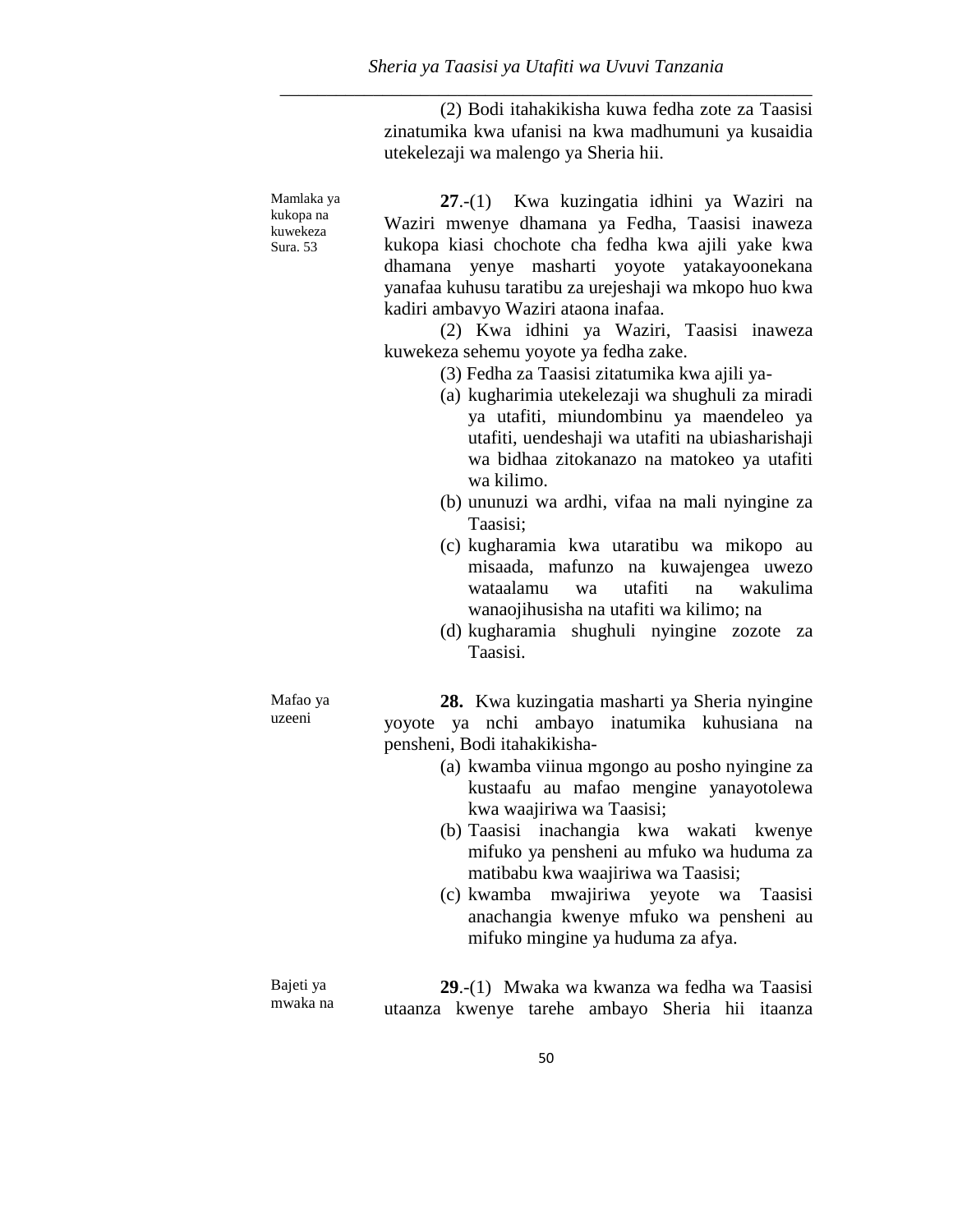(2) Bodi itahakikisha kuwa fedha zote za Taasisi zinatumika kwa ufanisi na kwa madhumuni ya kusaidia utekelezaji wa malengo ya Sheria hii.

Mamlaka ya kukopa na kuwekeza Sura. 53 **27**.-(1) Kwa kuzingatia idhini ya Waziri na Waziri mwenye dhamana ya Fedha, Taasisi inaweza kukopa kiasi chochote cha fedha kwa ajili yake kwa dhamana yenye masharti yoyote yatakayoonekana yanafaa kuhusu taratibu za urejeshaji wa mkopo huo kwa kadiri ambavyo Waziri ataona inafaa.

> (2) Kwa idhini ya Waziri, Taasisi inaweza kuwekeza sehemu yoyote ya fedha zake.

- (3) Fedha za Taasisi zitatumika kwa ajili ya-
- (a) kugharimia utekelezaji wa shughuli za miradi ya utafiti, miundombinu ya maendeleo ya utafiti, uendeshaji wa utafiti na ubiasharishaji wa bidhaa zitokanazo na matokeo ya utafiti wa kilimo.
- (b) ununuzi wa ardhi, vifaa na mali nyingine za Taasisi;
- (c) kugharamia kwa utaratibu wa mikopo au misaada, mafunzo na kuwajengea uwezo wataalamu wa utafiti na wakulima wanaojihusisha na utafiti wa kilimo; na
- (d) kugharamia shughuli nyingine zozote za Taasisi.

**28.** Kwa kuzingatia masharti ya Sheria nyingine yoyote ya nchi ambayo inatumika kuhusiana na pensheni, Bodi itahakikisha-

- (a) kwamba viinua mgongo au posho nyingine za kustaafu au mafao mengine yanayotolewa kwa waajiriwa wa Taasisi;
- (b) Taasisi inachangia kwa wakati kwenye mifuko ya pensheni au mfuko wa huduma za matibabu kwa waajiriwa wa Taasisi;
- (c) kwamba mwajiriwa yeyote wa Taasisi anachangia kwenye mfuko wa pensheni au mifuko mingine ya huduma za afya.

Bajeti ya mwaka na **29**.-(1) Mwaka wa kwanza wa fedha wa Taasisi utaanza kwenye tarehe ambayo Sheria hii itaanza

Mafao ya uzeeni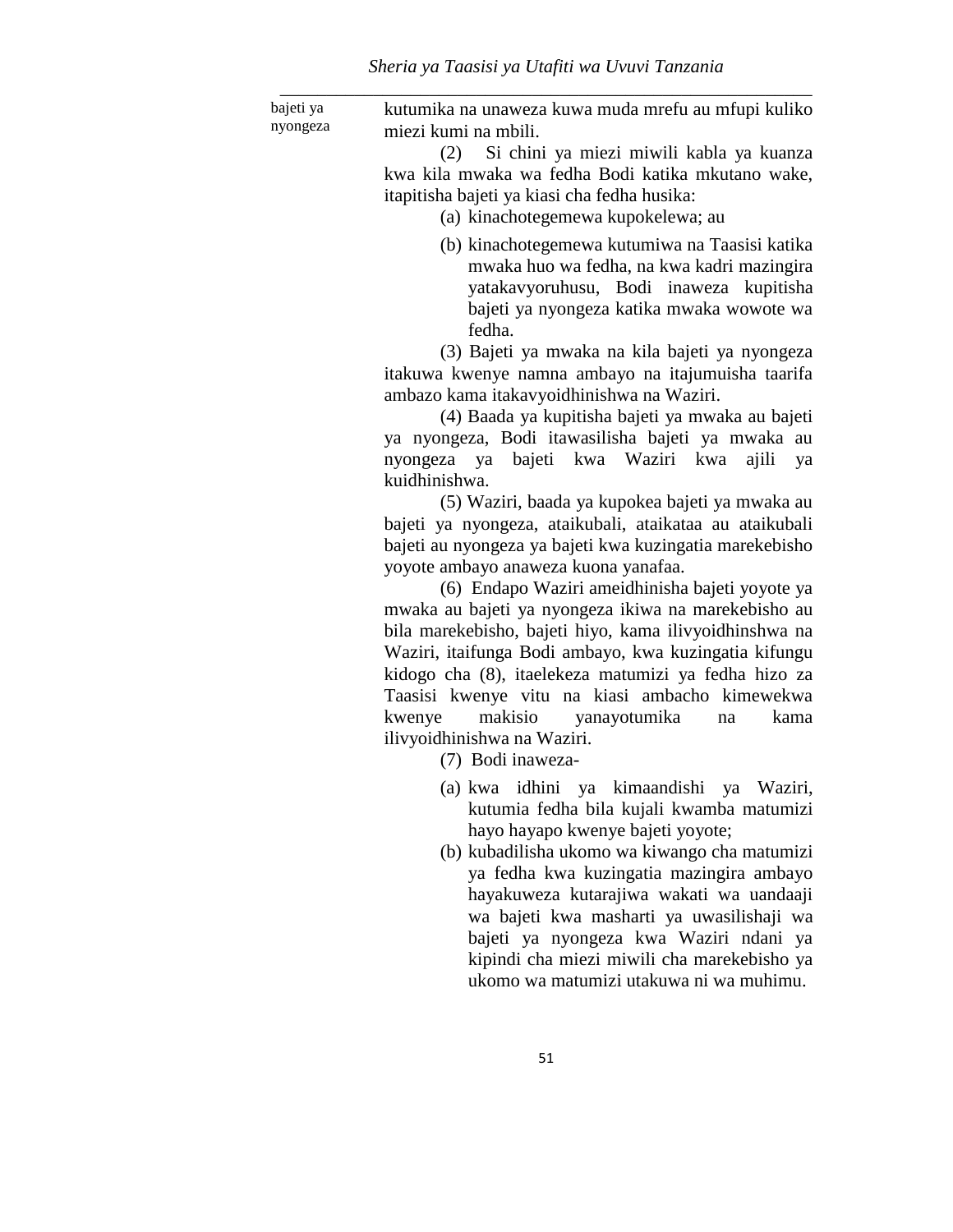bajeti ya nyongeza kutumika na unaweza kuwa muda mrefu au mfupi kuliko miezi kumi na mbili.

(2) Si chini ya miezi miwili kabla ya kuanza kwa kila mwaka wa fedha Bodi katika mkutano wake, itapitisha bajeti ya kiasi cha fedha husika:

(a) kinachotegemewa kupokelewa; au

(b) kinachotegemewa kutumiwa na Taasisi katika mwaka huo wa fedha, na kwa kadri mazingira yatakavyoruhusu, Bodi inaweza kupitisha bajeti ya nyongeza katika mwaka wowote wa fedha.

(3) Bajeti ya mwaka na kila bajeti ya nyongeza itakuwa kwenye namna ambayo na itajumuisha taarifa ambazo kama itakavyoidhinishwa na Waziri.

(4) Baada ya kupitisha bajeti ya mwaka au bajeti ya nyongeza, Bodi itawasilisha bajeti ya mwaka au nyongeza ya bajeti kwa Waziri kwa ajili ya kuidhinishwa.

(5) Waziri, baada ya kupokea bajeti ya mwaka au bajeti ya nyongeza, ataikubali, ataikataa au ataikubali bajeti au nyongeza ya bajeti kwa kuzingatia marekebisho yoyote ambayo anaweza kuona yanafaa.

(6) Endapo Waziri ameidhinisha bajeti yoyote ya mwaka au bajeti ya nyongeza ikiwa na marekebisho au bila marekebisho, bajeti hiyo, kama ilivyoidhinshwa na Waziri, itaifunga Bodi ambayo, kwa kuzingatia kifungu kidogo cha (8), itaelekeza matumizi ya fedha hizo za Taasisi kwenye vitu na kiasi ambacho kimewekwa kwenye makisio yanayotumika na kama ilivyoidhinishwa na Waziri.

- (7) Bodi inaweza-
- (a) kwa idhini ya kimaandishi ya Waziri, kutumia fedha bila kujali kwamba matumizi hayo hayapo kwenye bajeti yoyote;
- (b) kubadilisha ukomo wa kiwango cha matumizi ya fedha kwa kuzingatia mazingira ambayo hayakuweza kutarajiwa wakati wa uandaaji wa bajeti kwa masharti ya uwasilishaji wa bajeti ya nyongeza kwa Waziri ndani ya kipindi cha miezi miwili cha marekebisho ya ukomo wa matumizi utakuwa ni wa muhimu.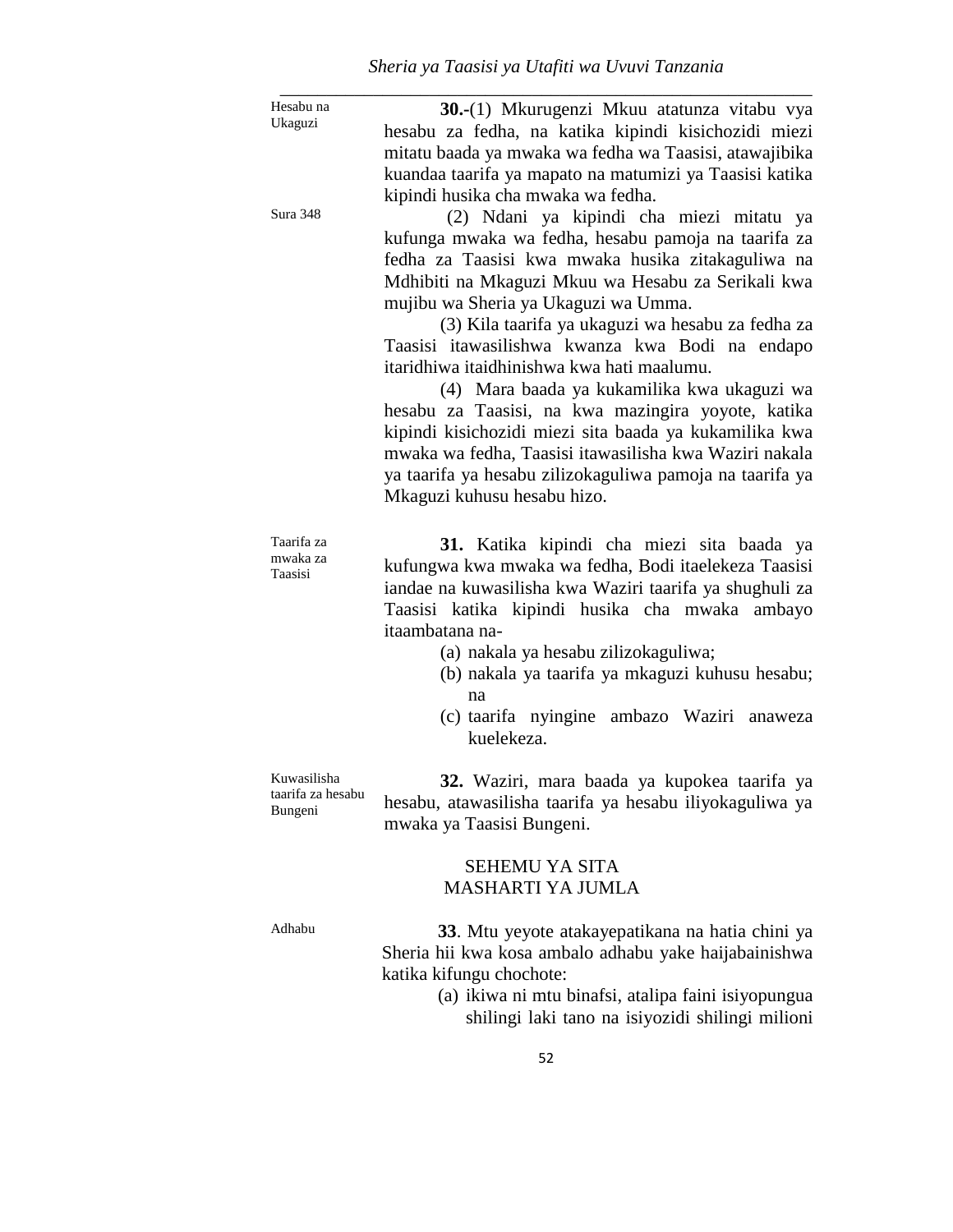| Hesabu na           | 30.-(1) Mkurugenzi Mkuu atatunza vitabu vya              |
|---------------------|----------------------------------------------------------|
| Ukaguzi             | hesabu za fedha, na katika kipindi kisichozidi miezi     |
|                     | mitatu baada ya mwaka wa fedha wa Taasisi, atawajibika   |
|                     | kuandaa taarifa ya mapato na matumizi ya Taasisi katika  |
|                     | kipindi husika cha mwaka wa fedha.                       |
| Sura 348            | (2) Ndani ya kipindi cha miezi mitatu ya                 |
|                     | kufunga mwaka wa fedha, hesabu pamoja na taarifa za      |
|                     | fedha za Taasisi kwa mwaka husika zitakaguliwa na        |
|                     | Mdhibiti na Mkaguzi Mkuu wa Hesabu za Serikali kwa       |
|                     | mujibu wa Sheria ya Ukaguzi wa Umma.                     |
|                     | (3) Kila taarifa ya ukaguzi wa hesabu za fedha za        |
|                     | Taasisi itawasilishwa kwanza kwa Bodi na endapo          |
|                     | itaridhiwa itaidhinishwa kwa hati maalumu.               |
|                     | (4) Mara baada ya kukamilika kwa ukaguzi wa              |
|                     | hesabu za Taasisi, na kwa mazingira yoyote, katika       |
|                     | kipindi kisichozidi miezi sita baada ya kukamilika kwa   |
|                     | mwaka wa fedha, Taasisi itawasilisha kwa Waziri nakala   |
|                     | ya taarifa ya hesabu zilizokaguliwa pamoja na taarifa ya |
|                     | Mkaguzi kuhusu hesabu hizo.                              |
| Taarifa za          | 31. Katika kipindi cha miezi sita baada ya               |
| mwaka za<br>Taasisi | kufungwa kwa mwaka wa fedha, Bodi itaelekeza Taasisi     |
|                     | iandae na kuwasilisha kwa Waziri taarifa ya shughuli za  |
|                     | Taasisi katika kipindi husika cha mwaka ambayo           |
|                     | itaambatana na-                                          |
|                     | (a) nakala ya hesabu zilizokaguliwa;                     |
|                     | (b) nakala ya taarifa ya mkaguzi kuhusu hesabu;          |
|                     | na                                                       |
|                     | (c) taarifa nyingine ambazo Waziri anaweza<br>kuelekeza. |
| Kuwasilisha         | 32. Waziri, mara baada ya kupokea taarifa ya             |
| taarifa za hesabu   | hesabu, atawasilisha taarifa ya hesabu iliyokaguliwa ya  |
| Bungeni             | mwaka ya Taasisi Bungeni.                                |
|                     | <b>SEHEMU YA SITA</b>                                    |
|                     | <b>MASHARTI YA JUMLA</b>                                 |
| Adhabu              | 33. Mtu yeyote atakayepatikana na hatia chini ya         |
|                     | Sheria hii kwa kosa ambalo adhabu yake haijabainishwa    |
|                     | katika kifungu chochote:                                 |
|                     | (a) ikiwa ni mtu binafsi, atalipa faini isiyopungua      |
|                     | shilingi laki tano na isiyozidi shilingi milioni         |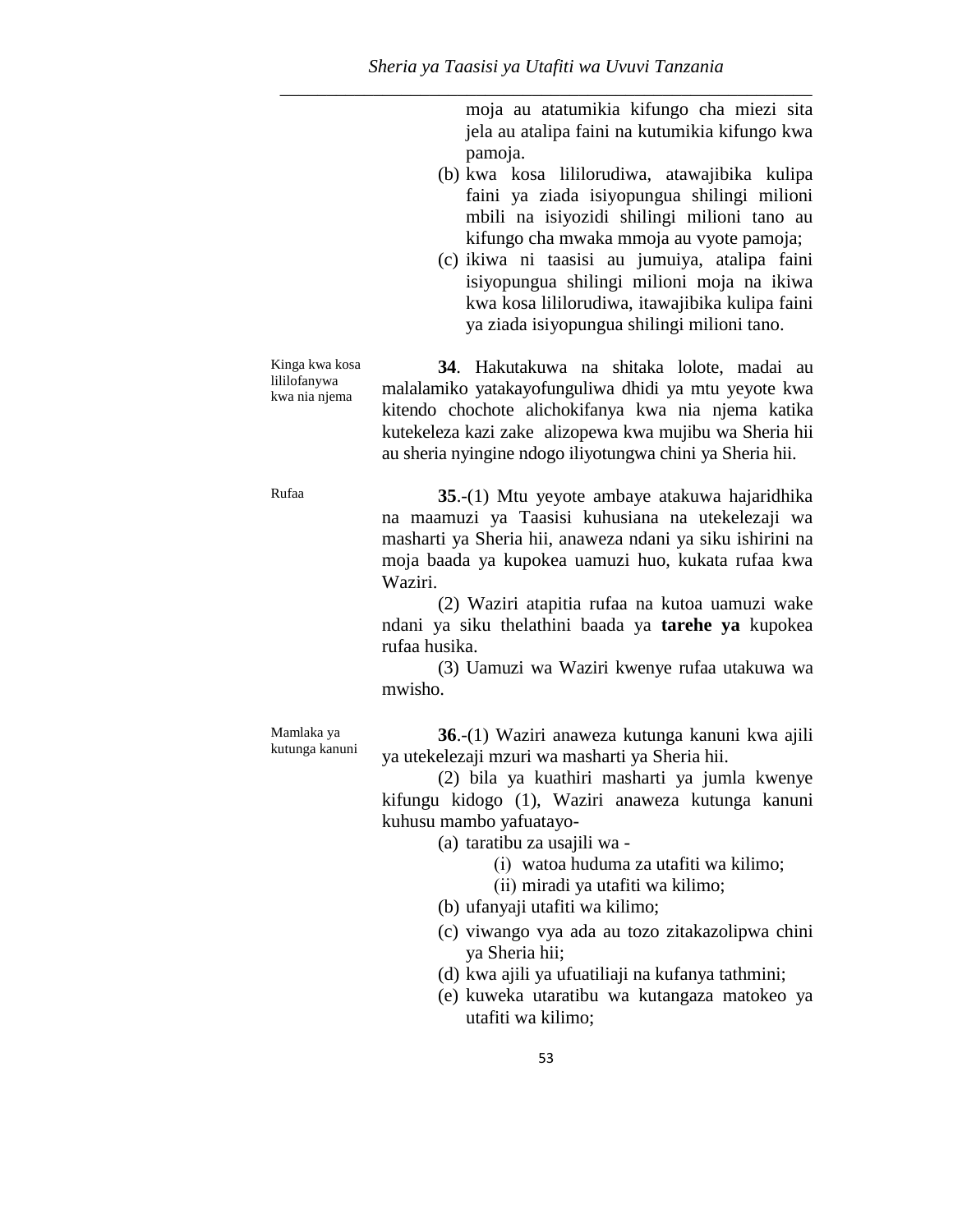moja au atatumikia kifungo cha miezi sita jela au atalipa faini na kutumikia kifungo kwa pamoja.

- (b) kwa kosa lililorudiwa, atawajibika kulipa faini ya ziada isiyopungua shilingi milioni mbili na isiyozidi shilingi milioni tano au kifungo cha mwaka mmoja au vyote pamoja;
- (c) ikiwa ni taasisi au jumuiya, atalipa faini isiyopungua shilingi milioni moja na ikiwa kwa kosa lililorudiwa, itawajibika kulipa faini ya ziada isiyopungua shilingi milioni tano.

Kinga kwa kosa lililofanywa kwa nia njema

**34**. Hakutakuwa na shitaka lolote, madai au malalamiko yatakayofunguliwa dhidi ya mtu yeyote kwa kitendo chochote alichokifanya kwa nia njema katika kutekeleza kazi zake alizopewa kwa mujibu wa Sheria hii au sheria nyingine ndogo iliyotungwa chini ya Sheria hii.

Rufaa **35**.-(1) Mtu yeyote ambaye atakuwa hajaridhika na maamuzi ya Taasisi kuhusiana na utekelezaji wa masharti ya Sheria hii, anaweza ndani ya siku ishirini na moja baada ya kupokea uamuzi huo, kukata rufaa kwa Waziri.

> (2) Waziri atapitia rufaa na kutoa uamuzi wake ndani ya siku thelathini baada ya **tarehe ya** kupokea rufaa husika.

> (3) Uamuzi wa Waziri kwenye rufaa utakuwa wa mwisho.

Mamlaka ya kutunga kanuni

**36**.-(1) Waziri anaweza kutunga kanuni kwa ajili ya utekelezaji mzuri wa masharti ya Sheria hii.

(2) bila ya kuathiri masharti ya jumla kwenye kifungu kidogo (1), Waziri anaweza kutunga kanuni kuhusu mambo yafuatayo-

(a) taratibu za usajili wa -

(i) watoa huduma za utafiti wa kilimo;

(ii) miradi ya utafiti wa kilimo;

- (b) ufanyaji utafiti wa kilimo;
- (c) viwango vya ada au tozo zitakazolipwa chini ya Sheria hii;
- (d) kwa ajili ya ufuatiliaji na kufanya tathmini;
- (e) kuweka utaratibu wa kutangaza matokeo ya utafiti wa kilimo;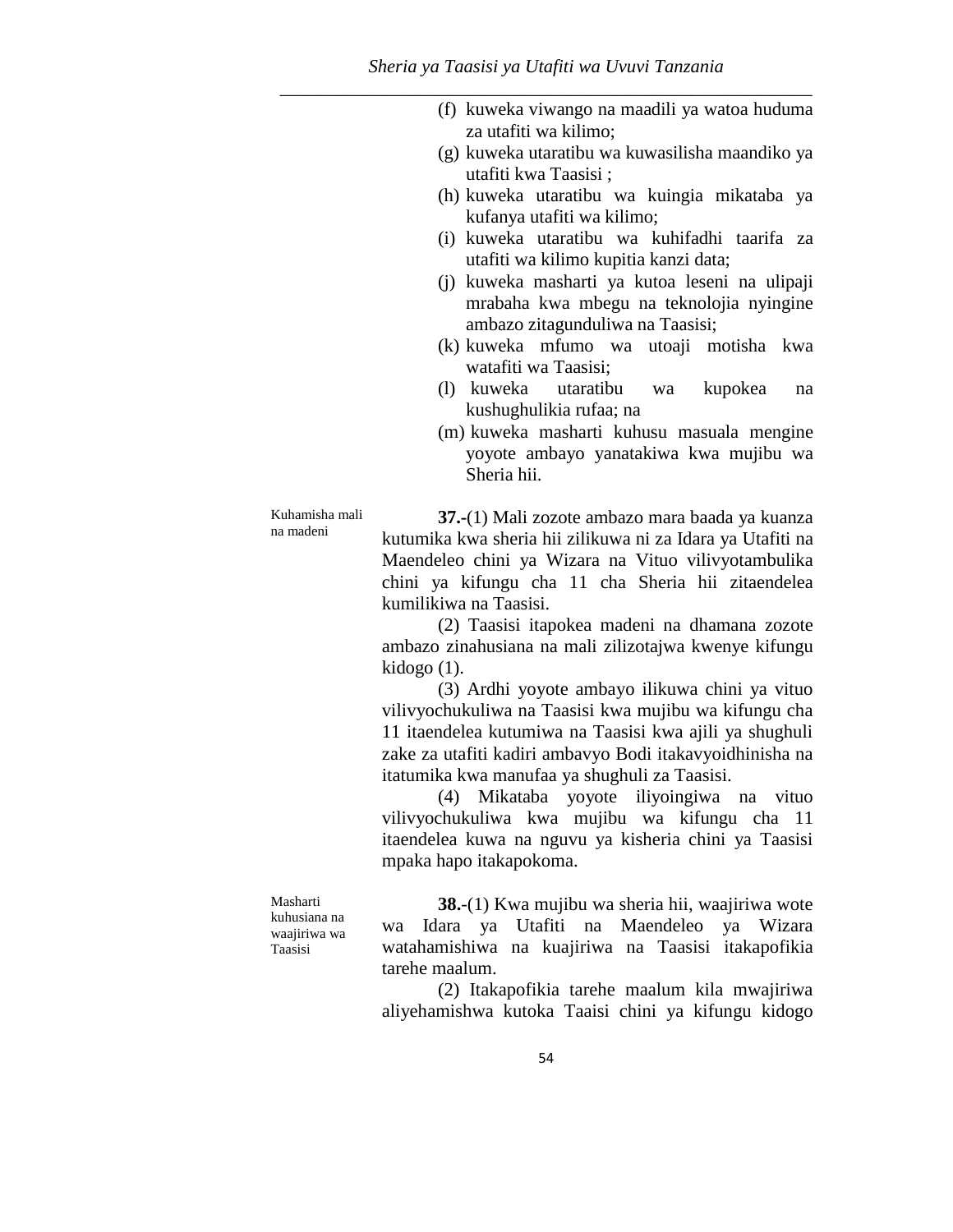- (f) kuweka viwango na maadili ya watoa huduma za utafiti wa kilimo;
- (g) kuweka utaratibu wa kuwasilisha maandiko ya utafiti kwa Taasisi ;
- (h) kuweka utaratibu wa kuingia mikataba ya kufanya utafiti wa kilimo;
- (i) kuweka utaratibu wa kuhifadhi taarifa za utafiti wa kilimo kupitia kanzi data;
- (j) kuweka masharti ya kutoa leseni na ulipaji mrabaha kwa mbegu na teknolojia nyingine ambazo zitagunduliwa na Taasisi;
- (k) kuweka mfumo wa utoaji motisha kwa watafiti wa Taasisi;
- (l) kuweka utaratibu wa kupokea na kushughulikia rufaa; na
- (m) kuweka masharti kuhusu masuala mengine yoyote ambayo yanatakiwa kwa mujibu wa Sheria hii.

Kuhamisha mali na madeni

**37.-**(1) Mali zozote ambazo mara baada ya kuanza kutumika kwa sheria hii zilikuwa ni za Idara ya Utafiti na Maendeleo chini ya Wizara na Vituo vilivyotambulika chini ya kifungu cha 11 cha Sheria hii zitaendelea kumilikiwa na Taasisi.

(2) Taasisi itapokea madeni na dhamana zozote ambazo zinahusiana na mali zilizotajwa kwenye kifungu kidogo (1).

(3) Ardhi yoyote ambayo ilikuwa chini ya vituo vilivyochukuliwa na Taasisi kwa mujibu wa kifungu cha 11 itaendelea kutumiwa na Taasisi kwa ajili ya shughuli zake za utafiti kadiri ambavyo Bodi itakavyoidhinisha na itatumika kwa manufaa ya shughuli za Taasisi.

(4) Mikataba yoyote iliyoingiwa na vituo vilivyochukuliwa kwa mujibu wa kifungu cha 11 itaendelea kuwa na nguvu ya kisheria chini ya Taasisi mpaka hapo itakapokoma.

Masharti kuhusiana na waajiriwa wa Taasisi

**38.**-(1) Kwa mujibu wa sheria hii, waajiriwa wote wa Idara ya Utafiti na Maendeleo ya Wizara watahamishiwa na kuajiriwa na Taasisi itakapofikia tarehe maalum.

(2) Itakapofikia tarehe maalum kila mwajiriwa aliyehamishwa kutoka Taaisi chini ya kifungu kidogo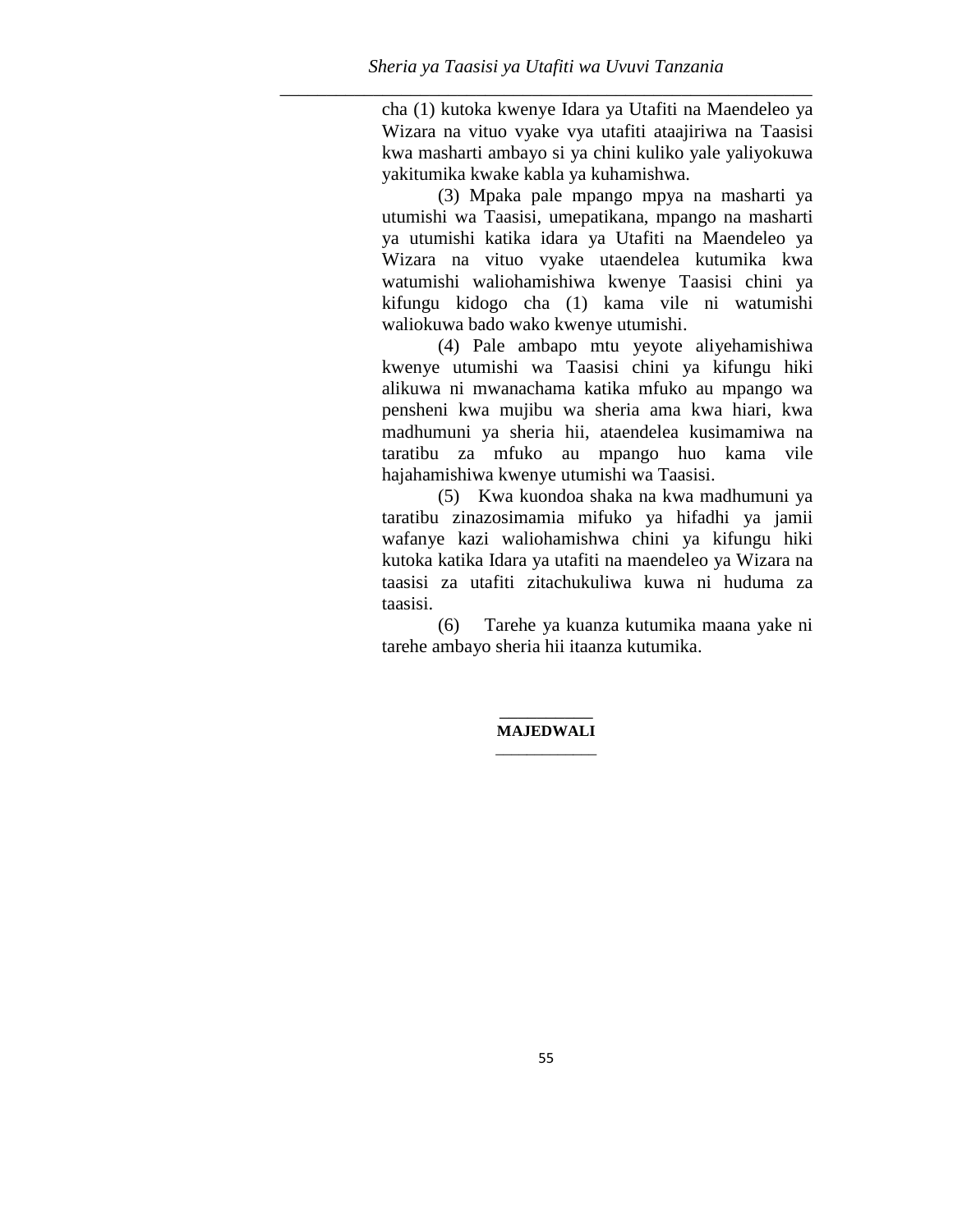cha (1) kutoka kwenye Idara ya Utafiti na Maendeleo ya Wizara na vituo vyake vya utafiti ataajiriwa na Taasisi kwa masharti ambayo si ya chini kuliko yale yaliyokuwa yakitumika kwake kabla ya kuhamishwa.

(3) Mpaka pale mpango mpya na masharti ya utumishi wa Taasisi, umepatikana, mpango na masharti ya utumishi katika idara ya Utafiti na Maendeleo ya Wizara na vituo vyake utaendelea kutumika kwa watumishi waliohamishiwa kwenye Taasisi chini ya kifungu kidogo cha (1) kama vile ni watumishi waliokuwa bado wako kwenye utumishi.

(4) Pale ambapo mtu yeyote aliyehamishiwa kwenye utumishi wa Taasisi chini ya kifungu hiki alikuwa ni mwanachama katika mfuko au mpango wa pensheni kwa mujibu wa sheria ama kwa hiari, kwa madhumuni ya sheria hii, ataendelea kusimamiwa na taratibu za mfuko au mpango huo kama vile hajahamishiwa kwenye utumishi wa Taasisi.

(5) Kwa kuondoa shaka na kwa madhumuni ya taratibu zinazosimamia mifuko ya hifadhi ya jamii wafanye kazi waliohamishwa chini ya kifungu hiki kutoka katika Idara ya utafiti na maendeleo ya Wizara na taasisi za utafiti zitachukuliwa kuwa ni huduma za taasisi.

(6) Tarehe ya kuanza kutumika maana yake ni tarehe ambayo sheria hii itaanza kutumika.

#### \_\_\_\_\_\_\_\_\_\_ **MAJEDWALI**  \_\_\_\_\_\_\_\_\_\_\_\_\_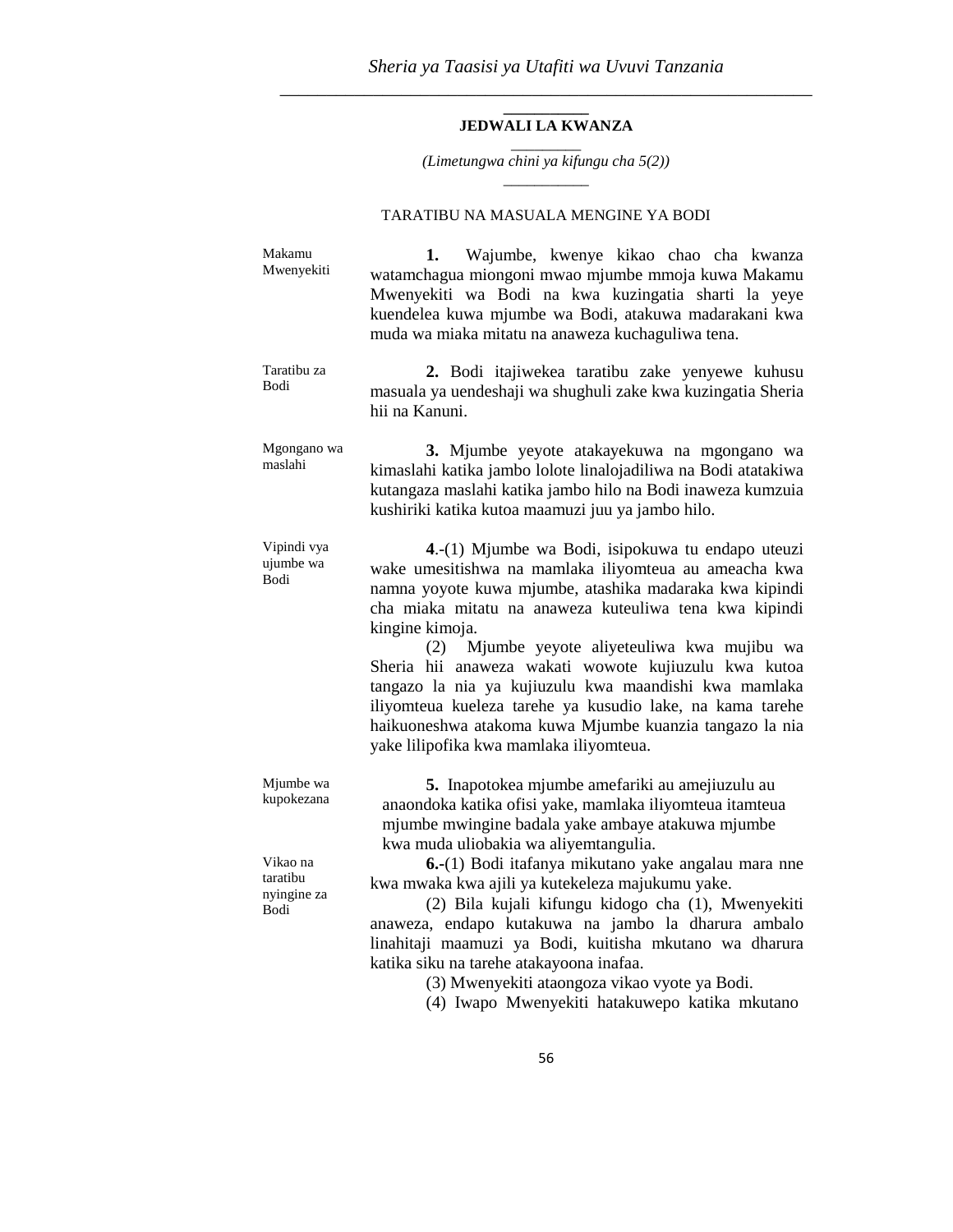#### **\_\_\_\_\_\_\_\_\_\_\_ JEDWALI LA KWANZA**  \_\_\_\_\_\_\_\_\_

*(Limetungwa chini ya kifungu cha 5(2))* \_\_\_\_\_\_\_\_\_\_\_

## TARATIBU NA MASUALA MENGINE YA BODI

| Makamu<br>Mwenyekiti                        | Wajumbe, kwenye kikao chao cha kwanza<br>1.<br>watamchagua miongoni mwao mjumbe mmoja kuwa Makamu<br>Mwenyekiti wa Bodi na kwa kuzingatia sharti la yeye<br>kuendelea kuwa mjumbe wa Bodi, atakuwa madarakani kwa<br>muda wa miaka mitatu na anaweza kuchaguliwa tena.                                                                                                                                                                                                                                                                                                                    |
|---------------------------------------------|-------------------------------------------------------------------------------------------------------------------------------------------------------------------------------------------------------------------------------------------------------------------------------------------------------------------------------------------------------------------------------------------------------------------------------------------------------------------------------------------------------------------------------------------------------------------------------------------|
| Taratibu za<br><b>Bodi</b>                  | 2. Bodi itajiwekea taratibu zake yenyewe kuhusu<br>masuala ya uendeshaji wa shughuli zake kwa kuzingatia Sheria<br>hii na Kanuni.                                                                                                                                                                                                                                                                                                                                                                                                                                                         |
| Mgongano wa<br>maslahi                      | 3. Mjumbe yeyote atakayekuwa na mgongano wa<br>kimaslahi katika jambo lolote linalojadiliwa na Bodi atatakiwa<br>kutangaza maslahi katika jambo hilo na Bodi inaweza kumzuia<br>kushiriki katika kutoa maamuzi juu ya jambo hilo.                                                                                                                                                                                                                                                                                                                                                         |
| Vipindi vya<br>ujumbe wa<br>Bodi            | 4.-(1) Mjumbe wa Bodi, isipokuwa tu endapo uteuzi<br>wake umesitishwa na mamlaka iliyomteua au ameacha kwa<br>namna yoyote kuwa mjumbe, atashika madaraka kwa kipindi<br>cha miaka mitatu na anaweza kuteuliwa tena kwa kipindi<br>kingine kimoja.<br>Mjumbe yeyote aliyeteuliwa kwa mujibu wa<br>(2)<br>Sheria hii anaweza wakati wowote kujiuzulu kwa kutoa<br>tangazo la nia ya kujiuzulu kwa maandishi kwa mamlaka<br>iliyomteua kueleza tarehe ya kusudio lake, na kama tarehe<br>haikuoneshwa atakoma kuwa Mjumbe kuanzia tangazo la nia<br>yake lilipofika kwa mamlaka iliyomteua. |
| Mjumbe wa<br>kupokezana                     | 5. Inapotokea mjumbe amefariki au amejiuzulu au<br>anaondoka katika ofisi yake, mamlaka iliyomteua itamteua<br>mjumbe mwingine badala yake ambaye atakuwa mjumbe<br>kwa muda uliobakia wa aliyemtangulia.                                                                                                                                                                                                                                                                                                                                                                                 |
| Vikao na<br>taratibu<br>nyingine za<br>Bodi | 6.-(1) Bodi itafanya mikutano yake angalau mara nne<br>kwa mwaka kwa ajili ya kutekeleza majukumu yake.<br>(2) Bila kujali kifungu kidogo cha (1), Mwenyekiti<br>anaweza, endapo kutakuwa na jambo la dharura ambalo<br>linahitaji maamuzi ya Bodi, kuitisha mkutano wa dharura<br>katika siku na tarehe atakayoona inafaa.                                                                                                                                                                                                                                                               |

(3) Mwenyekiti ataongoza vikao vyote ya Bodi.

(4) Iwapo Mwenyekiti hatakuwepo katika mkutano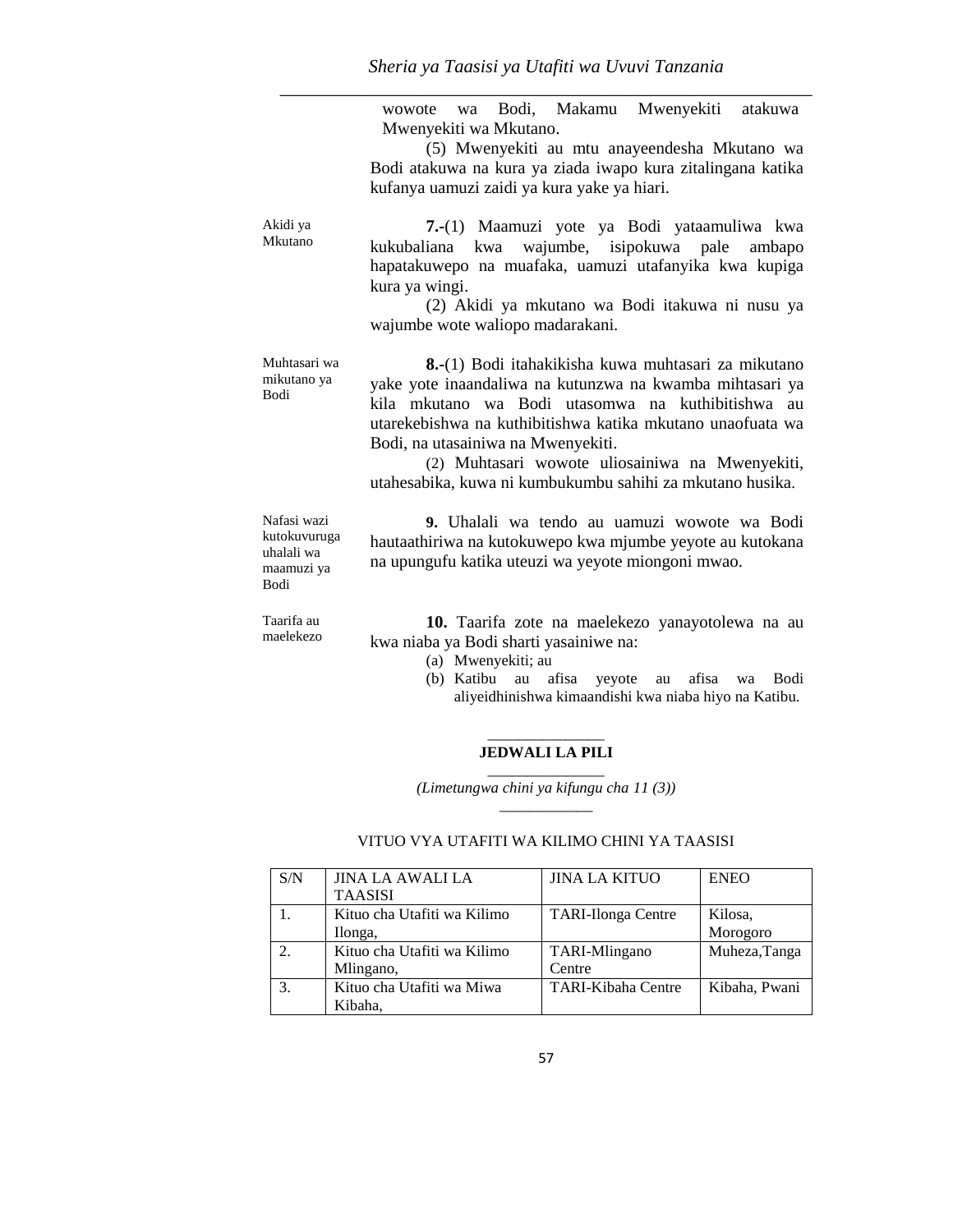wowote wa Bodi, Makamu Mwenyekiti atakuwa Mwenyekiti wa Mkutano.

(5) Mwenyekiti au mtu anayeendesha Mkutano wa Bodi atakuwa na kura ya ziada iwapo kura zitalingana katika kufanya uamuzi zaidi ya kura yake ya hiari.

| Akidi ya<br>Mkutano                                             | 7.-(1) Maamuzi yote ya Bodi yataamuliwa kwa<br>kukubaliana kwa wajumbe, isipokuwa pale ambapo<br>hapatakuwepo na muafaka, uamuzi utafanyika kwa kupiga<br>kura ya wingi.<br>(2) Akidi ya mkutano wa Bodi itakuwa ni nusu ya<br>wajumbe wote waliopo madarakani.                                                                                                                                  |
|-----------------------------------------------------------------|--------------------------------------------------------------------------------------------------------------------------------------------------------------------------------------------------------------------------------------------------------------------------------------------------------------------------------------------------------------------------------------------------|
| Muhtasari wa<br>mikutano ya<br>Bodi                             | <b>8.-</b> (1) Bodi itahakikisha kuwa muhtasari za mikutano<br>yake yote inaandaliwa na kutunzwa na kwamba mihtasari ya<br>kila mkutano wa Bodi utasomwa na kuthibitishwa au<br>utarekebishwa na kuthibitishwa katika mkutano unaofuata wa<br>Bodi, na utasainiwa na Mwenyekiti.<br>(2) Muhtasari wowote uliosainiwa na Mwenyekiti,<br>utahesabika, kuwa ni kumbukumbu sahihi za mkutano husika. |
| Nafasi wazi<br>kutokuvuruga<br>uhalali wa<br>maamuzi ya<br>Bodi | 9. Uhalali wa tendo au uamuzi wowote wa Bodi<br>hautaathiriwa na kutokuwepo kwa mjumbe yeyote au kutokana<br>na upungufu katika uteuzi wa yeyote miongoni mwao.                                                                                                                                                                                                                                  |

| Taarifa au | 10. Taarifa zote na maelekezo yanayotolewa na au |
|------------|--------------------------------------------------|
| maelekezo  | kwa niaba ya Bodi sharti yasainiwe na:           |

- (a) Mwenyekiti; au
- (b) Katibu au afisa yeyote au afisa wa Bodi aliyeidhinishwa kimaandishi kwa niaba hiyo na Katibu.

#### \_\_\_\_\_\_\_\_\_\_\_\_\_\_\_ **JEDWALI LA PILI**

 $\overline{\phantom{a}}$  ,  $\overline{\phantom{a}}$  ,  $\overline{\phantom{a}}$  ,  $\overline{\phantom{a}}$  ,  $\overline{\phantom{a}}$  ,  $\overline{\phantom{a}}$  ,  $\overline{\phantom{a}}$  ,  $\overline{\phantom{a}}$  ,  $\overline{\phantom{a}}$  ,  $\overline{\phantom{a}}$  ,  $\overline{\phantom{a}}$  ,  $\overline{\phantom{a}}$  ,  $\overline{\phantom{a}}$  ,  $\overline{\phantom{a}}$  ,  $\overline{\phantom{a}}$  ,  $\overline{\phantom{a}}$ *(Limetungwa chini ya kifungu cha 11 (3))* \_\_\_\_\_\_\_\_\_\_\_\_

| S/N | <b>JINA LA AWALI LA</b>     | <b>JINA LA KITUO</b>      | <b>ENEO</b>   |
|-----|-----------------------------|---------------------------|---------------|
|     | <b>TAASISI</b>              |                           |               |
|     | Kituo cha Utafiti wa Kilimo | <b>TARI-Ilonga Centre</b> | Kilosa,       |
|     | Ilonga,                     |                           | Morogoro      |
| 2.  | Kituo cha Utafiti wa Kilimo | <b>TARI-Mlingano</b>      | Muheza, Tanga |
|     | Mlingano,                   | Centre                    |               |
| 3.  | Kituo cha Utafiti wa Miwa   | <b>TARI-Kibaha Centre</b> | Kibaha, Pwani |
|     | Kibaha.                     |                           |               |

## VITUO VYA UTAFITI WA KILIMO CHINI YA TAASISI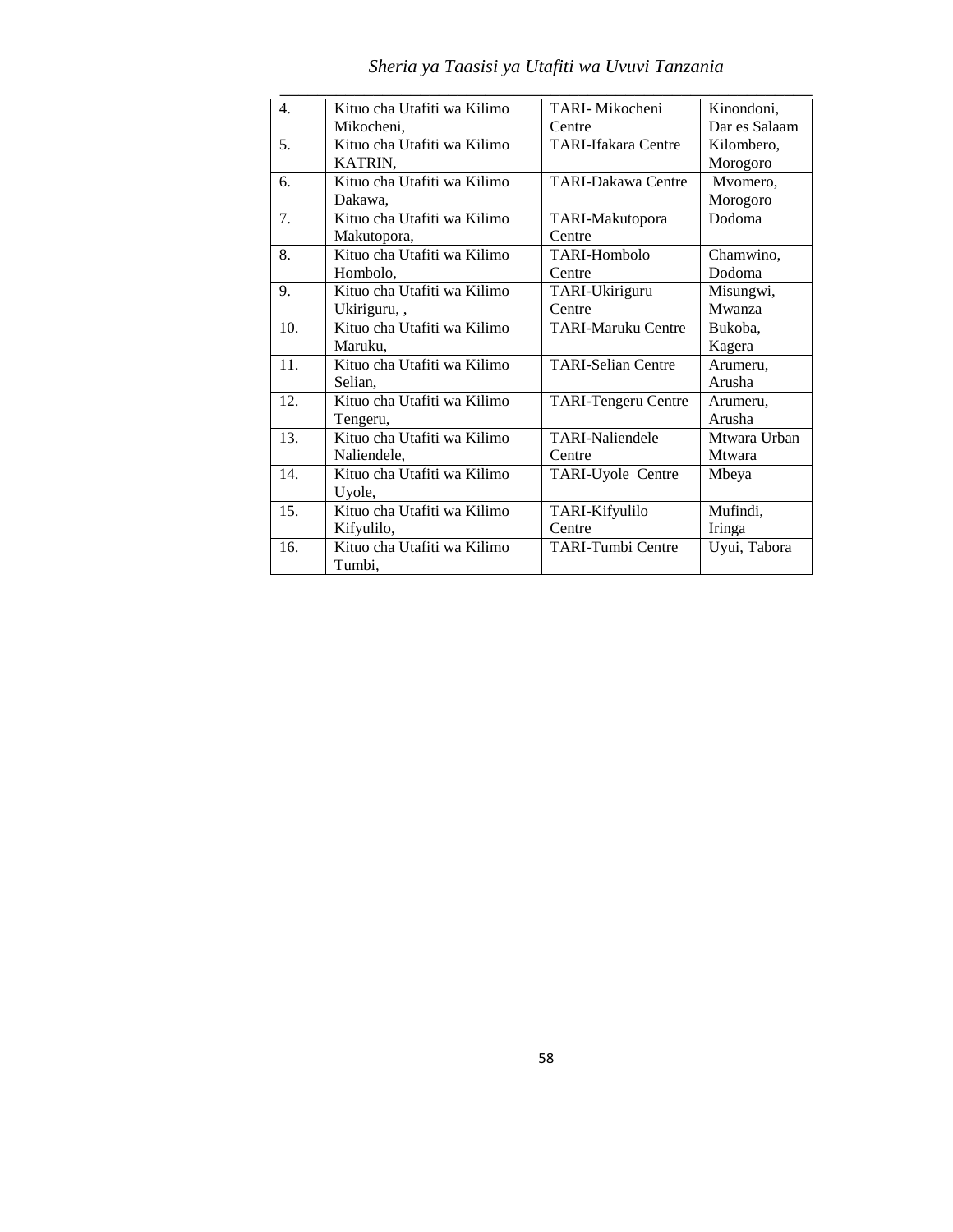| $\mathbf{4}$ . | Kituo cha Utafiti wa Kilimo | TARI- Mikocheni            | Kinondoni.    |
|----------------|-----------------------------|----------------------------|---------------|
|                | Mikocheni,                  | Centre                     | Dar es Salaam |
| 5 <sub>1</sub> | Kituo cha Utafiti wa Kilimo | <b>TARI-Ifakara Centre</b> | Kilombero,    |
|                | KATRIN,                     |                            | Morogoro      |
| 6.             | Kituo cha Utafiti wa Kilimo | <b>TARI-Dakawa Centre</b>  | Mvomero,      |
|                | Dakawa,                     |                            | Morogoro      |
| 7.             | Kituo cha Utafiti wa Kilimo | TARI-Makutopora            | Dodoma        |
|                | Makutopora,                 | Centre                     |               |
| 8.             | Kituo cha Utafiti wa Kilimo | TARI-Hombolo               | Chamwino,     |
|                | Hombolo,                    | Centre                     | Dodoma        |
| 9.             | Kituo cha Utafiti wa Kilimo | TARI-Ukiriguru             | Misungwi,     |
|                | Ukiriguru,,                 | Centre                     | Mwanza        |
| 10.            | Kituo cha Utafiti wa Kilimo | <b>TARI-Maruku Centre</b>  | Bukoba,       |
|                | Maruku.                     |                            | Kagera        |
| 11.            | Kituo cha Utafiti wa Kilimo | <b>TARI-Selian Centre</b>  | Arumeru,      |
|                | Selian,                     |                            | Arusha        |
| 12.            | Kituo cha Utafiti wa Kilimo | <b>TARI-Tengeru Centre</b> | Arumeru,      |
|                | Tengeru,                    |                            | Arusha        |
| 13.            | Kituo cha Utafiti wa Kilimo | <b>TARI-Naliendele</b>     | Mtwara Urban  |
|                | Naliendele,                 | Centre                     | <b>Mtwara</b> |
| 14.            | Kituo cha Utafiti wa Kilimo | TARI-Uyole Centre          | Mbeya         |
|                | Uyole,                      |                            |               |
| 15.            | Kituo cha Utafiti wa Kilimo | TARI-Kifyulilo             | Mufindi,      |
|                | Kifyulilo,                  | Centre                     | Iringa        |
| 16.            | Kituo cha Utafiti wa Kilimo | <b>TARI-Tumbi Centre</b>   | Uyui, Tabora  |
|                | Tumbi,                      |                            |               |

# *Sheria ya Taasisi ya Utafiti wa Uvuvi Tanzania*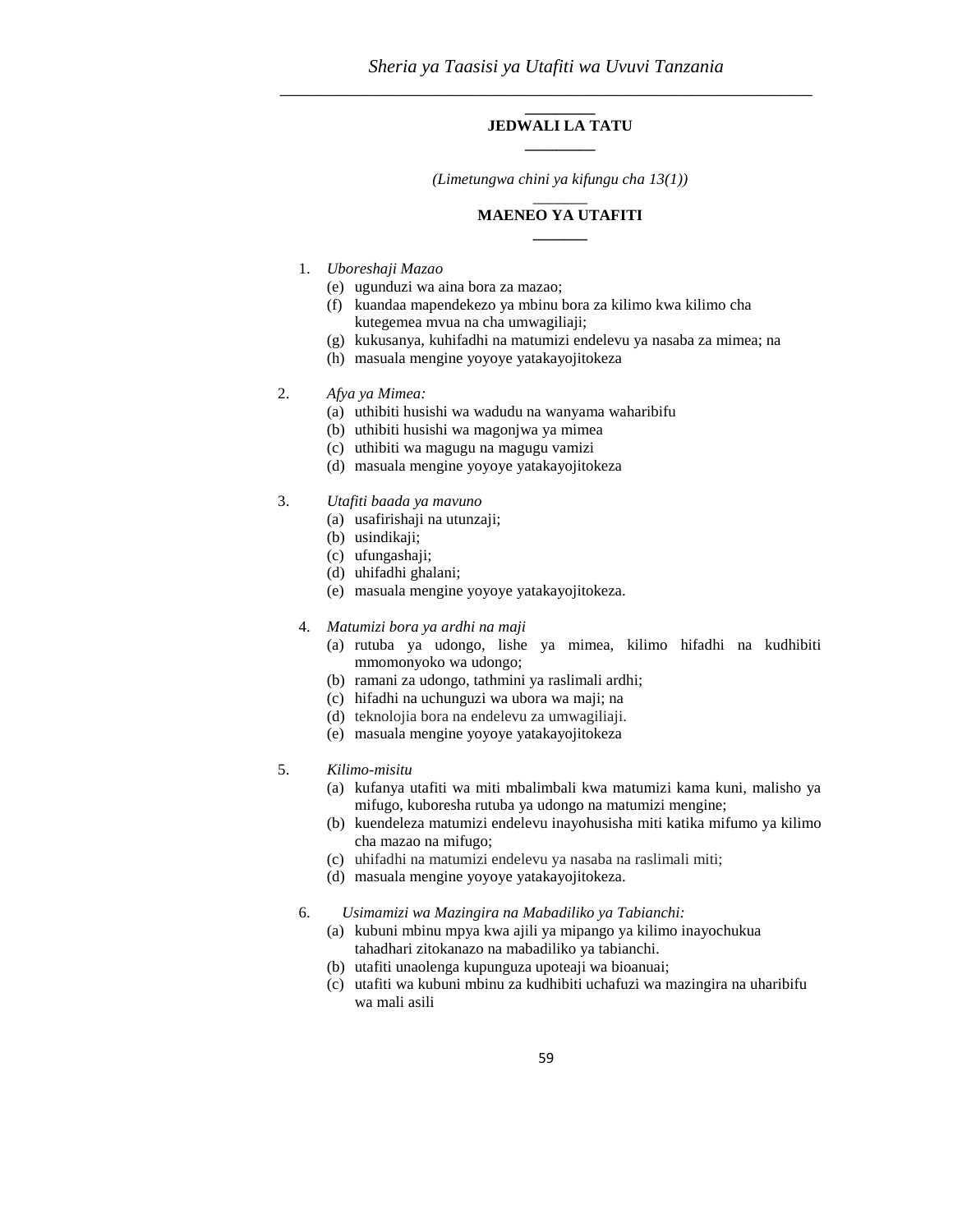#### **\_\_\_\_\_\_\_\_\_ JEDWALI LA TATU \_\_\_\_\_\_\_\_\_**

*(Limetungwa chini ya kifungu cha 13(1))*  $\overline{\phantom{a}}$ 

#### **MAENEO YA UTAFITI \_\_\_\_\_\_\_**

#### 1. *Uboreshaji Mazao*

- (e) ugunduzi wa aina bora za mazao;
- (f) kuandaa mapendekezo ya mbinu bora za kilimo kwa kilimo cha kutegemea mvua na cha umwagiliaji;
- (g) kukusanya, kuhifadhi na matumizi endelevu ya nasaba za mimea; na
- (h) masuala mengine yoyoye yatakayojitokeza

#### 2. *Afya ya Mimea:*

- (a) uthibiti husishi wa wadudu na wanyama waharibifu
- (b) uthibiti husishi wa magonjwa ya mimea
- (c) uthibiti wa magugu na magugu vamizi
- (d) masuala mengine yoyoye yatakayojitokeza

#### 3. *Utafiti baada ya mavuno*

- (a) usafirishaji na utunzaji;
- (b) usindikaji;
- (c) ufungashaji;
- (d) uhifadhi ghalani;
- (e) masuala mengine yoyoye yatakayojitokeza.

#### 4. *Matumizi bora ya ardhi na maji*

- (a) rutuba ya udongo, lishe ya mimea, kilimo hifadhi na kudhibiti mmomonyoko wa udongo;
- (b) ramani za udongo, tathmini ya raslimali ardhi;
- (c) hifadhi na uchunguzi wa ubora wa maji; na
- (d) teknolojia bora na endelevu za umwagiliaji.
- (e) masuala mengine yoyoye yatakayojitokeza

#### 5. *Kilimo-misitu*

- (a) kufanya utafiti wa miti mbalimbali kwa matumizi kama kuni, malisho ya mifugo, kuboresha rutuba ya udongo na matumizi mengine;
- (b) kuendeleza matumizi endelevu inayohusisha miti katika mifumo ya kilimo cha mazao na mifugo;
- (c) uhifadhi na matumizi endelevu ya nasaba na raslimali miti;
- (d) masuala mengine yoyoye yatakayojitokeza.
- 6. *Usimamizi wa Mazingira na Mabadiliko ya Tabianchi:*
	- (a) kubuni mbinu mpya kwa ajili ya mipango ya kilimo inayochukua tahadhari zitokanazo na mabadiliko ya tabianchi.
	- (b) utafiti unaolenga kupunguza upoteaji wa bioanuai;
	- (c) utafiti wa kubuni mbinu za kudhibiti uchafuzi wa mazingira na uharibifu wa mali asili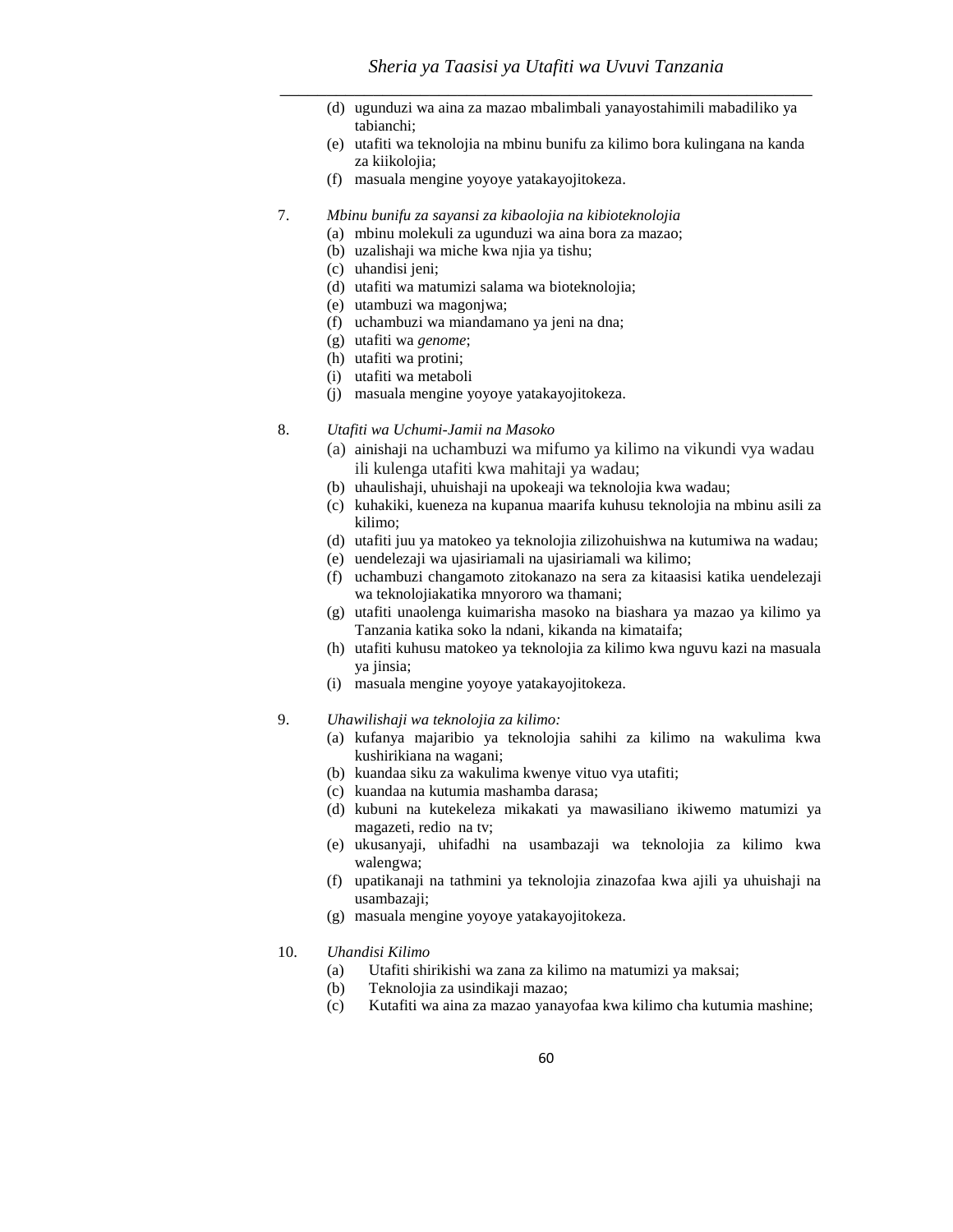- (d) ugunduzi wa aina za mazao mbalimbali yanayostahimili mabadiliko ya tabianchi;
- (e) utafiti wa teknolojia na mbinu bunifu za kilimo bora kulingana na kanda za kiikolojia;
- (f) masuala mengine yoyoye yatakayojitokeza.
- 7. *Mbinu bunifu za sayansi za kibaolojia na kibioteknolojia* 
	- (a) mbinu molekuli za ugunduzi wa aina bora za mazao;
	- (b) uzalishaji wa miche kwa njia ya tishu;
	- (c) uhandisi jeni;
	- (d) utafiti wa matumizi salama wa bioteknolojia;
	- (e) utambuzi wa magonjwa;
	- (f) uchambuzi wa miandamano ya jeni na dna;
	- (g) utafiti wa *genome*;
	- (h) utafiti wa protini;
	- (i) utafiti wa metaboli
	- (j) masuala mengine yoyoye yatakayojitokeza.
- 8. *Utafiti wa Uchumi-Jamii na Masoko*
	- (a) ainishaji na uchambuzi wa mifumo ya kilimo na vikundi vya wadau ili kulenga utafiti kwa mahitaji ya wadau;
	- (b) uhaulishaji, uhuishaji na upokeaji wa teknolojia kwa wadau;
	- (c) kuhakiki, kueneza na kupanua maarifa kuhusu teknolojia na mbinu asili za kilimo;
	- (d) utafiti juu ya matokeo ya teknolojia zilizohuishwa na kutumiwa na wadau;
	- (e) uendelezaji wa ujasiriamali na ujasiriamali wa kilimo;
	- (f) uchambuzi changamoto zitokanazo na sera za kitaasisi katika uendelezaji wa teknolojiakatika mnyororo wa thamani;
	- (g) utafiti unaolenga kuimarisha masoko na biashara ya mazao ya kilimo ya Tanzania katika soko la ndani, kikanda na kimataifa;
	- (h) utafiti kuhusu matokeo ya teknolojia za kilimo kwa nguvu kazi na masuala ya jinsia;
	- (i) masuala mengine yoyoye yatakayojitokeza.
- 9. *Uhawilishaji wa teknolojia za kilimo:* 
	- (a) kufanya majaribio ya teknolojia sahihi za kilimo na wakulima kwa kushirikiana na wagani;
	- (b) kuandaa siku za wakulima kwenye vituo vya utafiti;
	- (c) kuandaa na kutumia mashamba darasa;
	- (d) kubuni na kutekeleza mikakati ya mawasiliano ikiwemo matumizi ya magazeti, redio na tv;
	- (e) ukusanyaji, uhifadhi na usambazaji wa teknolojia za kilimo kwa walengwa;
	- (f) upatikanaji na tathmini ya teknolojia zinazofaa kwa ajili ya uhuishaji na usambazaji;
	- (g) masuala mengine yoyoye yatakayojitokeza.

#### 10. *Uhandisi Kilimo*

- (a) Utafiti shirikishi wa zana za kilimo na matumizi ya maksai;
- (b) Teknolojia za usindikaji mazao;
- (c) Kutafiti wa aina za mazao yanayofaa kwa kilimo cha kutumia mashine;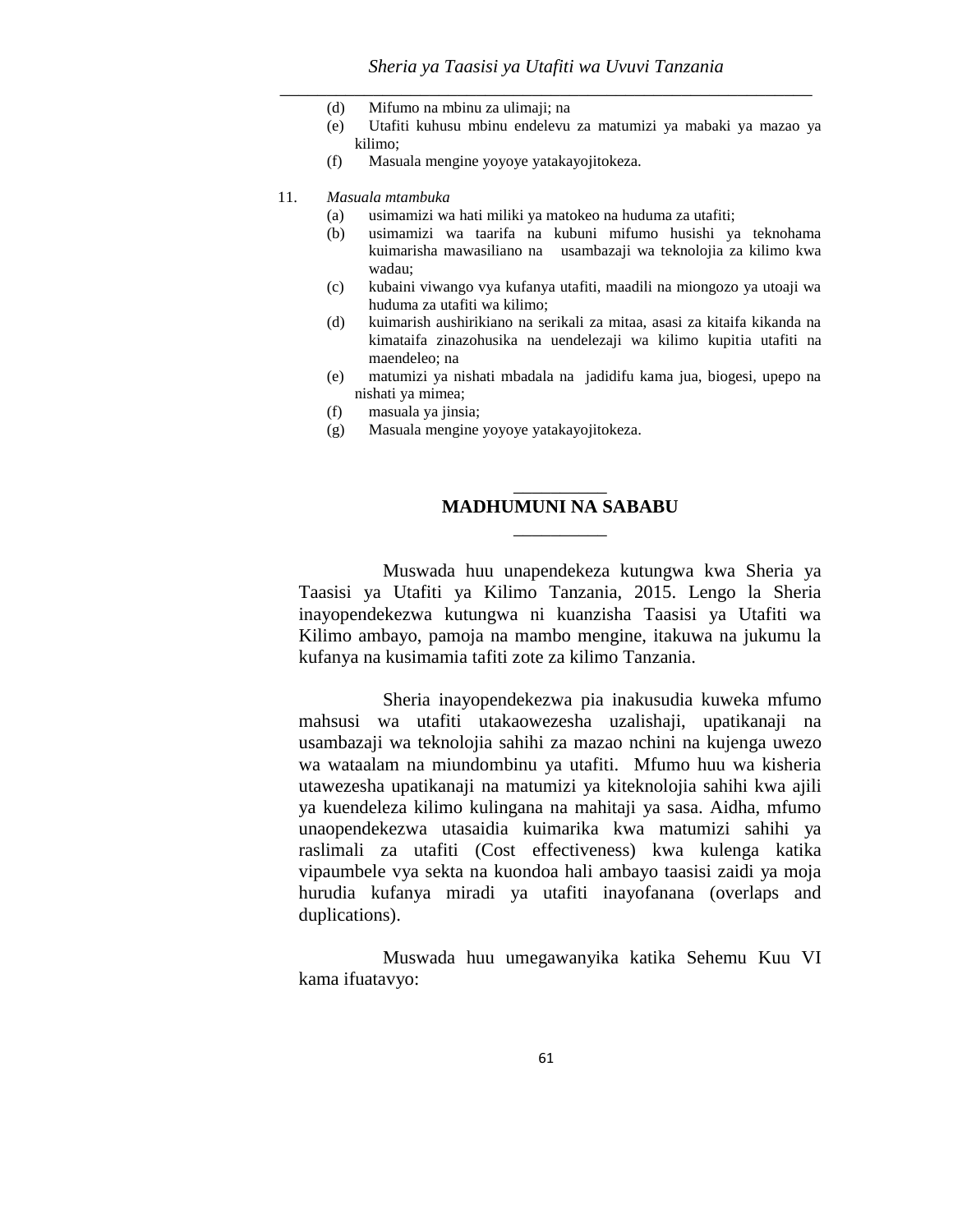- (d) Mifumo na mbinu za ulimaji; na
- (e) Utafiti kuhusu mbinu endelevu za matumizi ya mabaki ya mazao ya kilimo;
- (f) Masuala mengine yoyoye yatakayojitokeza.

#### 11. *Masuala mtambuka*

- (a) usimamizi wa hati miliki ya matokeo na huduma za utafiti;
- (b) usimamizi wa taarifa na kubuni mifumo husishi ya teknohama kuimarisha mawasiliano na usambazaji wa teknolojia za kilimo kwa wadau;
- (c) kubaini viwango vya kufanya utafiti, maadili na miongozo ya utoaji wa huduma za utafiti wa kilimo;
- (d) kuimarish aushirikiano na serikali za mitaa, asasi za kitaifa kikanda na kimataifa zinazohusika na uendelezaji wa kilimo kupitia utafiti na maendeleo; na
- (e) matumizi ya nishati mbadala na jadidifu kama jua, biogesi, upepo na nishati ya mimea;
- (f) masuala ya jinsia;
- (g) Masuala mengine yoyoye yatakayojitokeza.

# \_\_\_\_\_\_\_\_\_\_ **MADHUMUNI NA SABABU** \_\_\_\_\_\_\_\_\_\_

Muswada huu unapendekeza kutungwa kwa Sheria ya Taasisi ya Utafiti ya Kilimo Tanzania, 2015. Lengo la Sheria inayopendekezwa kutungwa ni kuanzisha Taasisi ya Utafiti wa Kilimo ambayo, pamoja na mambo mengine, itakuwa na jukumu la kufanya na kusimamia tafiti zote za kilimo Tanzania.

Sheria inayopendekezwa pia inakusudia kuweka mfumo mahsusi wa utafiti utakaowezesha uzalishaji, upatikanaji na usambazaji wa teknolojia sahihi za mazao nchini na kujenga uwezo wa wataalam na miundombinu ya utafiti. Mfumo huu wa kisheria utawezesha upatikanaji na matumizi ya kiteknolojia sahihi kwa ajili ya kuendeleza kilimo kulingana na mahitaji ya sasa. Aidha, mfumo unaopendekezwa utasaidia kuimarika kwa matumizi sahihi ya raslimali za utafiti (Cost effectiveness) kwa kulenga katika vipaumbele vya sekta na kuondoa hali ambayo taasisi zaidi ya moja hurudia kufanya miradi ya utafiti inayofanana (overlaps and duplications).

Muswada huu umegawanyika katika Sehemu Kuu VI kama ifuatavyo: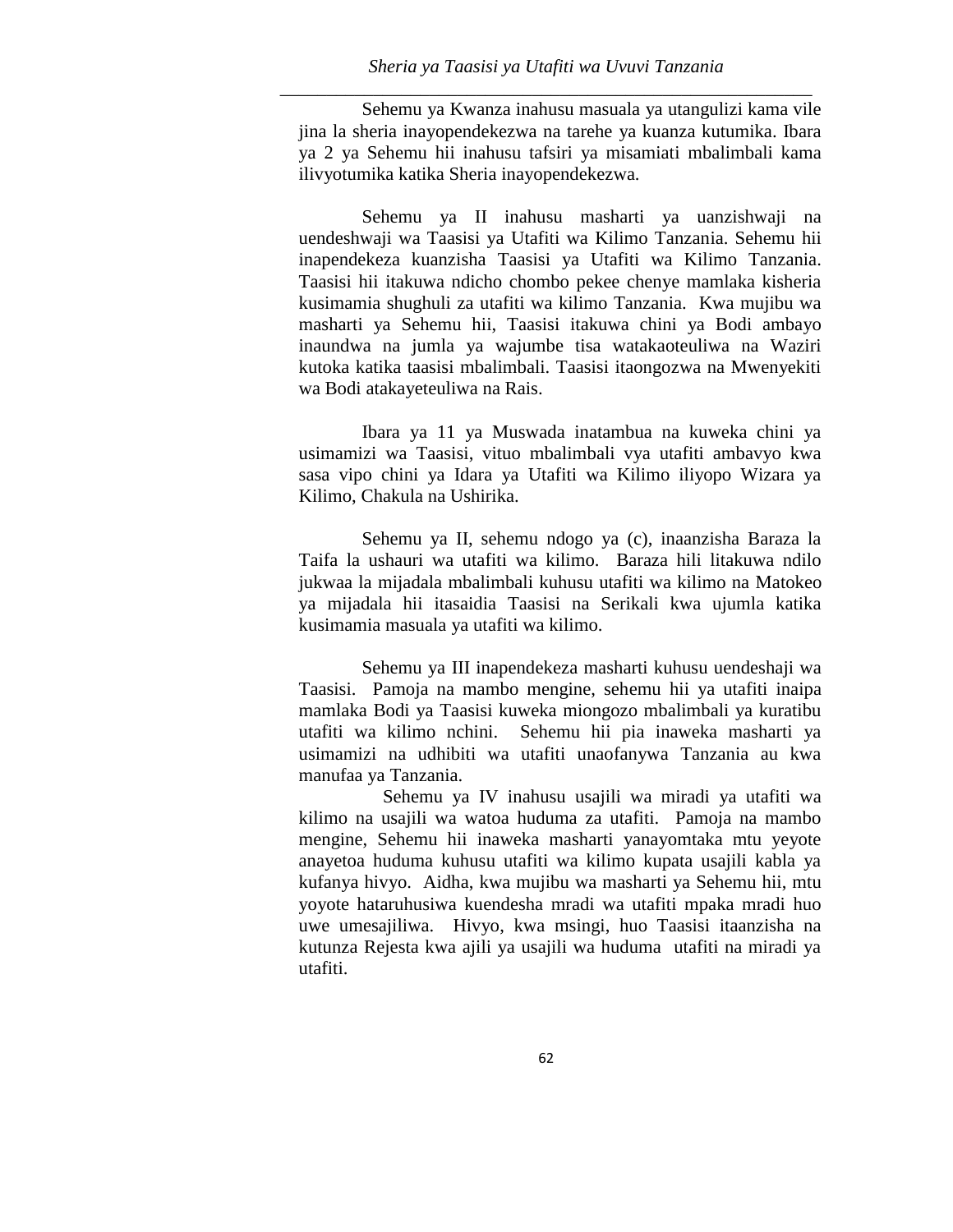Sehemu ya Kwanza inahusu masuala ya utangulizi kama vile jina la sheria inayopendekezwa na tarehe ya kuanza kutumika. Ibara ya 2 ya Sehemu hii inahusu tafsiri ya misamiati mbalimbali kama ilivyotumika katika Sheria inayopendekezwa.

Sehemu ya II inahusu masharti ya uanzishwaji na uendeshwaji wa Taasisi ya Utafiti wa Kilimo Tanzania. Sehemu hii inapendekeza kuanzisha Taasisi ya Utafiti wa Kilimo Tanzania. Taasisi hii itakuwa ndicho chombo pekee chenye mamlaka kisheria kusimamia shughuli za utafiti wa kilimo Tanzania. Kwa mujibu wa masharti ya Sehemu hii, Taasisi itakuwa chini ya Bodi ambayo inaundwa na jumla ya wajumbe tisa watakaoteuliwa na Waziri kutoka katika taasisi mbalimbali. Taasisi itaongozwa na Mwenyekiti wa Bodi atakayeteuliwa na Rais.

Ibara ya 11 ya Muswada inatambua na kuweka chini ya usimamizi wa Taasisi, vituo mbalimbali vya utafiti ambavyo kwa sasa vipo chini ya Idara ya Utafiti wa Kilimo iliyopo Wizara ya Kilimo, Chakula na Ushirika.

Sehemu ya II, sehemu ndogo ya (c), inaanzisha Baraza la Taifa la ushauri wa utafiti wa kilimo. Baraza hili litakuwa ndilo jukwaa la mijadala mbalimbali kuhusu utafiti wa kilimo na Matokeo ya mijadala hii itasaidia Taasisi na Serikali kwa ujumla katika kusimamia masuala ya utafiti wa kilimo.

Sehemu ya III inapendekeza masharti kuhusu uendeshaji wa Taasisi. Pamoja na mambo mengine, sehemu hii ya utafiti inaipa mamlaka Bodi ya Taasisi kuweka miongozo mbalimbali ya kuratibu utafiti wa kilimo nchini. Sehemu hii pia inaweka masharti ya usimamizi na udhibiti wa utafiti unaofanywa Tanzania au kwa manufaa ya Tanzania.

Sehemu ya IV inahusu usajili wa miradi ya utafiti wa kilimo na usajili wa watoa huduma za utafiti. Pamoja na mambo mengine, Sehemu hii inaweka masharti yanayomtaka mtu yeyote anayetoa huduma kuhusu utafiti wa kilimo kupata usajili kabla ya kufanya hivyo. Aidha, kwa mujibu wa masharti ya Sehemu hii, mtu yoyote hataruhusiwa kuendesha mradi wa utafiti mpaka mradi huo uwe umesajiliwa. Hivyo, kwa msingi, huo Taasisi itaanzisha na kutunza Rejesta kwa ajili ya usajili wa huduma utafiti na miradi ya utafiti.